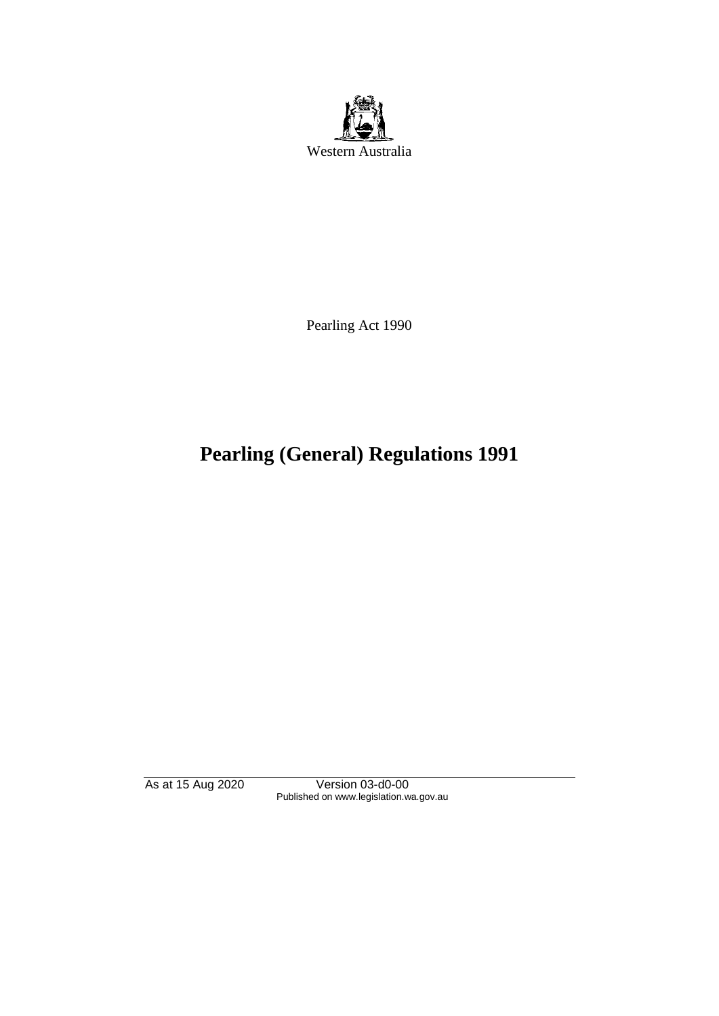

Pearling Act 1990

# **Pearling (General) Regulations 1991**

As at 15 Aug 2020 Version 03-d0-00 Published on www.legislation.wa.gov.au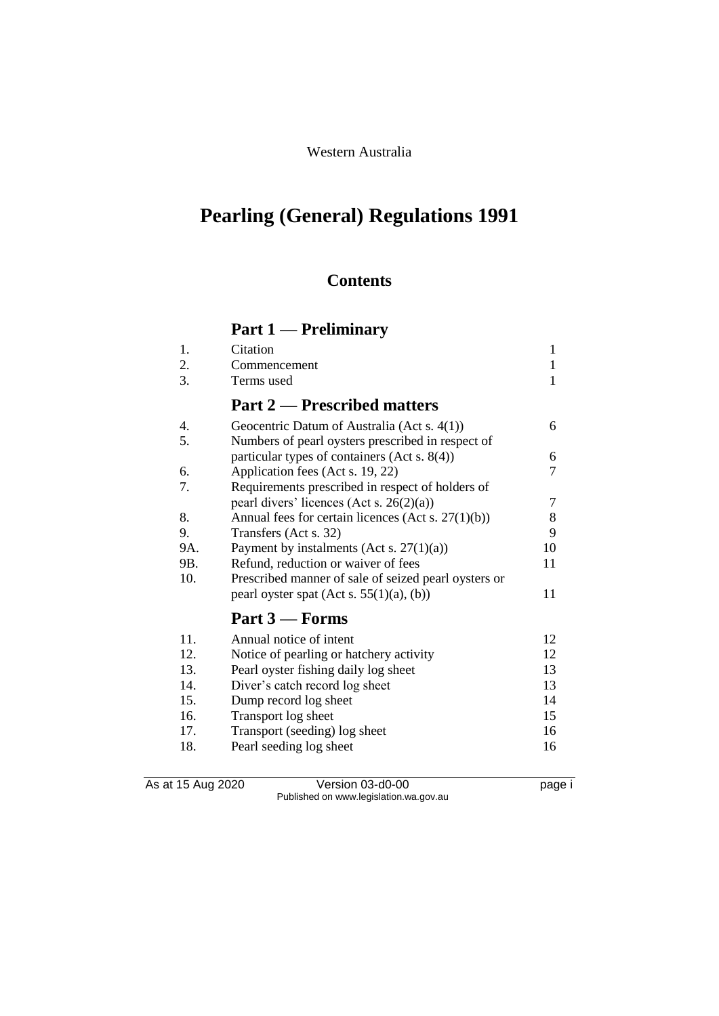### Western Australia

# **Pearling (General) Regulations 1991**

## **Contents**

# **Part 1 — Preliminary**

| 1.  | Citation                                              | 1  |
|-----|-------------------------------------------------------|----|
| 2.  | Commencement                                          | 1  |
| 3.  | Terms used                                            | 1  |
|     | <b>Part 2 — Prescribed matters</b>                    |    |
| 4.  | Geocentric Datum of Australia (Act s. 4(1))           | 6  |
| 5.  | Numbers of pearl oysters prescribed in respect of     |    |
|     | particular types of containers (Act s. $8(4)$ )       | 6  |
| 6.  | Application fees (Act s. 19, 22)                      | 7  |
| 7.  | Requirements prescribed in respect of holders of      |    |
|     | pearl divers' licences (Act s. 26(2)(a))              | 7  |
| 8.  | Annual fees for certain licences (Act s. $27(1)(b)$ ) | 8  |
| 9.  | Transfers (Act s. 32)                                 | 9  |
| 9A. | Payment by instalments (Act s. $27(1)(a)$ )           | 10 |
| 9B. | Refund, reduction or waiver of fees                   | 11 |
| 10. | Prescribed manner of sale of seized pearl oysters or  |    |
|     | pearl oyster spat $(Act s. 55(1)(a), (b))$            | 11 |
|     | Part 3 – Forms                                        |    |
| 11. | Annual notice of intent                               | 12 |
| 12. | Notice of pearling or hatchery activity               | 12 |
| 13. | Pearl oyster fishing daily log sheet                  | 13 |
| 14. | Diver's catch record log sheet                        | 13 |
| 15. | Dump record log sheet                                 | 14 |
| 16. | Transport log sheet                                   | 15 |
| 17. | Transport (seeding) log sheet                         | 16 |
| 18. | Pearl seeding log sheet                               | 16 |

As at 15 Aug 2020 Version 03-d0-00 Page i Published on www.legislation.wa.gov.au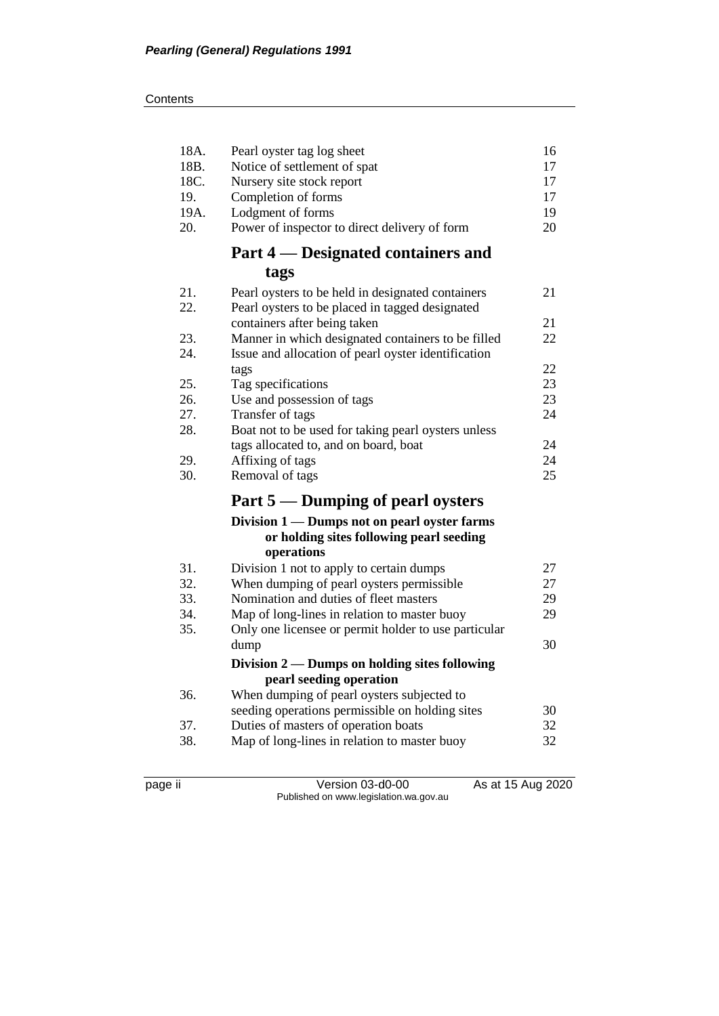#### **Contents**

| 18A.<br>18B. | Pearl oyster tag log sheet<br>Notice of settlement of spat | 16<br>17 |
|--------------|------------------------------------------------------------|----------|
| 18C.         | Nursery site stock report                                  | 17       |
| 19.          | Completion of forms                                        | 17       |
| 19A.         | Lodgment of forms                                          | 19       |
| 20.          | Power of inspector to direct delivery of form              | 20       |
|              | Part 4 — Designated containers and                         |          |
|              | tags                                                       |          |
| 21.          | Pearl oysters to be held in designated containers          | 21       |
| 22.          | Pearl oysters to be placed in tagged designated            |          |
|              | containers after being taken                               | 21       |
| 23.          | Manner in which designated containers to be filled         | 22       |
| 24.          | Issue and allocation of pearl oyster identification        |          |
|              | tags                                                       | 22       |
| 25.          | Tag specifications                                         | 23       |
| 26.          | Use and possession of tags                                 | 23       |
| 27.          | Transfer of tags                                           | 24       |
| 28.          | Boat not to be used for taking pearl oysters unless        |          |
|              | tags allocated to, and on board, boat                      | 24       |
| 29.          | Affixing of tags                                           | 24       |
| 30.          | Removal of tags                                            | 25       |
|              | Part 5 — Dumping of pearl oysters                          |          |
|              | Division 1 — Dumps not on pearl oyster farms               |          |
|              | or holding sites following pearl seeding                   |          |
|              | operations                                                 |          |
| 31.          | Division 1 not to apply to certain dumps                   | 27       |
| 32.          | When dumping of pearl oysters permissible                  | 27       |
| 33.          | Nomination and duties of fleet masters                     | 29       |
| 34.          | Map of long-lines in relation to master buoy               | 29       |
| 35.          | Only one licensee or permit holder to use particular       |          |
|              | dump                                                       | 30       |
|              | Division 2 — Dumps on holding sites following              |          |
|              | pearl seeding operation                                    |          |
| 36.          | When dumping of pearl oysters subjected to                 |          |
|              | seeding operations permissible on holding sites            | 30       |
| 37.          | Duties of masters of operation boats                       | 32       |
| 38.          | Map of long-lines in relation to master buoy               | 32       |
|              |                                                            |          |

page ii Version 03-d0-00 As at 15 Aug 2020 Published on www.legislation.wa.gov.au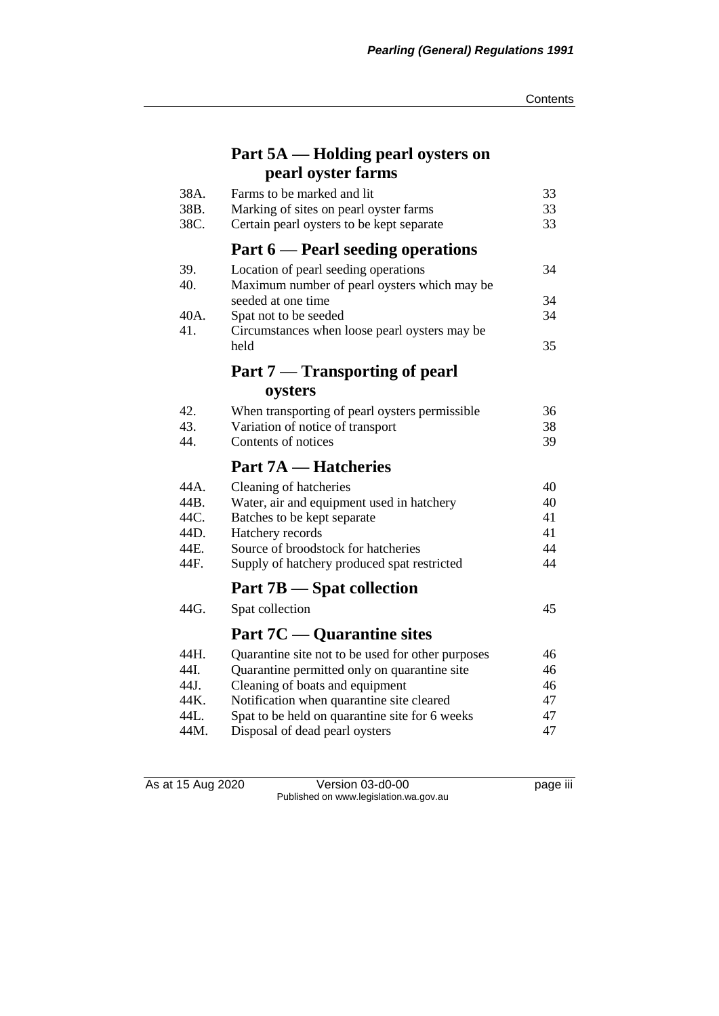# **Part 5A — Holding pearl oysters on pearl oyster farms**

| 38A. | Farms to be marked and lit                        | 33 |
|------|---------------------------------------------------|----|
| 38B. | Marking of sites on pearl oyster farms            | 33 |
| 38C. | Certain pearl oysters to be kept separate         | 33 |
|      | Part 6 — Pearl seeding operations                 |    |
| 39.  | Location of pearl seeding operations              | 34 |
| 40.  | Maximum number of pearl oysters which may be      |    |
|      | seeded at one time                                | 34 |
| 40A. | Spat not to be seeded                             | 34 |
| 41.  | Circumstances when loose pearl oysters may be     |    |
|      | held                                              | 35 |
|      | <b>Part 7 — Transporting of pearl</b>             |    |
|      | oysters                                           |    |
| 42.  | When transporting of pearl oysters permissible    | 36 |
| 43.  | Variation of notice of transport                  | 38 |
| 44.  | Contents of notices                               | 39 |
|      | <b>Part 7A — Hatcheries</b>                       |    |
| 44A. | Cleaning of hatcheries                            | 40 |
| 44B. | Water, air and equipment used in hatchery         | 40 |
| 44C. | Batches to be kept separate                       | 41 |
| 44D. | Hatchery records                                  | 41 |
| 44E. | Source of broodstock for hatcheries               | 44 |
| 44F. | Supply of hatchery produced spat restricted       | 44 |
|      | Part 7B – Spat collection                         |    |
| 44G. | Spat collection                                   | 45 |
|      | <b>Part 7C</b> — Quarantine sites                 |    |
| 44H. | Quarantine site not to be used for other purposes | 46 |
| 44I. | Quarantine permitted only on quarantine site      | 46 |
| 44J. | Cleaning of boats and equipment                   | 46 |
| 44K. | Notification when quarantine site cleared         | 47 |
| 44L. | Spat to be held on quarantine site for 6 weeks    | 47 |
| 44M. | Disposal of dead pearl oysters                    | 47 |

As at 15 Aug 2020 Version 03-d0-00 page iii Published on www.legislation.wa.gov.au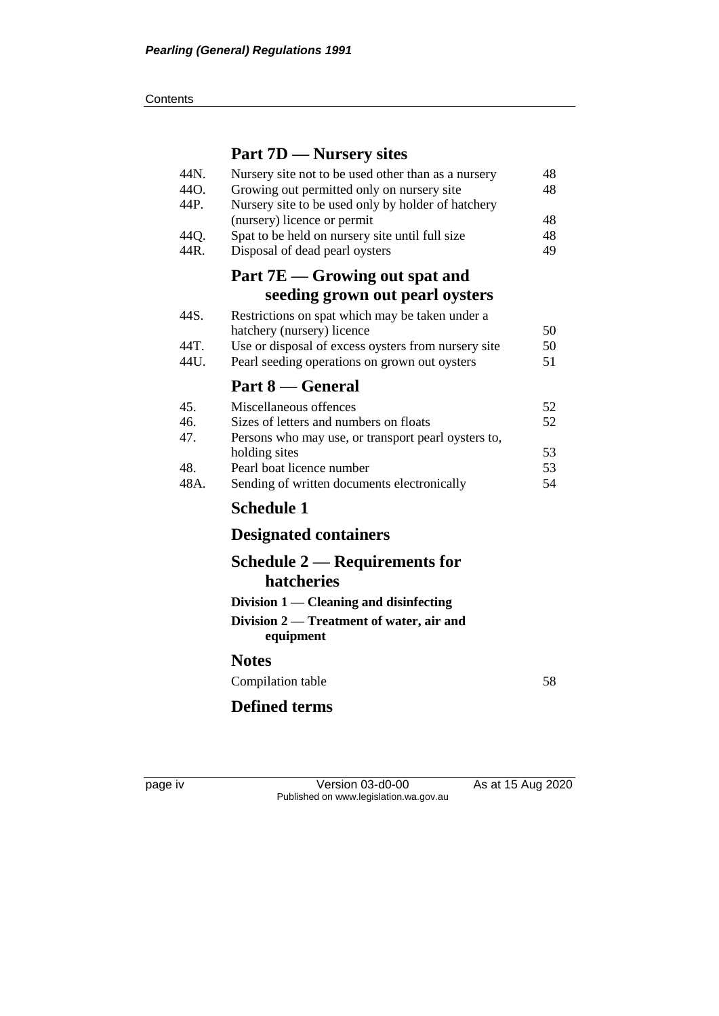**Contents** 

# **Part 7D — Nursery sites**

| 44N.<br>44O.<br>44P. | Nursery site not to be used other than as a nursery<br>Growing out permitted only on nursery site<br>Nursery site to be used only by holder of hatchery | 48<br>48 |
|----------------------|---------------------------------------------------------------------------------------------------------------------------------------------------------|----------|
|                      | (nursery) licence or permit                                                                                                                             | 48       |
| 44Q.                 | Spat to be held on nursery site until full size                                                                                                         | 48       |
| 44R.                 | Disposal of dead pearl oysters                                                                                                                          | 49       |
|                      | Part 7E – Growing out spat and                                                                                                                          |          |
|                      | seeding grown out pearl oysters                                                                                                                         |          |
| 44S.                 | Restrictions on spat which may be taken under a<br>hatchery (nursery) licence                                                                           | 50       |
| 44T.                 | Use or disposal of excess oysters from nursery site                                                                                                     | 50       |
| 44U.                 | Pearl seeding operations on grown out oysters                                                                                                           | 51       |
|                      | Part 8 — General                                                                                                                                        |          |
| 45.                  | Miscellaneous offences                                                                                                                                  | 52       |
| 46.                  | Sizes of letters and numbers on floats                                                                                                                  | 52       |
| 47.                  | Persons who may use, or transport pearl oysters to,                                                                                                     |          |
|                      | holding sites                                                                                                                                           | 53       |
| 48.                  | Pearl boat licence number                                                                                                                               | 53       |
| 48A.                 | Sending of written documents electronically                                                                                                             | 54       |
|                      | <b>Schedule 1</b>                                                                                                                                       |          |
|                      | <b>Designated containers</b>                                                                                                                            |          |
|                      | Schedule 2 — Requirements for                                                                                                                           |          |
|                      | hatcheries                                                                                                                                              |          |
|                      | Division 1 — Cleaning and disinfecting                                                                                                                  |          |
|                      | Division 2 — Treatment of water, air and<br>equipment                                                                                                   |          |
|                      | <b>Notes</b>                                                                                                                                            |          |
|                      | Compilation table                                                                                                                                       | 58       |
|                      | <b>Defined terms</b>                                                                                                                                    |          |
|                      |                                                                                                                                                         |          |

page iv Version 03-d0-00 As at 15 Aug 2020 Published on www.legislation.wa.gov.au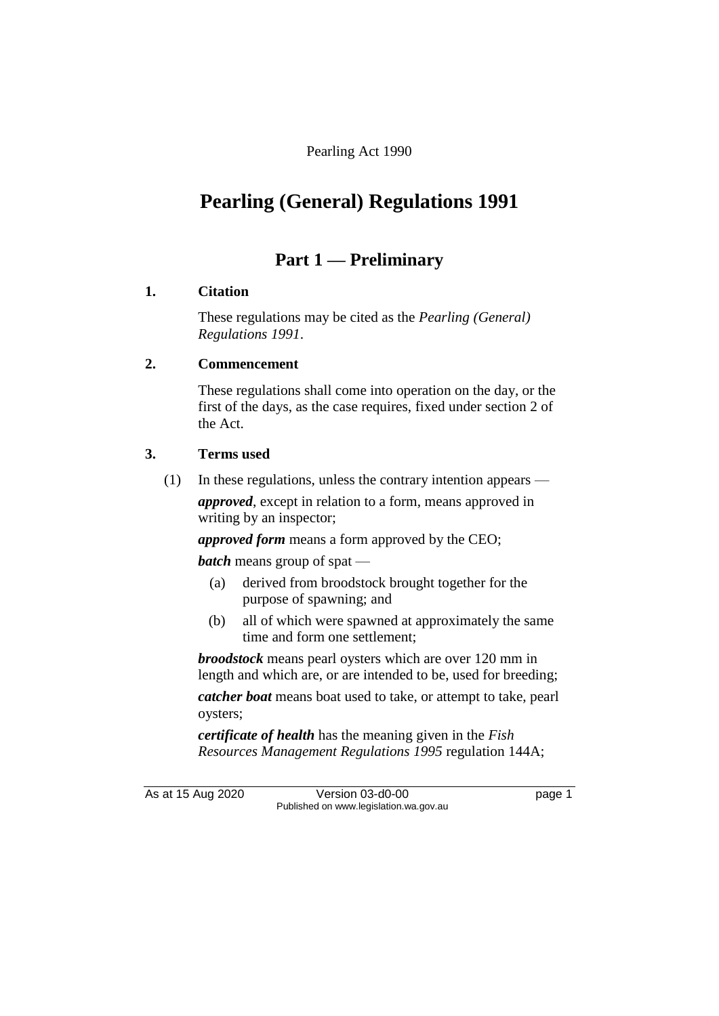Pearling Act 1990

# **Pearling (General) Regulations 1991**

## **Part 1 — Preliminary**

### **1. Citation**

These regulations may be cited as the *Pearling (General) Regulations 1991*.

### **2. Commencement**

These regulations shall come into operation on the day, or the first of the days, as the case requires, fixed under section 2 of the Act.

### **3. Terms used**

(1) In these regulations, unless the contrary intention appears —

*approved*, except in relation to a form, means approved in writing by an inspector;

*approved form* means a form approved by the CEO;

*batch* means group of spat —

- (a) derived from broodstock brought together for the purpose of spawning; and
- (b) all of which were spawned at approximately the same time and form one settlement;

*broodstock* means pearl oysters which are over 120 mm in length and which are, or are intended to be, used for breeding; *catcher boat* means boat used to take, or attempt to take, pearl

*certificate of health* has the meaning given in the *Fish Resources Management Regulations 1995* regulation 144A;

oysters;

As at 15 Aug 2020 Version 03-d0-00 page 1 Published on www.legislation.wa.gov.au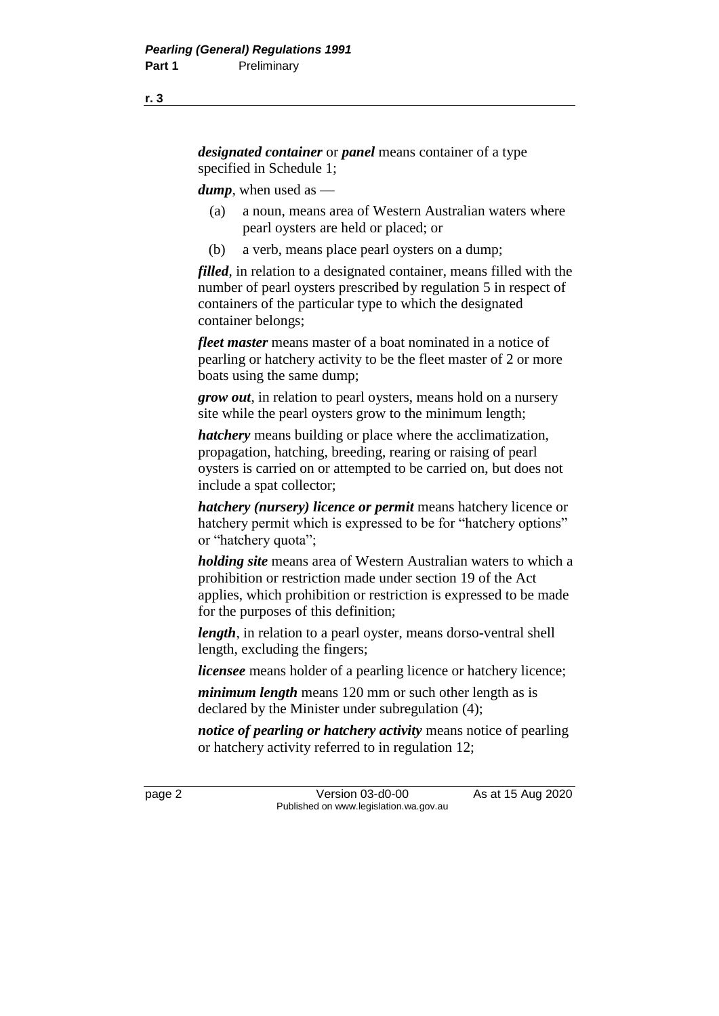*designated container* or *panel* means container of a type specified in Schedule 1;

*dump*, when used as —

- (a) a noun, means area of Western Australian waters where pearl oysters are held or placed; or
- (b) a verb, means place pearl oysters on a dump;

*filled*, in relation to a designated container, means filled with the number of pearl oysters prescribed by regulation 5 in respect of containers of the particular type to which the designated container belongs;

*fleet master* means master of a boat nominated in a notice of pearling or hatchery activity to be the fleet master of 2 or more boats using the same dump;

*grow out*, in relation to pearl oysters, means hold on a nursery site while the pearl oysters grow to the minimum length;

*hatchery* means building or place where the acclimatization, propagation, hatching, breeding, rearing or raising of pearl oysters is carried on or attempted to be carried on, but does not include a spat collector;

*hatchery (nursery) licence or permit* means hatchery licence or hatchery permit which is expressed to be for "hatchery options" or "hatchery quota";

*holding site* means area of Western Australian waters to which a prohibition or restriction made under section 19 of the Act applies, which prohibition or restriction is expressed to be made for the purposes of this definition;

*length*, in relation to a pearl oyster, means dorso-ventral shell length, excluding the fingers;

*licensee* means holder of a pearling licence or hatchery licence;

*minimum length* means 120 mm or such other length as is declared by the Minister under subregulation (4);

*notice of pearling or hatchery activity* means notice of pearling or hatchery activity referred to in regulation 12;

page 2 Version 03-d0-00 As at 15 Aug 2020 Published on www.legislation.wa.gov.au

**r. 3**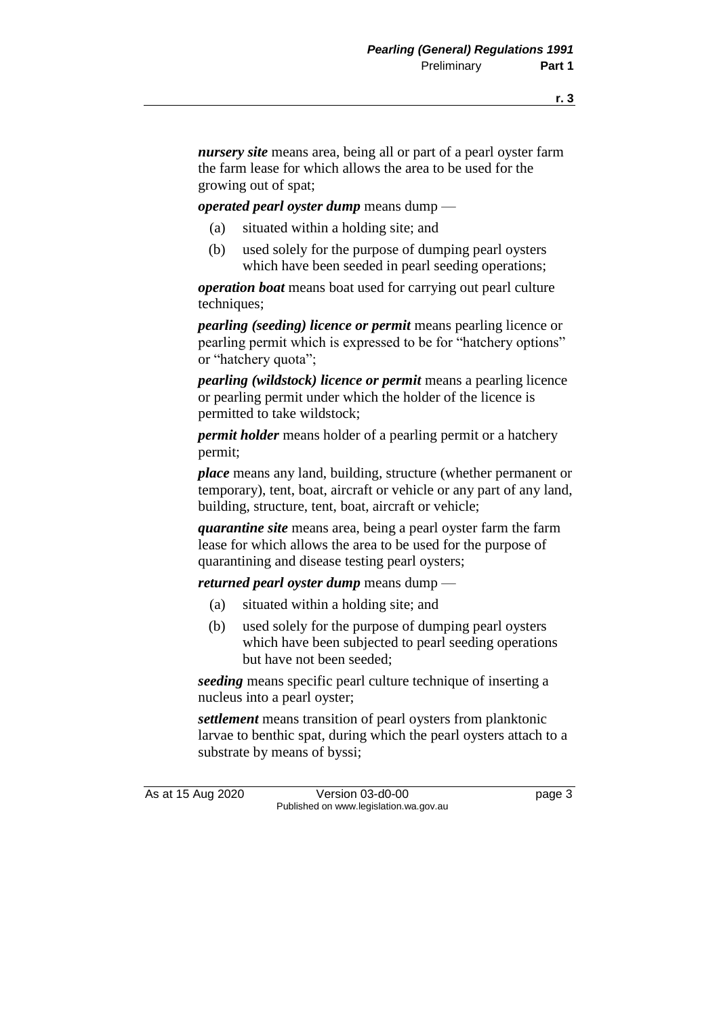*nursery site* means area, being all or part of a pearl oyster farm the farm lease for which allows the area to be used for the growing out of spat;

*operated pearl oyster dump* means dump —

- (a) situated within a holding site; and
- (b) used solely for the purpose of dumping pearl oysters which have been seeded in pearl seeding operations;

*operation boat* means boat used for carrying out pearl culture techniques;

*pearling (seeding) licence or permit* means pearling licence or pearling permit which is expressed to be for "hatchery options" or "hatchery quota";

*pearling (wildstock) licence or permit* means a pearling licence or pearling permit under which the holder of the licence is permitted to take wildstock;

*permit holder* means holder of a pearling permit or a hatchery permit;

*place* means any land, building, structure (whether permanent or temporary), tent, boat, aircraft or vehicle or any part of any land, building, structure, tent, boat, aircraft or vehicle;

*quarantine site* means area, being a pearl oyster farm the farm lease for which allows the area to be used for the purpose of quarantining and disease testing pearl oysters;

*returned pearl oyster dump* means dump —

- (a) situated within a holding site; and
- (b) used solely for the purpose of dumping pearl oysters which have been subjected to pearl seeding operations but have not been seeded;

*seeding* means specific pearl culture technique of inserting a nucleus into a pearl oyster;

*settlement* means transition of pearl oysters from planktonic larvae to benthic spat, during which the pearl oysters attach to a substrate by means of byssi;

As at 15 Aug 2020 Version 03-d0-00 page 3 Published on www.legislation.wa.gov.au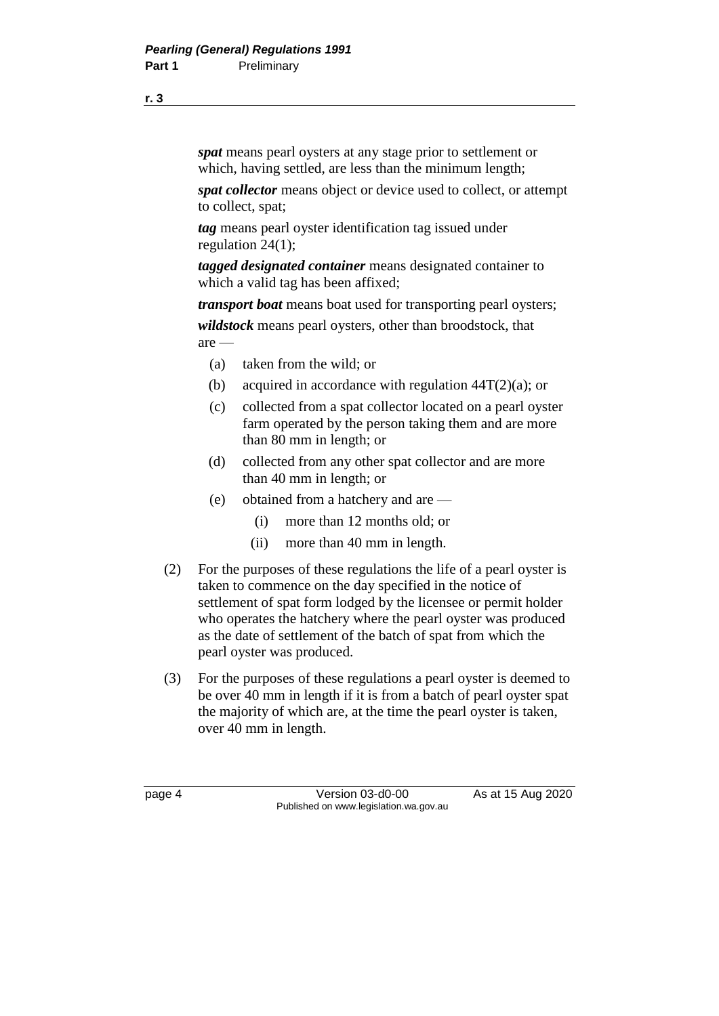*spat* means pearl oysters at any stage prior to settlement or which, having settled, are less than the minimum length;

*spat collector* means object or device used to collect, or attempt to collect, spat;

*tag* means pearl oyster identification tag issued under regulation 24(1);

*tagged designated container* means designated container to which a valid tag has been affixed;

*transport boat* means boat used for transporting pearl oysters; *wildstock* means pearl oysters, other than broodstock, that are —

- (a) taken from the wild; or
- (b) acquired in accordance with regulation  $44T(2)(a)$ ; or
- (c) collected from a spat collector located on a pearl oyster farm operated by the person taking them and are more than 80 mm in length; or
- (d) collected from any other spat collector and are more than 40 mm in length; or
- (e) obtained from a hatchery and are
	- (i) more than 12 months old; or
	- (ii) more than 40 mm in length.
- (2) For the purposes of these regulations the life of a pearl oyster is taken to commence on the day specified in the notice of settlement of spat form lodged by the licensee or permit holder who operates the hatchery where the pearl oyster was produced as the date of settlement of the batch of spat from which the pearl oyster was produced.
- (3) For the purposes of these regulations a pearl oyster is deemed to be over 40 mm in length if it is from a batch of pearl oyster spat the majority of which are, at the time the pearl oyster is taken, over 40 mm in length.

page 4 Version 03-d0-00 As at 15 Aug 2020 Published on www.legislation.wa.gov.au

**r. 3**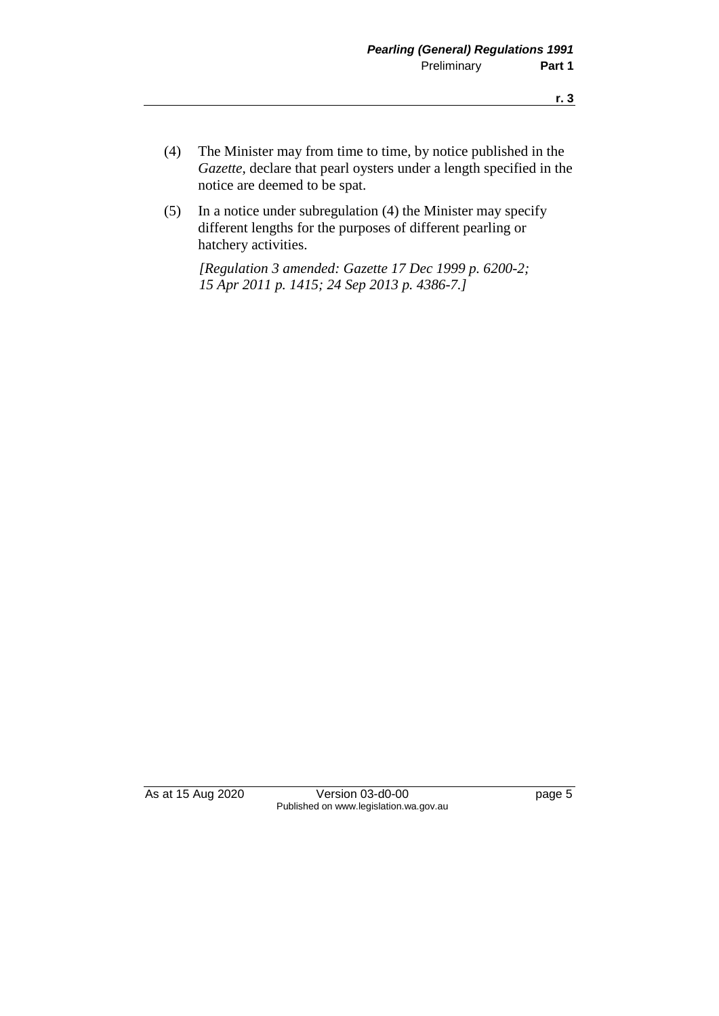- (4) The Minister may from time to time, by notice published in the *Gazette*, declare that pearl oysters under a length specified in the notice are deemed to be spat.
- (5) In a notice under subregulation (4) the Minister may specify different lengths for the purposes of different pearling or hatchery activities.

*[Regulation 3 amended: Gazette 17 Dec 1999 p. 6200-2; 15 Apr 2011 p. 1415; 24 Sep 2013 p. 4386-7.]*

As at 15 Aug 2020 Version 03-d0-00 page 5 Published on www.legislation.wa.gov.au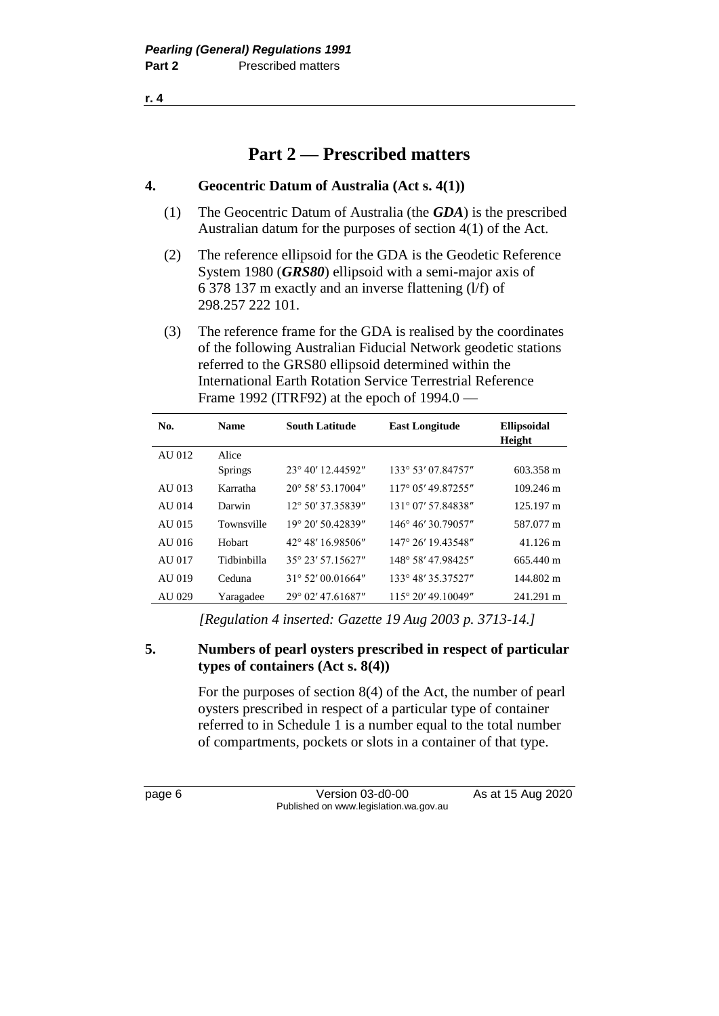**r. 4**

## **Part 2 — Prescribed matters**

### **4. Geocentric Datum of Australia (Act s. 4(1))**

- (1) The Geocentric Datum of Australia (the *GDA*) is the prescribed Australian datum for the purposes of section 4(1) of the Act.
- (2) The reference ellipsoid for the GDA is the Geodetic Reference System 1980 (*GRS80*) ellipsoid with a semi-major axis of 6 378 137 m exactly and an inverse flattening (l/f) of 298.257 222 101.
- (3) The reference frame for the GDA is realised by the coordinates of the following Australian Fiducial Network geodetic stations referred to the GRS80 ellipsoid determined within the International Earth Rotation Service Terrestrial Reference Frame 1992 (ITRF92) at the epoch of 1994.0 —

| No.    | <b>Name</b>    | <b>South Latitude</b>      | <b>East Longitude</b>        | <b>Ellipsoidal</b><br>Height |
|--------|----------------|----------------------------|------------------------------|------------------------------|
| AU 012 | Alice          |                            |                              |                              |
|        | <b>Springs</b> | $23^{\circ}$ 40' 12.44592" | 133° 53' 07.84757"           | 603.358 m                    |
| AU 013 | Karratha       | 20° 58′ 53.17004″          | 117° 05' 49.87255"           | $109.246 \text{ m}$          |
| AU 014 | Darwin         | 12° 50' 37.35839"          | 131° 07' 57.84838"           | 125.197 m                    |
| AU 015 | Townsville     | $19^{\circ}$ 20' 50.42839" | 146° 46' 30.79057"           | 587.077 m                    |
| AU 016 | Hobart         | 42° 48' 16.98506"          | 147° 26' 19.43548"           | $41.126 \text{ m}$           |
| AU 017 | Tidbinbilla    | 35° 23′ 57.15627″          | 148° 58' 47.98425"           | 665.440 m                    |
| AU 019 | Ceduna         | $31^{\circ}$ 52' 00.01664" | 133° 48′ 35.37527″           | 144.802 m                    |
| AU 029 | Yaragadee      | $29^{\circ}$ 02' 47.61687" | $115^{\circ} 20' 49.10049''$ | 241.291 m                    |

*[Regulation 4 inserted: Gazette 19 Aug 2003 p. 3713-14.]*

### **5. Numbers of pearl oysters prescribed in respect of particular types of containers (Act s. 8(4))**

For the purposes of section 8(4) of the Act, the number of pearl oysters prescribed in respect of a particular type of container referred to in Schedule 1 is a number equal to the total number of compartments, pockets or slots in a container of that type.

page 6 Version 03-d0-00 As at 15 Aug 2020 Published on www.legislation.wa.gov.au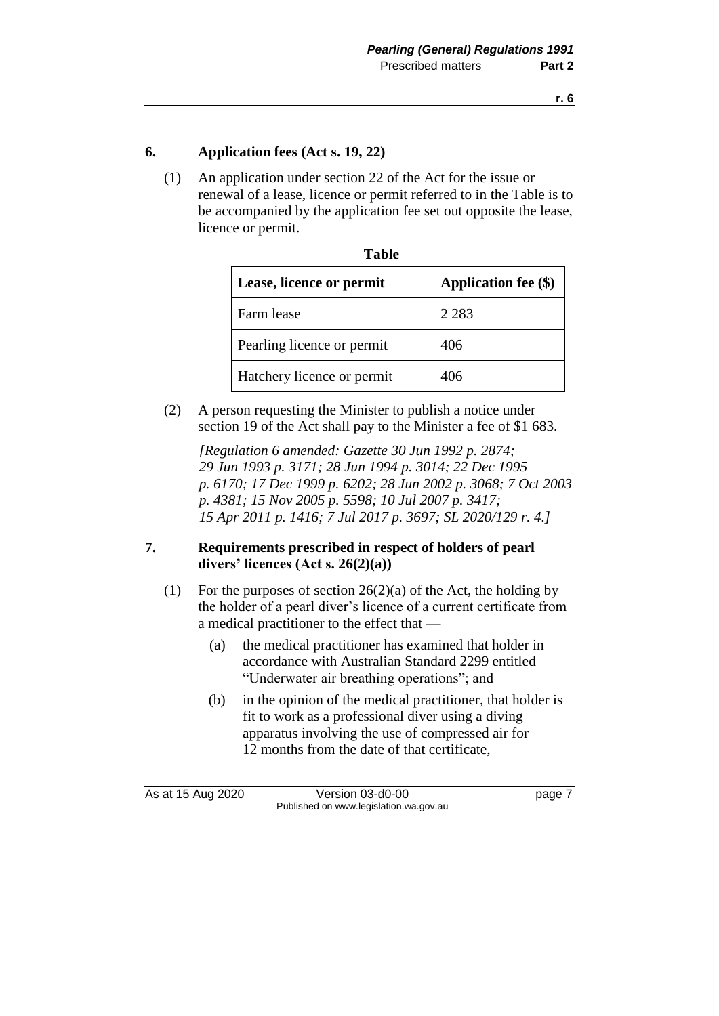### **6. Application fees (Act s. 19, 22)**

(1) An application under section 22 of the Act for the issue or renewal of a lease, licence or permit referred to in the Table is to be accompanied by the application fee set out opposite the lease, licence or permit.

**Table** 

| Table                      |                             |  |  |
|----------------------------|-----------------------------|--|--|
| Lease, licence or permit   | <b>Application fee (\$)</b> |  |  |
| Farm lease                 | 2 2 8 3                     |  |  |
| Pearling licence or permit | 406                         |  |  |
| Hatchery licence or permit | 406                         |  |  |

(2) A person requesting the Minister to publish a notice under section 19 of the Act shall pay to the Minister a fee of \$1 683.

*[Regulation 6 amended: Gazette 30 Jun 1992 p. 2874; 29 Jun 1993 p. 3171; 28 Jun 1994 p. 3014; 22 Dec 1995 p. 6170; 17 Dec 1999 p. 6202; 28 Jun 2002 p. 3068; 7 Oct 2003 p. 4381; 15 Nov 2005 p. 5598; 10 Jul 2007 p. 3417; 15 Apr 2011 p. 1416; 7 Jul 2017 p. 3697; SL 2020/129 r. 4.]*

### **7. Requirements prescribed in respect of holders of pearl divers' licences (Act s. 26(2)(a))**

- (1) For the purposes of section  $26(2)(a)$  of the Act, the holding by the holder of a pearl diver's licence of a current certificate from a medical practitioner to the effect that —
	- (a) the medical practitioner has examined that holder in accordance with Australian Standard 2299 entitled "Underwater air breathing operations"; and
	- (b) in the opinion of the medical practitioner, that holder is fit to work as a professional diver using a diving apparatus involving the use of compressed air for 12 months from the date of that certificate,

As at 15 Aug 2020 Version 03-d0-00 page 7 Published on www.legislation.wa.gov.au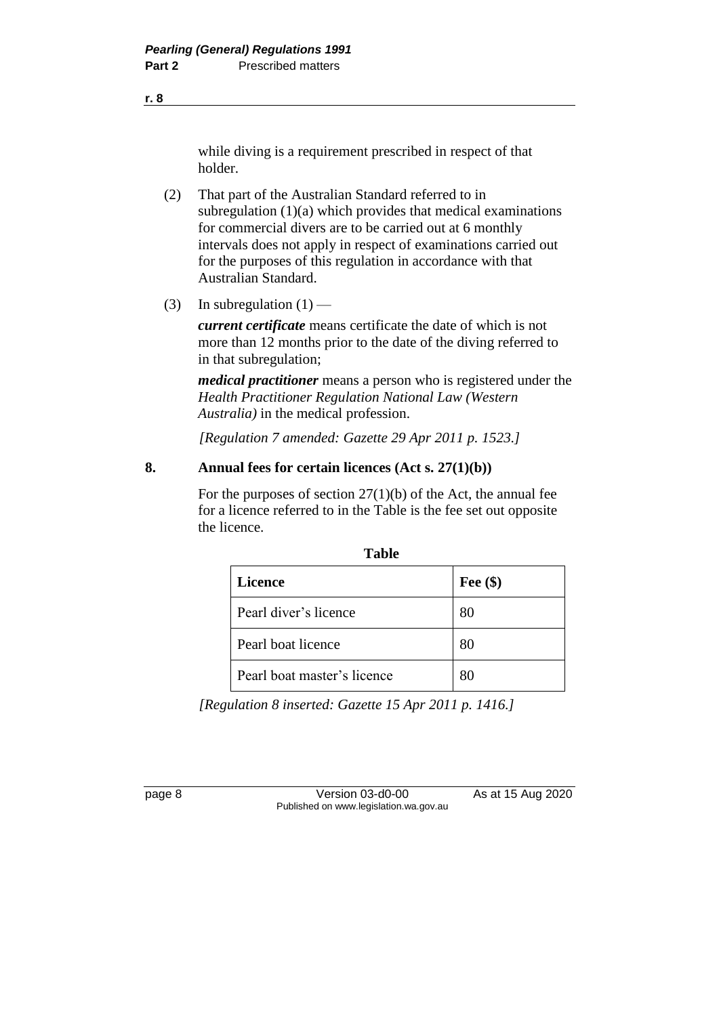while diving is a requirement prescribed in respect of that holder.

- (2) That part of the Australian Standard referred to in subregulation (1)(a) which provides that medical examinations for commercial divers are to be carried out at 6 monthly intervals does not apply in respect of examinations carried out for the purposes of this regulation in accordance with that Australian Standard.
- (3) In subregulation  $(1)$  —

*current certificate* means certificate the date of which is not more than 12 months prior to the date of the diving referred to in that subregulation;

*medical practitioner* means a person who is registered under the *Health Practitioner Regulation National Law (Western Australia)* in the medical profession.

*[Regulation 7 amended: Gazette 29 Apr 2011 p. 1523.]*

### **8. Annual fees for certain licences (Act s. 27(1)(b))**

For the purposes of section  $27(1)(b)$  of the Act, the annual fee for a licence referred to in the Table is the fee set out opposite the licence.

| TUNIC                       |            |  |  |
|-----------------------------|------------|--|--|
| <b>Licence</b>              | Fee $(\$)$ |  |  |
| Pearl diver's licence       | 80         |  |  |
| Pearl boat licence          | 80         |  |  |
| Pearl boat master's licence | 80         |  |  |

**Table**

*[Regulation 8 inserted: Gazette 15 Apr 2011 p. 1416.]*

page 8 Version 03-d0-00 As at 15 Aug 2020 Published on www.legislation.wa.gov.au

**r. 8**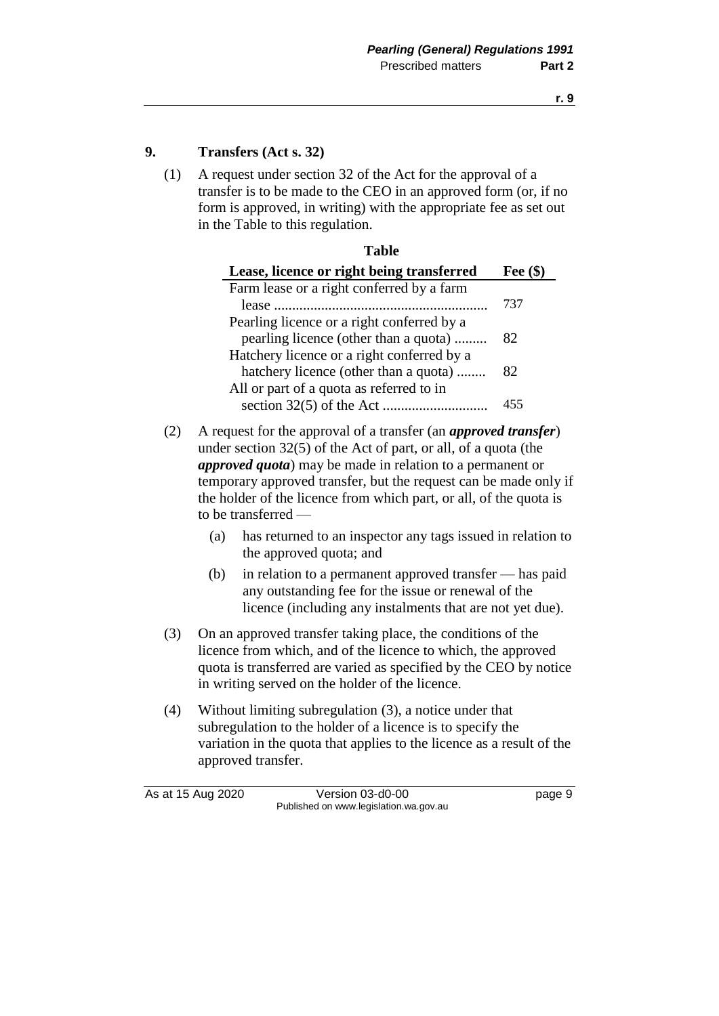### **9. Transfers (Act s. 32)**

(1) A request under section 32 of the Act for the approval of a transfer is to be made to the CEO in an approved form (or, if no form is approved, in writing) with the appropriate fee as set out in the Table to this regulation.

|     |                                                                                                                                                                                                                                                                                                                                                                                    | <b>Table</b>                                                                                                                                                                                                                                         |            |
|-----|------------------------------------------------------------------------------------------------------------------------------------------------------------------------------------------------------------------------------------------------------------------------------------------------------------------------------------------------------------------------------------|------------------------------------------------------------------------------------------------------------------------------------------------------------------------------------------------------------------------------------------------------|------------|
|     |                                                                                                                                                                                                                                                                                                                                                                                    | Lease, licence or right being transferred                                                                                                                                                                                                            | Fee $(\$)$ |
|     |                                                                                                                                                                                                                                                                                                                                                                                    | Farm lease or a right conferred by a farm<br>Pearling licence or a right conferred by a                                                                                                                                                              | 737        |
|     |                                                                                                                                                                                                                                                                                                                                                                                    | pearling licence (other than a quota)<br>Hatchery licence or a right conferred by a                                                                                                                                                                  | 82         |
|     |                                                                                                                                                                                                                                                                                                                                                                                    | hatchery licence (other than a quota)<br>All or part of a quota as referred to in                                                                                                                                                                    | 82         |
|     |                                                                                                                                                                                                                                                                                                                                                                                    |                                                                                                                                                                                                                                                      | 455        |
| (2) | A request for the approval of a transfer (an <i>approved transfer</i> )<br>under section $32(5)$ of the Act of part, or all, of a quota (the<br><i>approved quota</i> ) may be made in relation to a permanent or<br>temporary approved transfer, but the request can be made only if<br>the holder of the licence from which part, or all, of the quota is<br>to be transferred - |                                                                                                                                                                                                                                                      |            |
|     | (a)                                                                                                                                                                                                                                                                                                                                                                                | has returned to an inspector any tags issued in relation to<br>the approved quota; and                                                                                                                                                               |            |
|     | (b)                                                                                                                                                                                                                                                                                                                                                                                | in relation to a permanent approved transfer — has paid<br>any outstanding fee for the issue or renewal of the<br>licence (including any instalments that are not yet due).                                                                          |            |
| (3) |                                                                                                                                                                                                                                                                                                                                                                                    | On an approved transfer taking place, the conditions of the<br>licence from which, and of the licence to which, the approved<br>quota is transferred are varied as specified by the CEO by notice<br>in writing served on the holder of the licence. |            |
|     |                                                                                                                                                                                                                                                                                                                                                                                    | <b>TERMS</b> $\begin{bmatrix} 1 & 1 & 1 & 1 & 1 \end{bmatrix}$ $\begin{bmatrix} 1 & 1 & 1 & 1 \end{bmatrix}$ $\begin{bmatrix} 1 & 1 & 1 \end{bmatrix}$ $\begin{bmatrix} 0 & 1 & 1 \end{bmatrix}$                                                     |            |

(4) Without limiting subregulation (3), a notice under that subregulation to the holder of a licence is to specify the variation in the quota that applies to the licence as a result of the approved transfer.

As at 15 Aug 2020 Version 03-d0-00 page 9 Published on www.legislation.wa.gov.au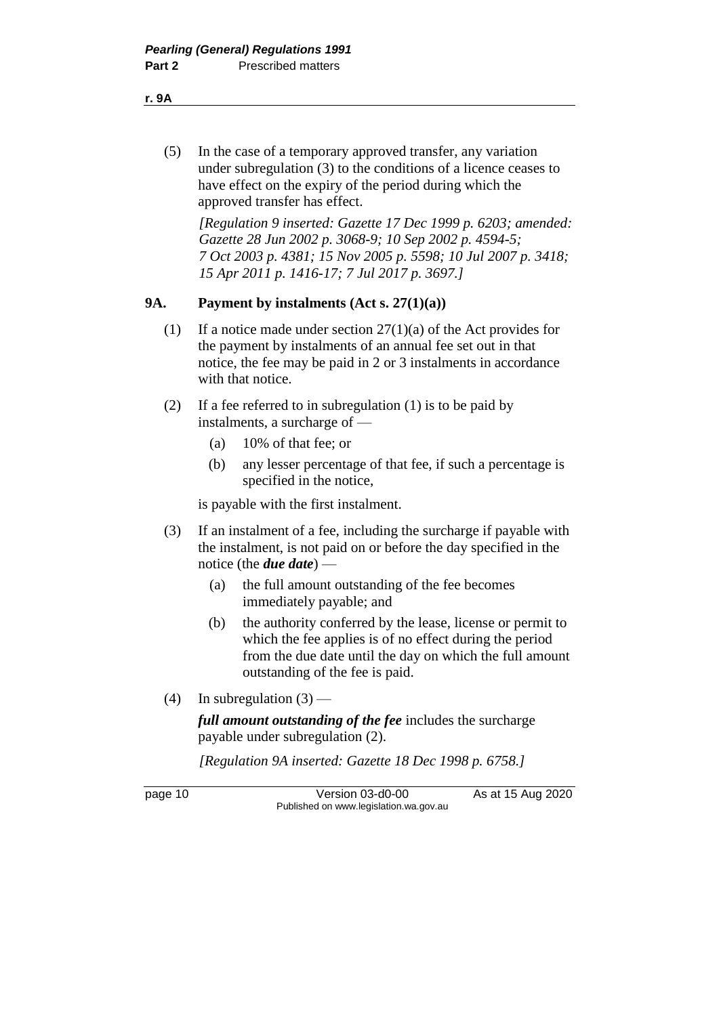(5) In the case of a temporary approved transfer, any variation under subregulation (3) to the conditions of a licence ceases to have effect on the expiry of the period during which the approved transfer has effect.

*[Regulation 9 inserted: Gazette 17 Dec 1999 p. 6203; amended: Gazette 28 Jun 2002 p. 3068-9; 10 Sep 2002 p. 4594-5; 7 Oct 2003 p. 4381; 15 Nov 2005 p. 5598; 10 Jul 2007 p. 3418; 15 Apr 2011 p. 1416-17; 7 Jul 2017 p. 3697.]*

### **9A. Payment by instalments (Act s. 27(1)(a))**

- (1) If a notice made under section  $27(1)(a)$  of the Act provides for the payment by instalments of an annual fee set out in that notice, the fee may be paid in 2 or 3 instalments in accordance with that notice.
- (2) If a fee referred to in subregulation (1) is to be paid by instalments, a surcharge of —
	- (a) 10% of that fee; or
	- (b) any lesser percentage of that fee, if such a percentage is specified in the notice,

is payable with the first instalment.

- (3) If an instalment of a fee, including the surcharge if payable with the instalment, is not paid on or before the day specified in the notice (the *due date*) —
	- (a) the full amount outstanding of the fee becomes immediately payable; and
	- (b) the authority conferred by the lease, license or permit to which the fee applies is of no effect during the period from the due date until the day on which the full amount outstanding of the fee is paid.
- (4) In subregulation  $(3)$  —

*full amount outstanding of the fee* includes the surcharge payable under subregulation (2).

*[Regulation 9A inserted: Gazette 18 Dec 1998 p. 6758.]*

page 10 Version 03-d0-00 As at 15 Aug 2020 Published on www.legislation.wa.gov.au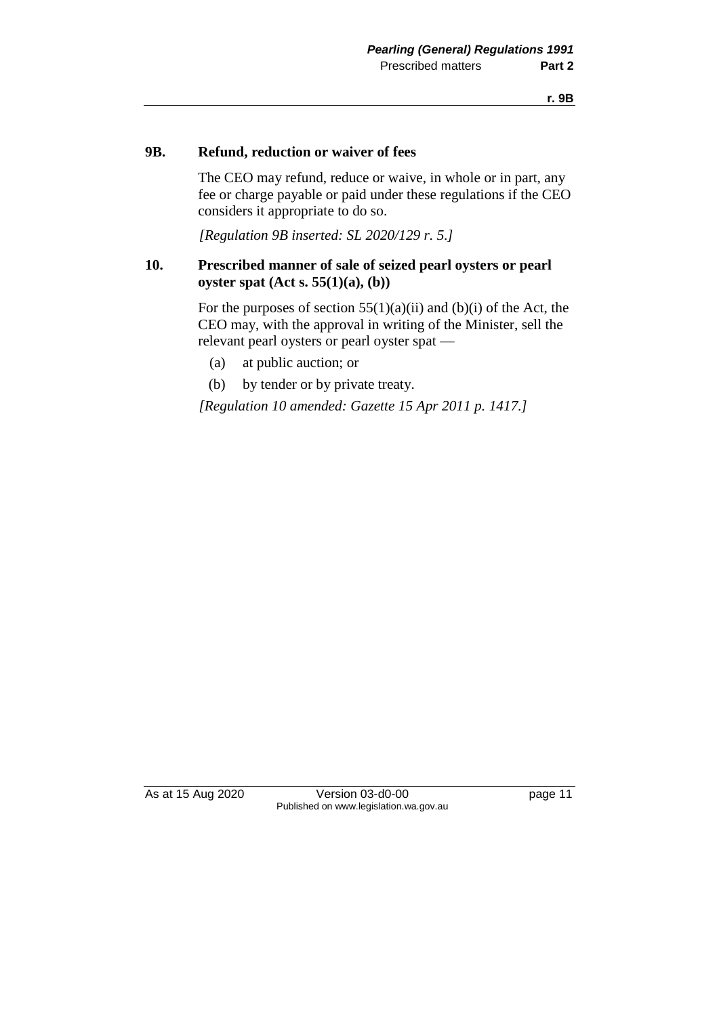### **9B. Refund, reduction or waiver of fees**

The CEO may refund, reduce or waive, in whole or in part, any fee or charge payable or paid under these regulations if the CEO considers it appropriate to do so.

*[Regulation 9B inserted: SL 2020/129 r. 5.]*

### **10. Prescribed manner of sale of seized pearl oysters or pearl oyster spat (Act s. 55(1)(a), (b))**

For the purposes of section  $55(1)(a)(ii)$  and  $(b)(i)$  of the Act, the CEO may, with the approval in writing of the Minister, sell the relevant pearl oysters or pearl oyster spat —

- (a) at public auction; or
- (b) by tender or by private treaty.

*[Regulation 10 amended: Gazette 15 Apr 2011 p. 1417.]*

As at 15 Aug 2020 Version 03-d0-00 page 11 Published on www.legislation.wa.gov.au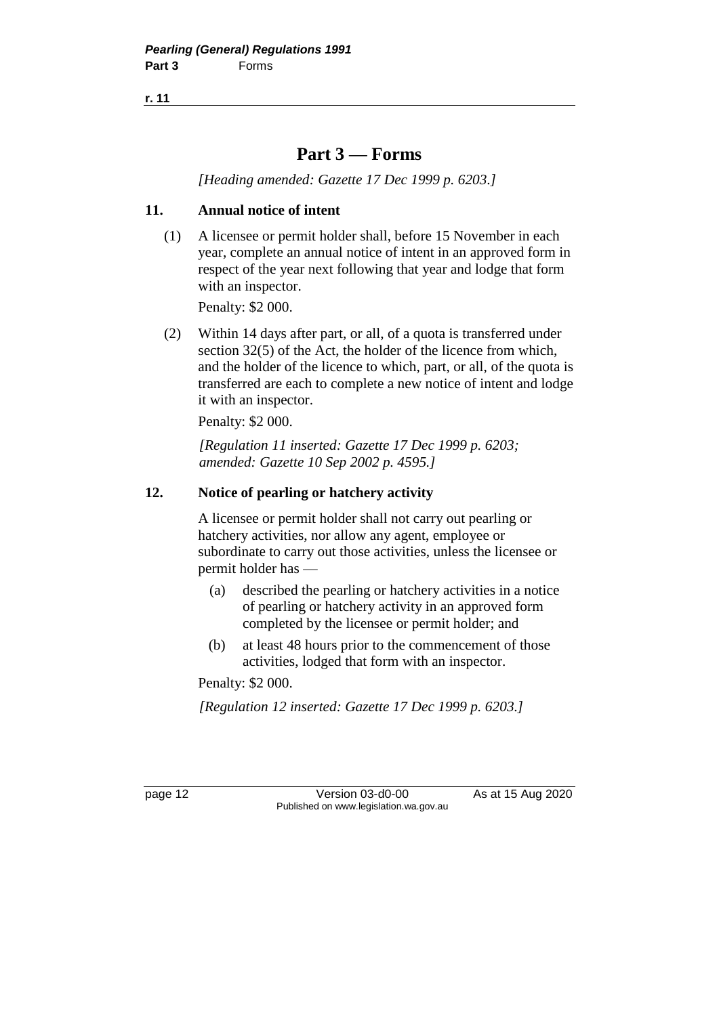**r. 11**

### **Part 3 — Forms**

*[Heading amended: Gazette 17 Dec 1999 p. 6203.]*

### **11. Annual notice of intent**

(1) A licensee or permit holder shall, before 15 November in each year, complete an annual notice of intent in an approved form in respect of the year next following that year and lodge that form with an inspector.

Penalty: \$2 000.

(2) Within 14 days after part, or all, of a quota is transferred under section 32(5) of the Act, the holder of the licence from which, and the holder of the licence to which, part, or all, of the quota is transferred are each to complete a new notice of intent and lodge it with an inspector.

Penalty: \$2 000.

*[Regulation 11 inserted: Gazette 17 Dec 1999 p. 6203; amended: Gazette 10 Sep 2002 p. 4595.]*

### **12. Notice of pearling or hatchery activity**

A licensee or permit holder shall not carry out pearling or hatchery activities, nor allow any agent, employee or subordinate to carry out those activities, unless the licensee or permit holder has —

- (a) described the pearling or hatchery activities in a notice of pearling or hatchery activity in an approved form completed by the licensee or permit holder; and
- (b) at least 48 hours prior to the commencement of those activities, lodged that form with an inspector.

Penalty: \$2 000.

*[Regulation 12 inserted: Gazette 17 Dec 1999 p. 6203.]*

page 12 Version 03-d0-00 As at 15 Aug 2020 Published on www.legislation.wa.gov.au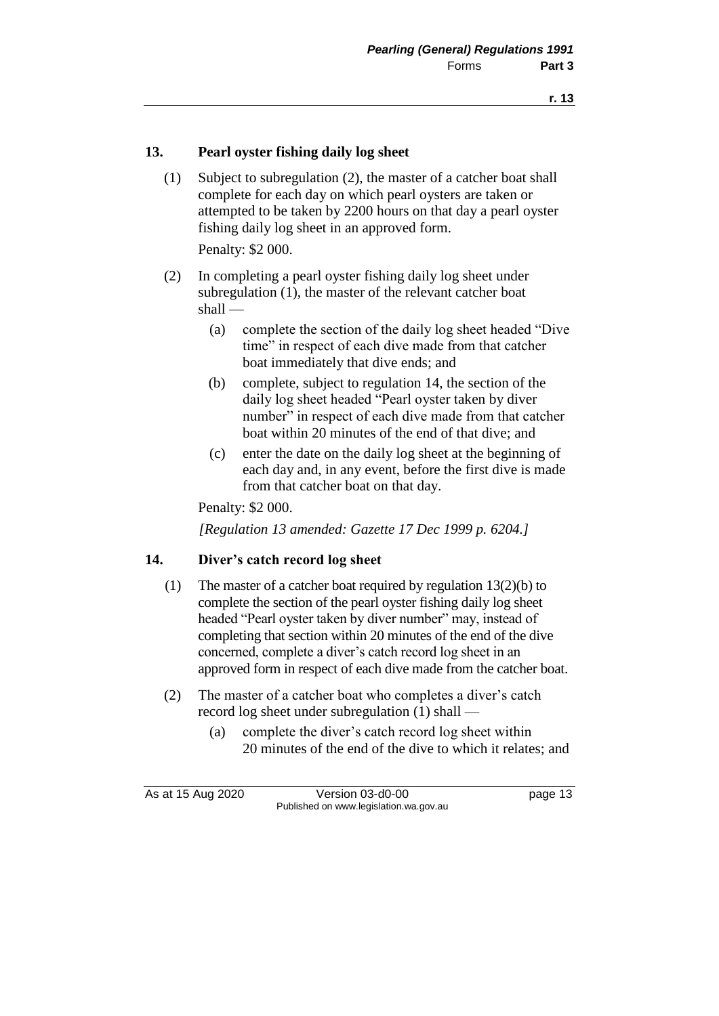### **13. Pearl oyster fishing daily log sheet**

(1) Subject to subregulation (2), the master of a catcher boat shall complete for each day on which pearl oysters are taken or attempted to be taken by 2200 hours on that day a pearl oyster fishing daily log sheet in an approved form.

Penalty: \$2 000.

- (2) In completing a pearl oyster fishing daily log sheet under subregulation (1), the master of the relevant catcher boat shall —
	- (a) complete the section of the daily log sheet headed "Dive time" in respect of each dive made from that catcher boat immediately that dive ends; and
	- (b) complete, subject to regulation 14, the section of the daily log sheet headed "Pearl oyster taken by diver number" in respect of each dive made from that catcher boat within 20 minutes of the end of that dive; and
	- (c) enter the date on the daily log sheet at the beginning of each day and, in any event, before the first dive is made from that catcher boat on that day.

Penalty: \$2 000.

*[Regulation 13 amended: Gazette 17 Dec 1999 p. 6204.]*

### **14. Diver's catch record log sheet**

- (1) The master of a catcher boat required by regulation 13(2)(b) to complete the section of the pearl oyster fishing daily log sheet headed "Pearl oyster taken by diver number" may, instead of completing that section within 20 minutes of the end of the dive concerned, complete a diver's catch record log sheet in an approved form in respect of each dive made from the catcher boat.
- (2) The master of a catcher boat who completes a diver's catch record log sheet under subregulation (1) shall —
	- (a) complete the diver's catch record log sheet within 20 minutes of the end of the dive to which it relates; and

As at 15 Aug 2020 Version 03-d0-00 page 13 Published on www.legislation.wa.gov.au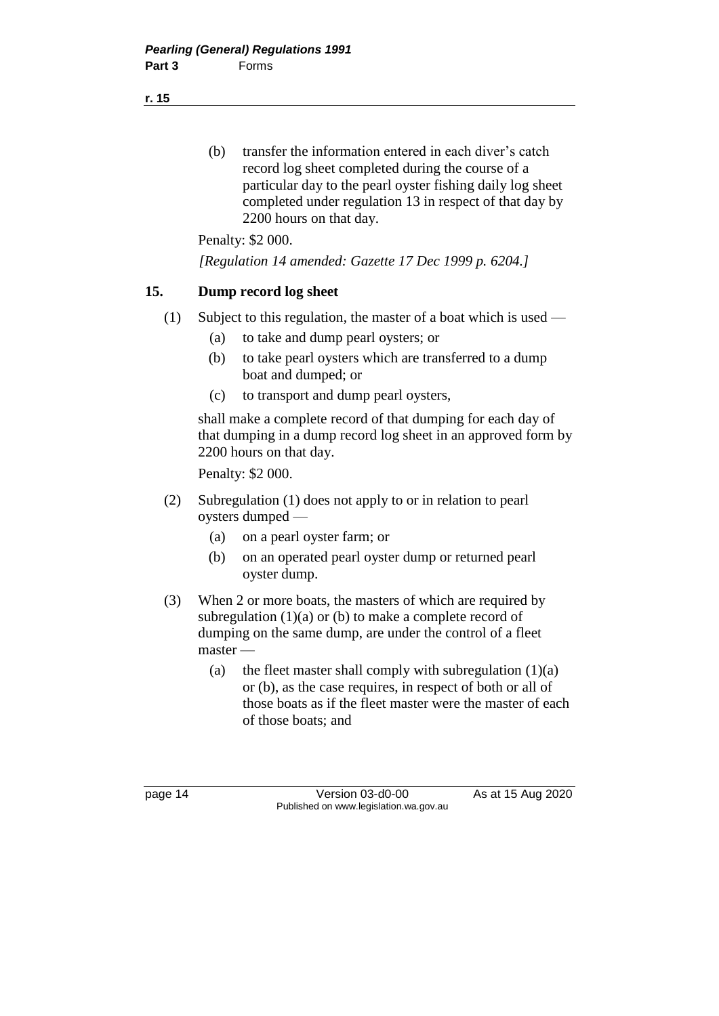(b) transfer the information entered in each diver's catch record log sheet completed during the course of a particular day to the pearl oyster fishing daily log sheet completed under regulation 13 in respect of that day by 2200 hours on that day.

Penalty: \$2 000.

*[Regulation 14 amended: Gazette 17 Dec 1999 p. 6204.]*

### **15. Dump record log sheet**

- (1) Subject to this regulation, the master of a boat which is used
	- (a) to take and dump pearl oysters; or
	- (b) to take pearl oysters which are transferred to a dump boat and dumped; or
	- (c) to transport and dump pearl oysters,

shall make a complete record of that dumping for each day of that dumping in a dump record log sheet in an approved form by 2200 hours on that day.

Penalty: \$2 000.

- (2) Subregulation (1) does not apply to or in relation to pearl oysters dumped —
	- (a) on a pearl oyster farm; or
	- (b) on an operated pearl oyster dump or returned pearl oyster dump.
- (3) When 2 or more boats, the masters of which are required by subregulation  $(1)(a)$  or  $(b)$  to make a complete record of dumping on the same dump, are under the control of a fleet master —
	- (a) the fleet master shall comply with subregulation  $(1)(a)$ or (b), as the case requires, in respect of both or all of those boats as if the fleet master were the master of each of those boats; and

page 14 Version 03-d0-00 As at 15 Aug 2020 Published on www.legislation.wa.gov.au

**r. 15**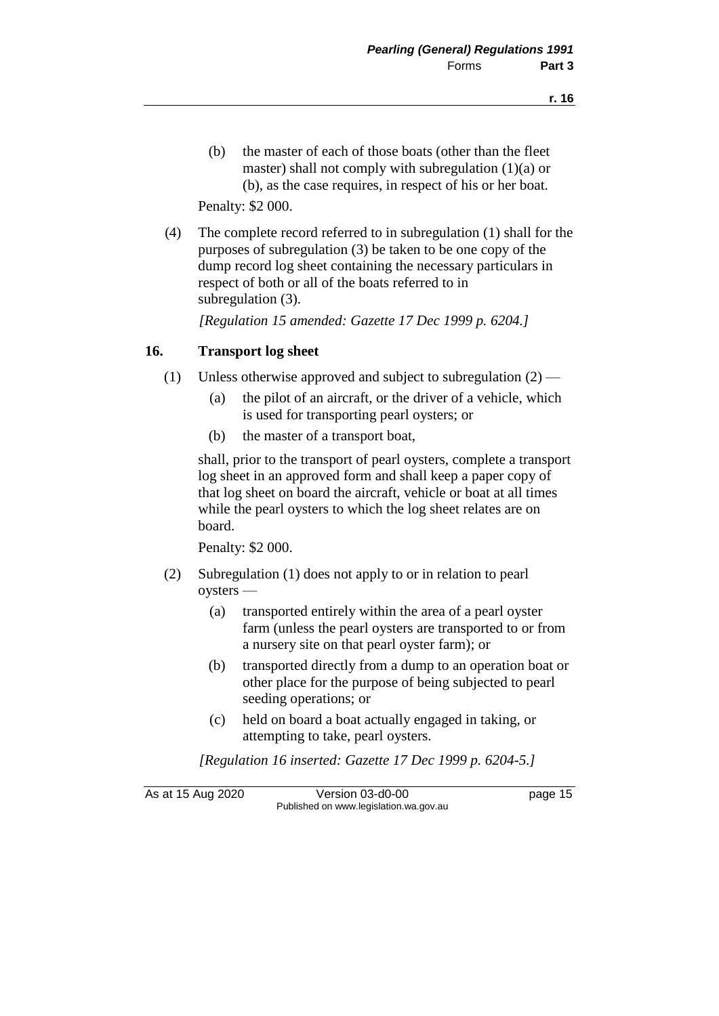(b) the master of each of those boats (other than the fleet master) shall not comply with subregulation  $(1)(a)$  or (b), as the case requires, in respect of his or her boat.

Penalty: \$2 000.

(4) The complete record referred to in subregulation (1) shall for the purposes of subregulation (3) be taken to be one copy of the dump record log sheet containing the necessary particulars in respect of both or all of the boats referred to in subregulation (3).

*[Regulation 15 amended: Gazette 17 Dec 1999 p. 6204.]*

### **16. Transport log sheet**

- (1) Unless otherwise approved and subject to subregulation  $(2)$ 
	- (a) the pilot of an aircraft, or the driver of a vehicle, which is used for transporting pearl oysters; or
	- (b) the master of a transport boat,

shall, prior to the transport of pearl oysters, complete a transport log sheet in an approved form and shall keep a paper copy of that log sheet on board the aircraft, vehicle or boat at all times while the pearl oysters to which the log sheet relates are on board.

Penalty: \$2 000.

- (2) Subregulation (1) does not apply to or in relation to pearl oysters —
	- (a) transported entirely within the area of a pearl oyster farm (unless the pearl oysters are transported to or from a nursery site on that pearl oyster farm); or
	- (b) transported directly from a dump to an operation boat or other place for the purpose of being subjected to pearl seeding operations; or
	- (c) held on board a boat actually engaged in taking, or attempting to take, pearl oysters.

*[Regulation 16 inserted: Gazette 17 Dec 1999 p. 6204-5.]*

As at 15 Aug 2020 Version 03-d0-00 page 15 Published on www.legislation.wa.gov.au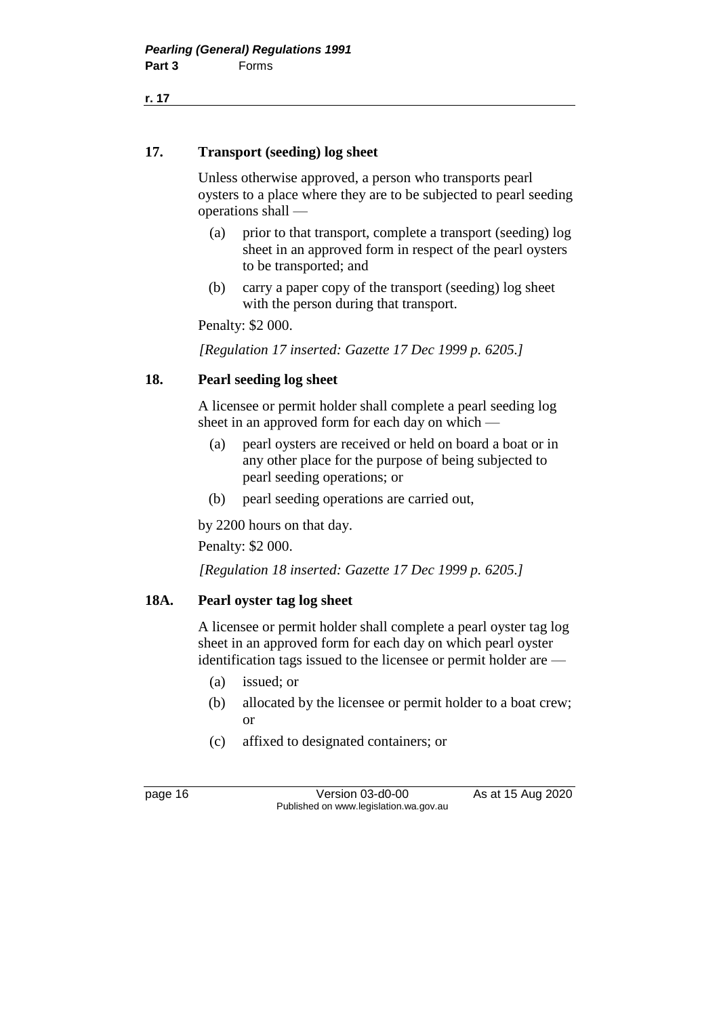**r. 17**

### **17. Transport (seeding) log sheet**

Unless otherwise approved, a person who transports pearl oysters to a place where they are to be subjected to pearl seeding operations shall —

- (a) prior to that transport, complete a transport (seeding) log sheet in an approved form in respect of the pearl oysters to be transported; and
- (b) carry a paper copy of the transport (seeding) log sheet with the person during that transport.

Penalty: \$2 000.

*[Regulation 17 inserted: Gazette 17 Dec 1999 p. 6205.]*

### **18. Pearl seeding log sheet**

A licensee or permit holder shall complete a pearl seeding log sheet in an approved form for each day on which —

- (a) pearl oysters are received or held on board a boat or in any other place for the purpose of being subjected to pearl seeding operations; or
- (b) pearl seeding operations are carried out,

by 2200 hours on that day.

Penalty: \$2 000.

*[Regulation 18 inserted: Gazette 17 Dec 1999 p. 6205.]*

### **18A. Pearl oyster tag log sheet**

A licensee or permit holder shall complete a pearl oyster tag log sheet in an approved form for each day on which pearl oyster identification tags issued to the licensee or permit holder are —

- (a) issued; or
- (b) allocated by the licensee or permit holder to a boat crew; or
- (c) affixed to designated containers; or

page 16 Version 03-d0-00 As at 15 Aug 2020 Published on www.legislation.wa.gov.au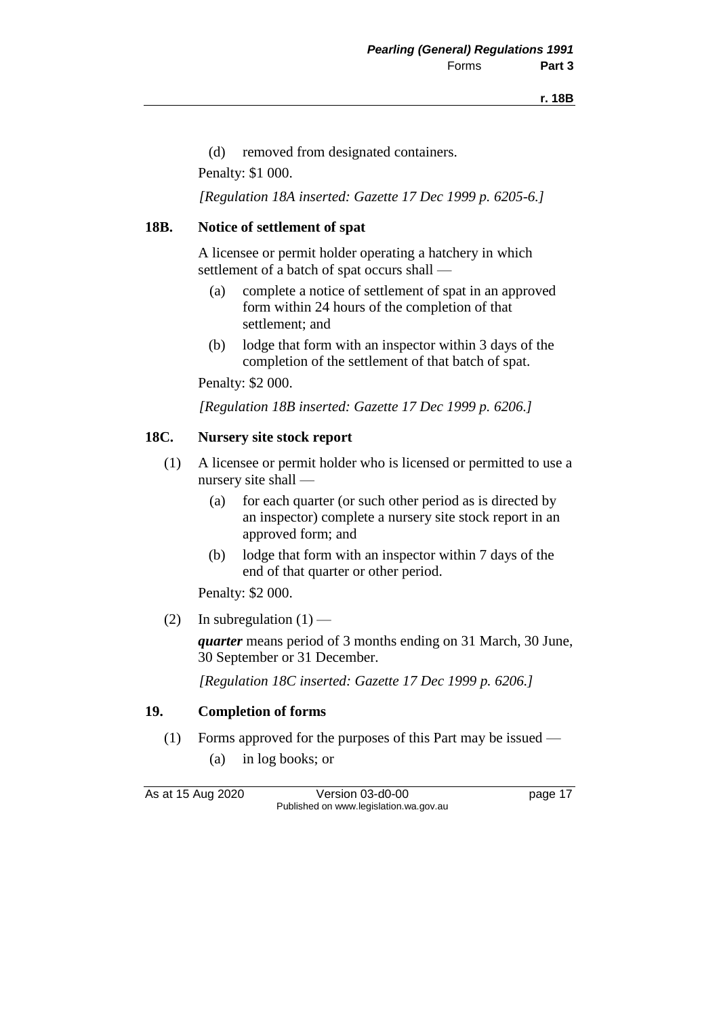(d) removed from designated containers.

Penalty: \$1 000.

*[Regulation 18A inserted: Gazette 17 Dec 1999 p. 6205-6.]*

#### **18B. Notice of settlement of spat**

A licensee or permit holder operating a hatchery in which settlement of a batch of spat occurs shall —

- (a) complete a notice of settlement of spat in an approved form within 24 hours of the completion of that settlement; and
- (b) lodge that form with an inspector within 3 days of the completion of the settlement of that batch of spat.

Penalty: \$2 000.

*[Regulation 18B inserted: Gazette 17 Dec 1999 p. 6206.]*

#### **18C. Nursery site stock report**

- (1) A licensee or permit holder who is licensed or permitted to use a nursery site shall —
	- (a) for each quarter (or such other period as is directed by an inspector) complete a nursery site stock report in an approved form; and
	- (b) lodge that form with an inspector within 7 days of the end of that quarter or other period.

Penalty: \$2 000.

(2) In subregulation  $(1)$  —

*quarter* means period of 3 months ending on 31 March, 30 June, 30 September or 31 December.

*[Regulation 18C inserted: Gazette 17 Dec 1999 p. 6206.]*

#### **19. Completion of forms**

- (1) Forms approved for the purposes of this Part may be issued
	- (a) in log books; or

As at 15 Aug 2020 Version 03-d0-00 page 17 Published on www.legislation.wa.gov.au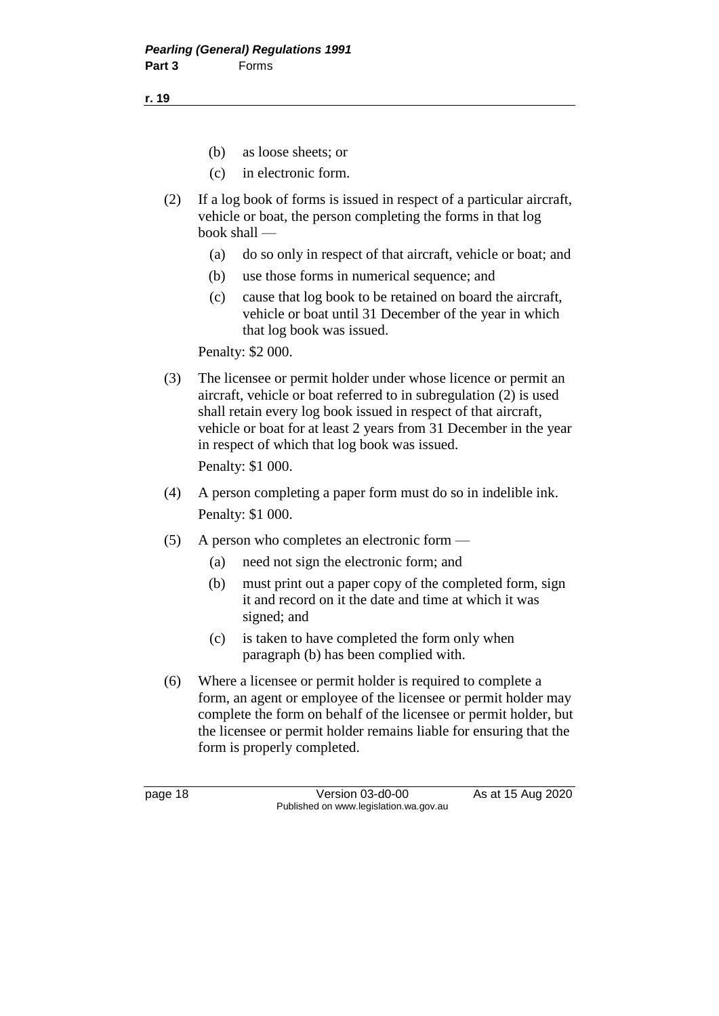**r. 19**

- (b) as loose sheets; or
- (c) in electronic form.
- (2) If a log book of forms is issued in respect of a particular aircraft, vehicle or boat, the person completing the forms in that log book shall —
	- (a) do so only in respect of that aircraft, vehicle or boat; and
	- (b) use those forms in numerical sequence; and
	- (c) cause that log book to be retained on board the aircraft, vehicle or boat until 31 December of the year in which that log book was issued.

Penalty: \$2 000.

- (3) The licensee or permit holder under whose licence or permit an aircraft, vehicle or boat referred to in subregulation (2) is used shall retain every log book issued in respect of that aircraft, vehicle or boat for at least 2 years from 31 December in the year in respect of which that log book was issued. Penalty: \$1 000.
- (4) A person completing a paper form must do so in indelible ink. Penalty: \$1 000.
- (5) A person who completes an electronic form
	- (a) need not sign the electronic form; and
	- (b) must print out a paper copy of the completed form, sign it and record on it the date and time at which it was signed; and
	- (c) is taken to have completed the form only when paragraph (b) has been complied with.
- (6) Where a licensee or permit holder is required to complete a form, an agent or employee of the licensee or permit holder may complete the form on behalf of the licensee or permit holder, but the licensee or permit holder remains liable for ensuring that the form is properly completed.

page 18 Version 03-d0-00 As at 15 Aug 2020 Published on www.legislation.wa.gov.au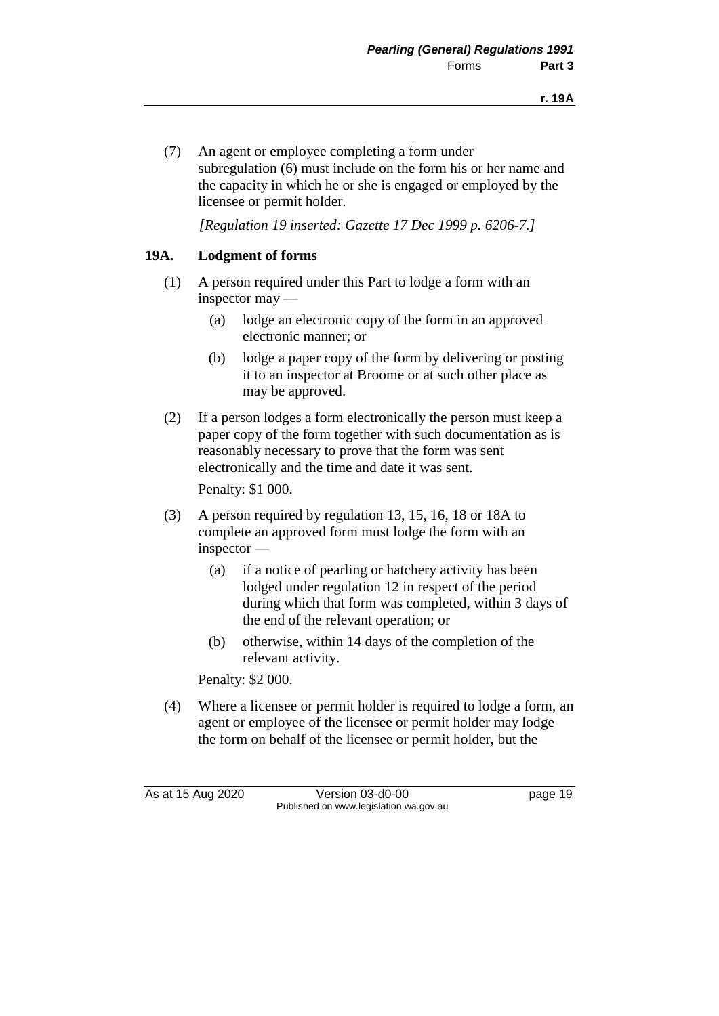(7) An agent or employee completing a form under subregulation (6) must include on the form his or her name and the capacity in which he or she is engaged or employed by the licensee or permit holder.

*[Regulation 19 inserted: Gazette 17 Dec 1999 p. 6206-7.]*

### **19A. Lodgment of forms**

- (1) A person required under this Part to lodge a form with an inspector may —
	- (a) lodge an electronic copy of the form in an approved electronic manner; or
	- (b) lodge a paper copy of the form by delivering or posting it to an inspector at Broome or at such other place as may be approved.
- (2) If a person lodges a form electronically the person must keep a paper copy of the form together with such documentation as is reasonably necessary to prove that the form was sent electronically and the time and date it was sent.

Penalty: \$1 000.

- (3) A person required by regulation 13, 15, 16, 18 or 18A to complete an approved form must lodge the form with an inspector —
	- (a) if a notice of pearling or hatchery activity has been lodged under regulation 12 in respect of the period during which that form was completed, within 3 days of the end of the relevant operation; or
	- (b) otherwise, within 14 days of the completion of the relevant activity.

Penalty: \$2 000.

(4) Where a licensee or permit holder is required to lodge a form, an agent or employee of the licensee or permit holder may lodge the form on behalf of the licensee or permit holder, but the

As at 15 Aug 2020 Version 03-d0-00 page 19 Published on www.legislation.wa.gov.au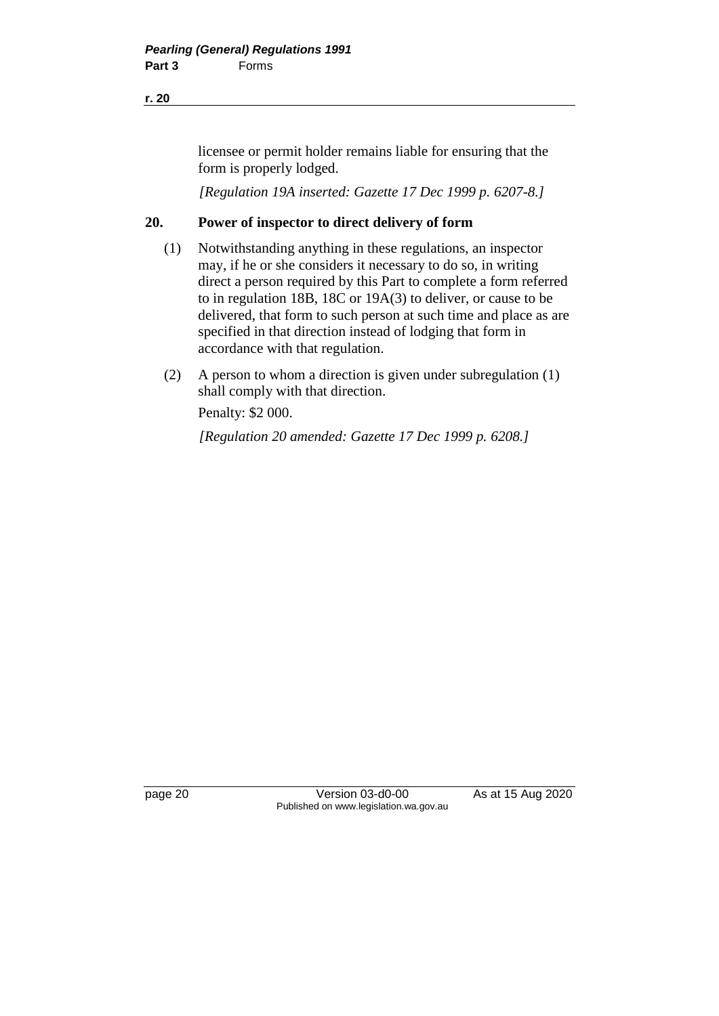**r. 20**

licensee or permit holder remains liable for ensuring that the form is properly lodged.

*[Regulation 19A inserted: Gazette 17 Dec 1999 p. 6207-8.]*

### **20. Power of inspector to direct delivery of form**

- (1) Notwithstanding anything in these regulations, an inspector may, if he or she considers it necessary to do so, in writing direct a person required by this Part to complete a form referred to in regulation 18B, 18C or 19A(3) to deliver, or cause to be delivered, that form to such person at such time and place as are specified in that direction instead of lodging that form in accordance with that regulation.
- (2) A person to whom a direction is given under subregulation (1) shall comply with that direction.

Penalty: \$2 000.

*[Regulation 20 amended: Gazette 17 Dec 1999 p. 6208.]*

page 20 **Version 03-d0-00** As at 15 Aug 2020 Published on www.legislation.wa.gov.au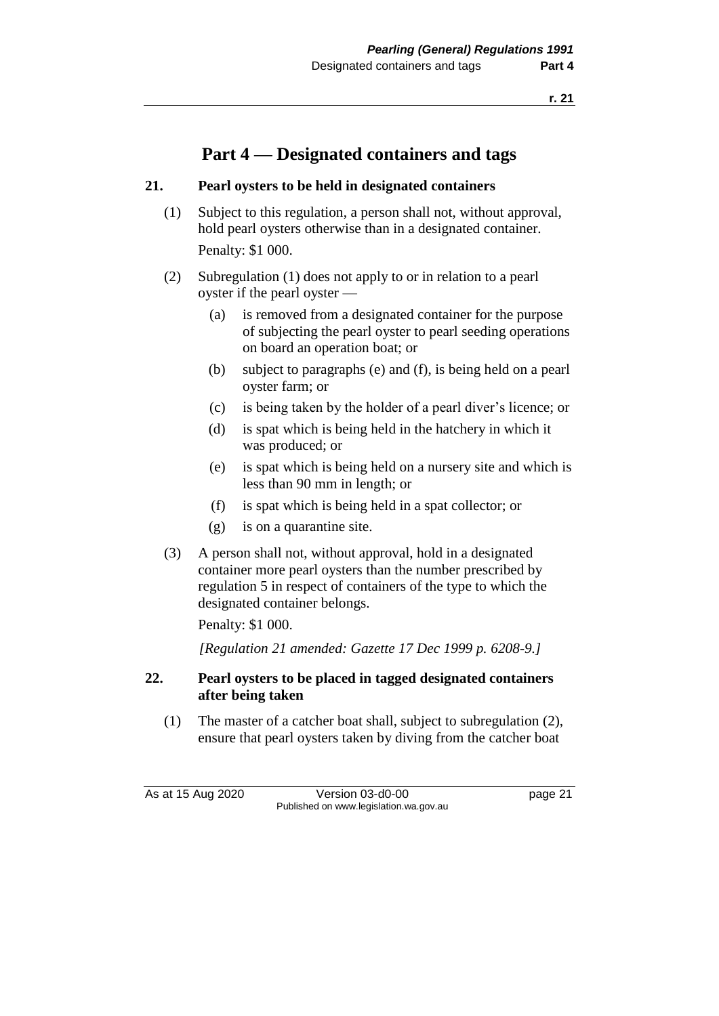# **Part 4 — Designated containers and tags**

### **21. Pearl oysters to be held in designated containers**

- (1) Subject to this regulation, a person shall not, without approval, hold pearl oysters otherwise than in a designated container. Penalty: \$1 000.
- (2) Subregulation (1) does not apply to or in relation to a pearl oyster if the pearl oyster —
	- (a) is removed from a designated container for the purpose of subjecting the pearl oyster to pearl seeding operations on board an operation boat; or
	- (b) subject to paragraphs (e) and (f), is being held on a pearl oyster farm; or
	- (c) is being taken by the holder of a pearl diver's licence; or
	- (d) is spat which is being held in the hatchery in which it was produced; or
	- (e) is spat which is being held on a nursery site and which is less than 90 mm in length; or
	- (f) is spat which is being held in a spat collector; or
	- (g) is on a quarantine site.
- (3) A person shall not, without approval, hold in a designated container more pearl oysters than the number prescribed by regulation 5 in respect of containers of the type to which the designated container belongs.

Penalty: \$1 000.

*[Regulation 21 amended: Gazette 17 Dec 1999 p. 6208-9.]*

### **22. Pearl oysters to be placed in tagged designated containers after being taken**

(1) The master of a catcher boat shall, subject to subregulation (2), ensure that pearl oysters taken by diving from the catcher boat

As at 15 Aug 2020 Version 03-d0-00 page 21 Published on www.legislation.wa.gov.au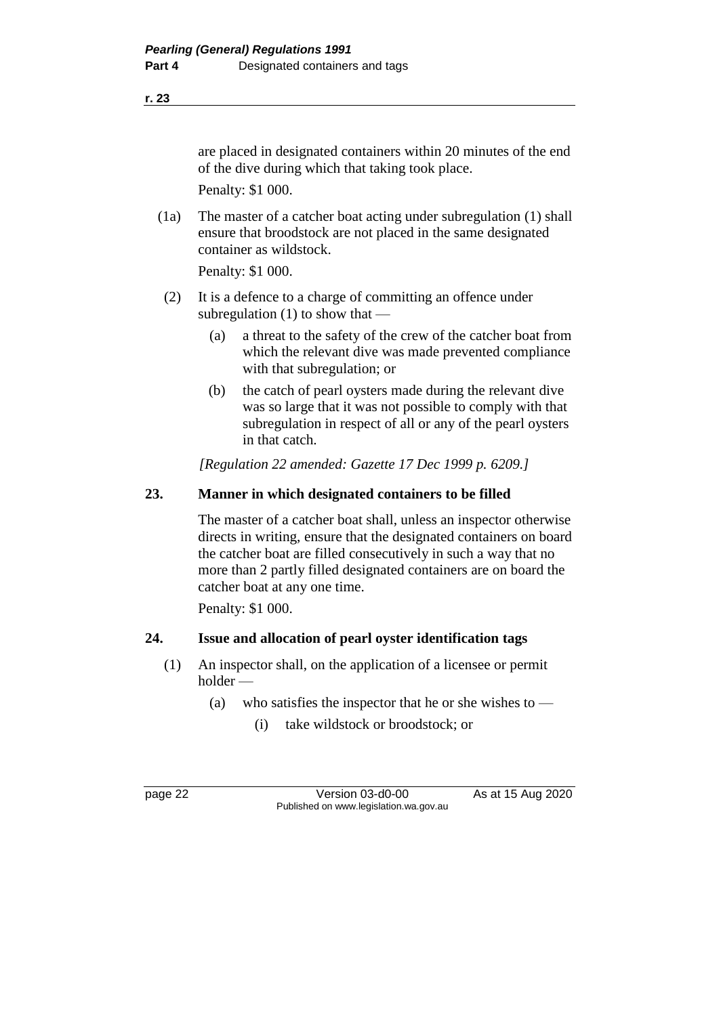#### **r. 23**

are placed in designated containers within 20 minutes of the end of the dive during which that taking took place. Penalty: \$1 000.

(1a) The master of a catcher boat acting under subregulation (1) shall ensure that broodstock are not placed in the same designated container as wildstock.

Penalty: \$1 000.

- (2) It is a defence to a charge of committing an offence under subregulation  $(1)$  to show that —
	- (a) a threat to the safety of the crew of the catcher boat from which the relevant dive was made prevented compliance with that subregulation; or
	- (b) the catch of pearl oysters made during the relevant dive was so large that it was not possible to comply with that subregulation in respect of all or any of the pearl oysters in that catch.

*[Regulation 22 amended: Gazette 17 Dec 1999 p. 6209.]*

### **23. Manner in which designated containers to be filled**

The master of a catcher boat shall, unless an inspector otherwise directs in writing, ensure that the designated containers on board the catcher boat are filled consecutively in such a way that no more than 2 partly filled designated containers are on board the catcher boat at any one time.

Penalty: \$1 000.

### **24. Issue and allocation of pearl oyster identification tags**

- (1) An inspector shall, on the application of a licensee or permit holder —
	- (a) who satisfies the inspector that he or she wishes to  $-$ 
		- (i) take wildstock or broodstock; or

page 22 Version 03-d0-00 As at 15 Aug 2020 Published on www.legislation.wa.gov.au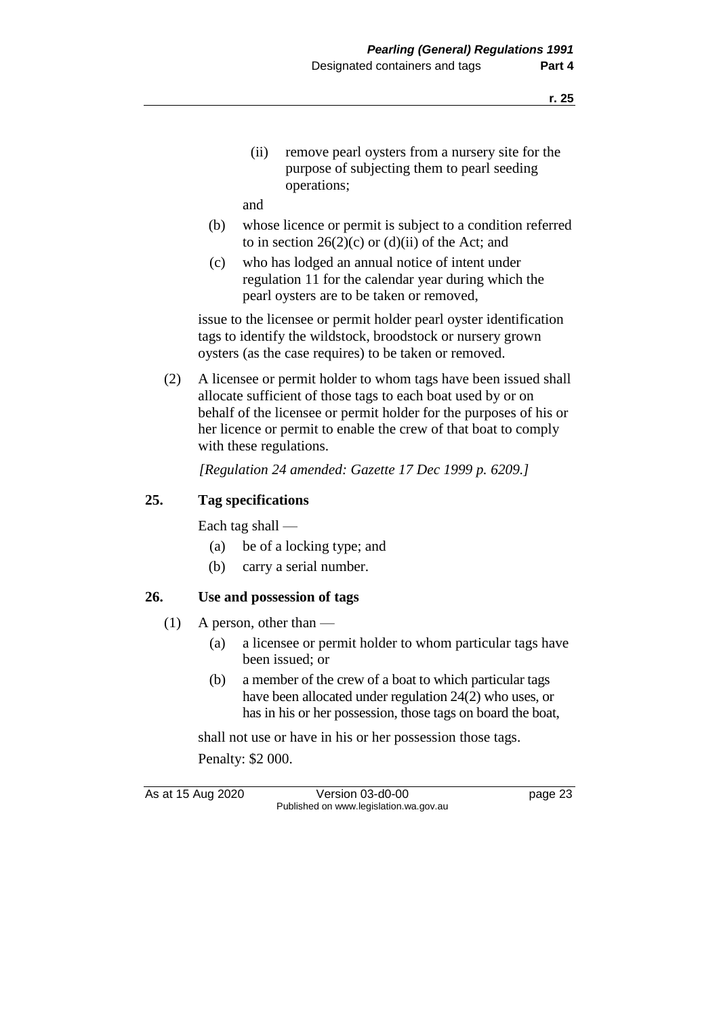(ii) remove pearl oysters from a nursery site for the purpose of subjecting them to pearl seeding operations;

and

- (b) whose licence or permit is subject to a condition referred to in section  $26(2)(c)$  or  $(d)(ii)$  of the Act; and
- (c) who has lodged an annual notice of intent under regulation 11 for the calendar year during which the pearl oysters are to be taken or removed,

issue to the licensee or permit holder pearl oyster identification tags to identify the wildstock, broodstock or nursery grown oysters (as the case requires) to be taken or removed.

(2) A licensee or permit holder to whom tags have been issued shall allocate sufficient of those tags to each boat used by or on behalf of the licensee or permit holder for the purposes of his or her licence or permit to enable the crew of that boat to comply with these regulations.

*[Regulation 24 amended: Gazette 17 Dec 1999 p. 6209.]*

### **25. Tag specifications**

Each tag shall —

- (a) be of a locking type; and
- (b) carry a serial number.

### **26. Use and possession of tags**

- $(1)$  A person, other than
	- (a) a licensee or permit holder to whom particular tags have been issued; or
	- (b) a member of the crew of a boat to which particular tags have been allocated under regulation 24(2) who uses, or has in his or her possession, those tags on board the boat,

shall not use or have in his or her possession those tags.

Penalty: \$2 000.

As at 15 Aug 2020 Version 03-d0-00 page 23 Published on www.legislation.wa.gov.au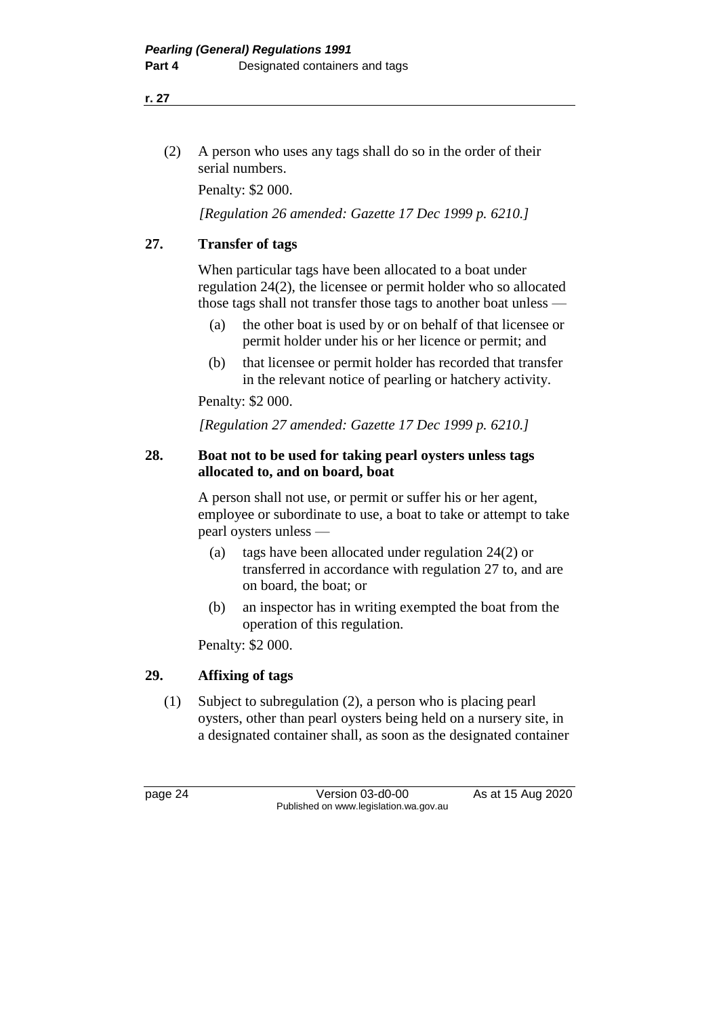#### **r. 27**

(2) A person who uses any tags shall do so in the order of their serial numbers.

Penalty: \$2 000.

*[Regulation 26 amended: Gazette 17 Dec 1999 p. 6210.]*

### **27. Transfer of tags**

When particular tags have been allocated to a boat under regulation 24(2), the licensee or permit holder who so allocated those tags shall not transfer those tags to another boat unless —

- (a) the other boat is used by or on behalf of that licensee or permit holder under his or her licence or permit; and
- (b) that licensee or permit holder has recorded that transfer in the relevant notice of pearling or hatchery activity.

Penalty: \$2 000.

*[Regulation 27 amended: Gazette 17 Dec 1999 p. 6210.]*

### **28. Boat not to be used for taking pearl oysters unless tags allocated to, and on board, boat**

A person shall not use, or permit or suffer his or her agent, employee or subordinate to use, a boat to take or attempt to take pearl oysters unless —

- (a) tags have been allocated under regulation 24(2) or transferred in accordance with regulation 27 to, and are on board, the boat; or
- (b) an inspector has in writing exempted the boat from the operation of this regulation.

Penalty: \$2 000.

### **29. Affixing of tags**

(1) Subject to subregulation (2), a person who is placing pearl oysters, other than pearl oysters being held on a nursery site, in a designated container shall, as soon as the designated container

page 24 Version 03-d0-00 As at 15 Aug 2020 Published on www.legislation.wa.gov.au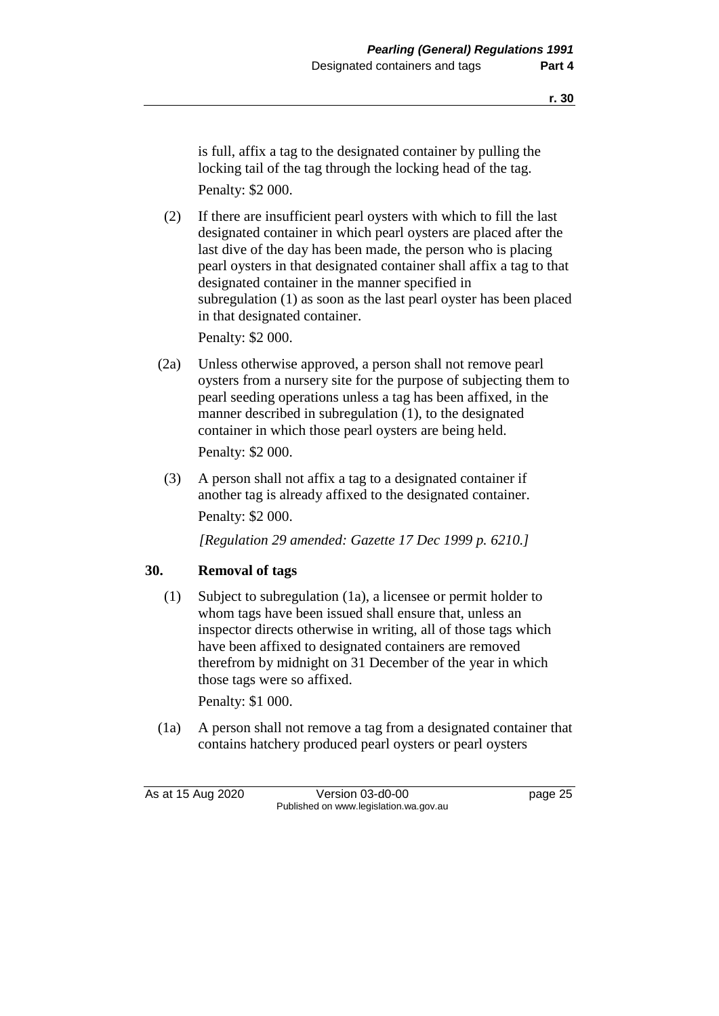is full, affix a tag to the designated container by pulling the locking tail of the tag through the locking head of the tag. Penalty: \$2 000.

(2) If there are insufficient pearl oysters with which to fill the last designated container in which pearl oysters are placed after the last dive of the day has been made, the person who is placing pearl oysters in that designated container shall affix a tag to that designated container in the manner specified in subregulation (1) as soon as the last pearl oyster has been placed in that designated container.

Penalty: \$2 000.

(2a) Unless otherwise approved, a person shall not remove pearl oysters from a nursery site for the purpose of subjecting them to pearl seeding operations unless a tag has been affixed, in the manner described in subregulation (1), to the designated container in which those pearl oysters are being held.

Penalty: \$2 000.

(3) A person shall not affix a tag to a designated container if another tag is already affixed to the designated container. Penalty: \$2 000.

*[Regulation 29 amended: Gazette 17 Dec 1999 p. 6210.]*

### **30. Removal of tags**

(1) Subject to subregulation (1a), a licensee or permit holder to whom tags have been issued shall ensure that, unless an inspector directs otherwise in writing, all of those tags which have been affixed to designated containers are removed therefrom by midnight on 31 December of the year in which those tags were so affixed.

Penalty: \$1 000.

(1a) A person shall not remove a tag from a designated container that contains hatchery produced pearl oysters or pearl oysters

As at 15 Aug 2020 Version 03-d0-00 page 25 Published on www.legislation.wa.gov.au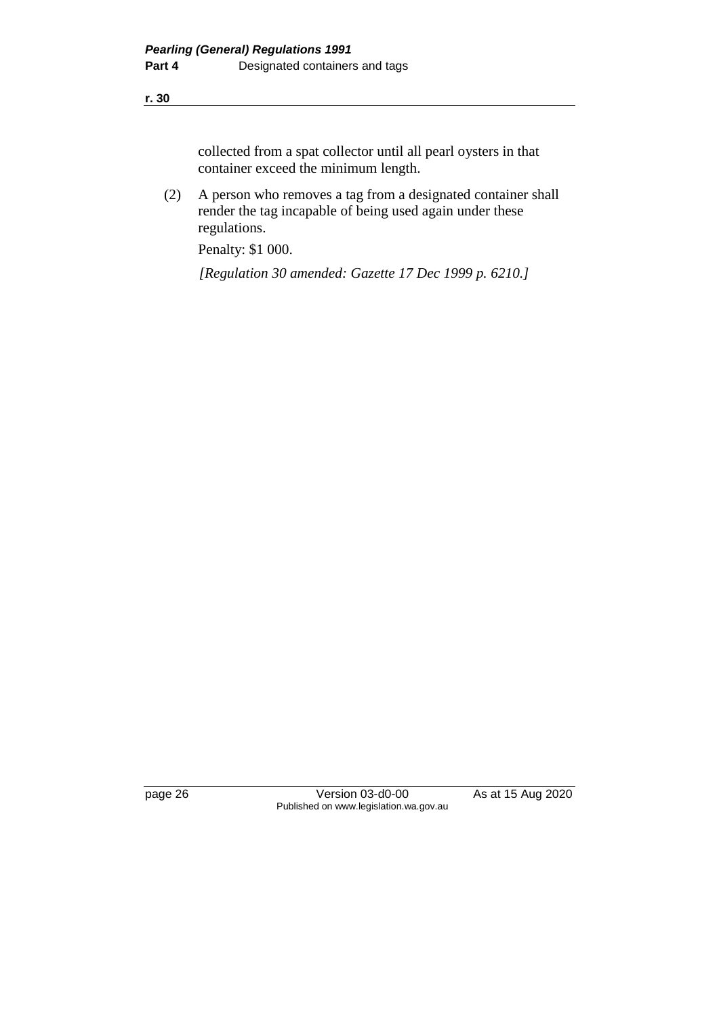#### **r. 30**

collected from a spat collector until all pearl oysters in that container exceed the minimum length.

(2) A person who removes a tag from a designated container shall render the tag incapable of being used again under these regulations.

Penalty: \$1 000.

*[Regulation 30 amended: Gazette 17 Dec 1999 p. 6210.]*

page 26 Version 03-d0-00 As at 15 Aug 2020 Published on www.legislation.wa.gov.au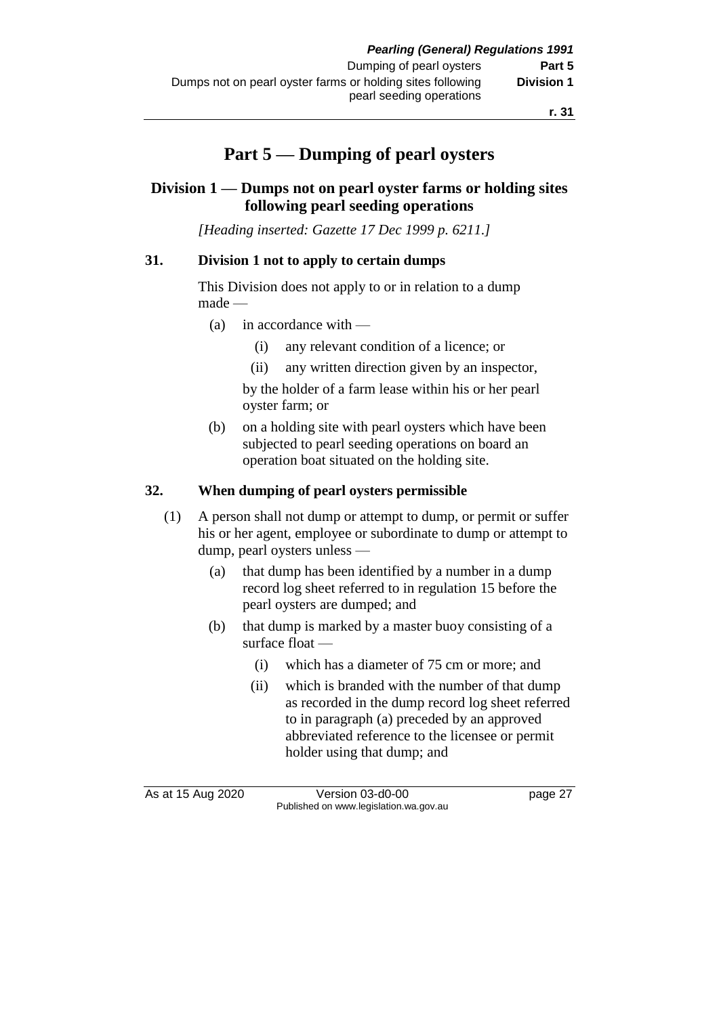# **Part 5 — Dumping of pearl oysters**

### **Division 1 — Dumps not on pearl oyster farms or holding sites following pearl seeding operations**

*[Heading inserted: Gazette 17 Dec 1999 p. 6211.]*

### **31. Division 1 not to apply to certain dumps**

This Division does not apply to or in relation to a dump made —

- (a) in accordance with
	- (i) any relevant condition of a licence; or
	- (ii) any written direction given by an inspector,

by the holder of a farm lease within his or her pearl oyster farm; or

(b) on a holding site with pearl oysters which have been subjected to pearl seeding operations on board an operation boat situated on the holding site.

### **32. When dumping of pearl oysters permissible**

- (1) A person shall not dump or attempt to dump, or permit or suffer his or her agent, employee or subordinate to dump or attempt to dump, pearl oysters unless —
	- (a) that dump has been identified by a number in a dump record log sheet referred to in regulation 15 before the pearl oysters are dumped; and
	- (b) that dump is marked by a master buoy consisting of a surface float —
		- (i) which has a diameter of 75 cm or more; and
		- (ii) which is branded with the number of that dump as recorded in the dump record log sheet referred to in paragraph (a) preceded by an approved abbreviated reference to the licensee or permit holder using that dump; and

As at 15 Aug 2020 Version 03-d0-00 page 27 Published on www.legislation.wa.gov.au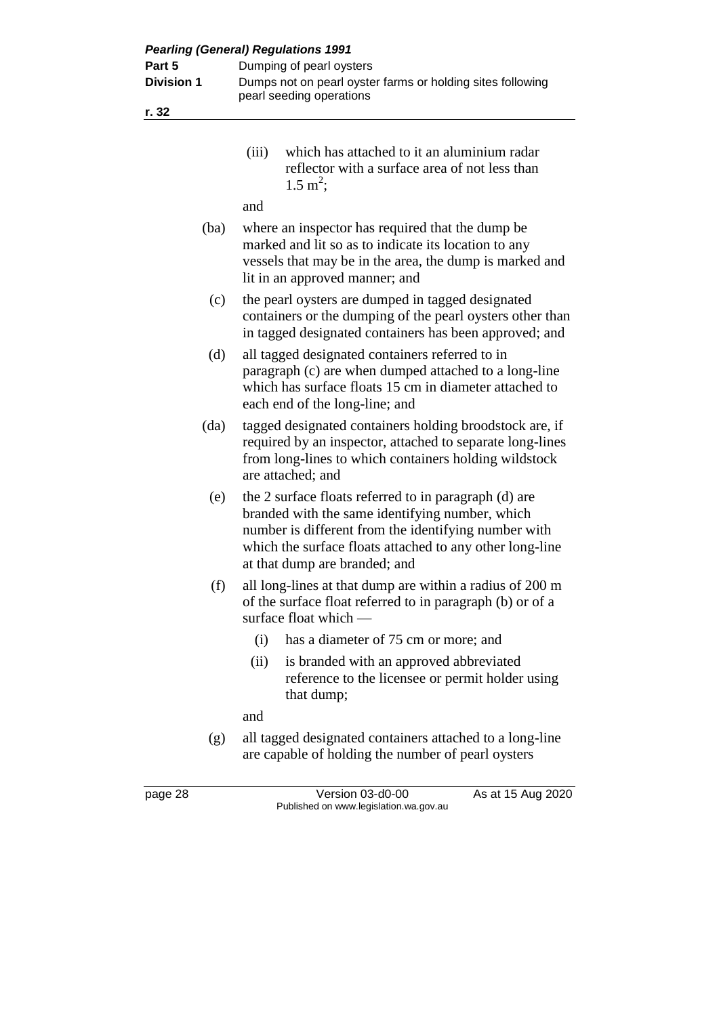| <b>Pearling (General) Regulations 1991</b> |                                                                                                                                                                                                                                                               |  |  |  |
|--------------------------------------------|---------------------------------------------------------------------------------------------------------------------------------------------------------------------------------------------------------------------------------------------------------------|--|--|--|
| Part 5                                     | Dumping of pearl oysters                                                                                                                                                                                                                                      |  |  |  |
| <b>Division 1</b>                          | Dumps not on pearl oyster farms or holding sites following                                                                                                                                                                                                    |  |  |  |
|                                            | pearl seeding operations                                                                                                                                                                                                                                      |  |  |  |
| r. 32                                      |                                                                                                                                                                                                                                                               |  |  |  |
|                                            |                                                                                                                                                                                                                                                               |  |  |  |
|                                            | which has attached to it an aluminium radar<br>(iii)<br>reflector with a surface area of not less than<br>$1.5 \text{ m}^2$ ;                                                                                                                                 |  |  |  |
|                                            | and                                                                                                                                                                                                                                                           |  |  |  |
| (ba)                                       | where an inspector has required that the dump be<br>marked and lit so as to indicate its location to any<br>vessels that may be in the area, the dump is marked and<br>lit in an approved manner; and                                                         |  |  |  |
| (c)                                        | the pearl oysters are dumped in tagged designated<br>containers or the dumping of the pearl oysters other than<br>in tagged designated containers has been approved; and                                                                                      |  |  |  |
| (d)                                        | all tagged designated containers referred to in<br>paragraph (c) are when dumped attached to a long-line<br>which has surface floats 15 cm in diameter attached to<br>each end of the long-line; and                                                          |  |  |  |
| (da)                                       | tagged designated containers holding broodstock are, if<br>required by an inspector, attached to separate long-lines<br>from long-lines to which containers holding wildstock<br>are attached; and                                                            |  |  |  |
| (e)                                        | the 2 surface floats referred to in paragraph (d) are<br>branded with the same identifying number, which<br>number is different from the identifying number with<br>which the surface floats attached to any other long-line<br>at that dump are branded; and |  |  |  |
| (f)                                        | all long-lines at that dump are within a radius of 200 m<br>of the surface float referred to in paragraph (b) or of a<br>surface float which $-$                                                                                                              |  |  |  |
|                                            | has a diameter of 75 cm or more; and<br>(i)                                                                                                                                                                                                                   |  |  |  |
|                                            | is branded with an approved abbreviated<br>(ii)<br>reference to the licensee or permit holder using<br>that dump;                                                                                                                                             |  |  |  |
|                                            | and                                                                                                                                                                                                                                                           |  |  |  |
| (g)                                        | all tagged designated containers attached to a long-line<br>are capable of holding the number of pearl oysters                                                                                                                                                |  |  |  |

page 28 Version 03-d0-00 As at 15 Aug 2020 Published on www.legislation.wa.gov.au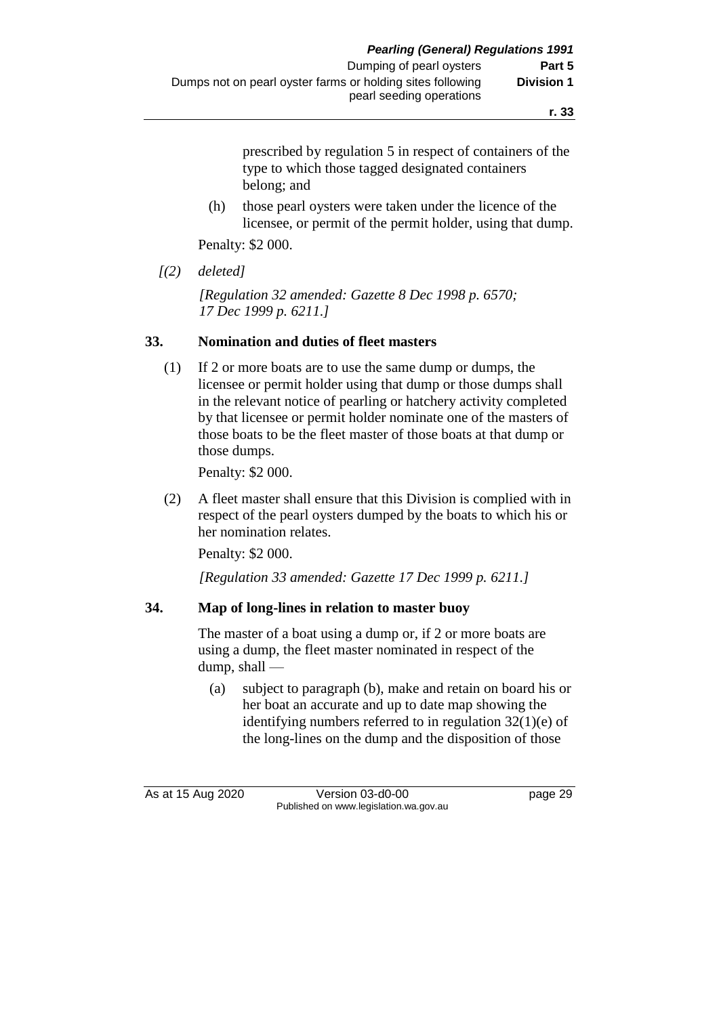**r. 33**

prescribed by regulation 5 in respect of containers of the type to which those tagged designated containers belong; and

(h) those pearl oysters were taken under the licence of the licensee, or permit of the permit holder, using that dump.

Penalty: \$2 000.

*[(2) deleted]*

*[Regulation 32 amended: Gazette 8 Dec 1998 p. 6570; 17 Dec 1999 p. 6211.]*

### **33. Nomination and duties of fleet masters**

(1) If 2 or more boats are to use the same dump or dumps, the licensee or permit holder using that dump or those dumps shall in the relevant notice of pearling or hatchery activity completed by that licensee or permit holder nominate one of the masters of those boats to be the fleet master of those boats at that dump or those dumps.

Penalty: \$2 000.

(2) A fleet master shall ensure that this Division is complied with in respect of the pearl oysters dumped by the boats to which his or her nomination relates.

Penalty: \$2 000.

*[Regulation 33 amended: Gazette 17 Dec 1999 p. 6211.]*

### **34. Map of long-lines in relation to master buoy**

The master of a boat using a dump or, if 2 or more boats are using a dump, the fleet master nominated in respect of the dump, shall —

(a) subject to paragraph (b), make and retain on board his or her boat an accurate and up to date map showing the identifying numbers referred to in regulation 32(1)(e) of the long-lines on the dump and the disposition of those

As at 15 Aug 2020 Version 03-d0-00 page 29 Published on www.legislation.wa.gov.au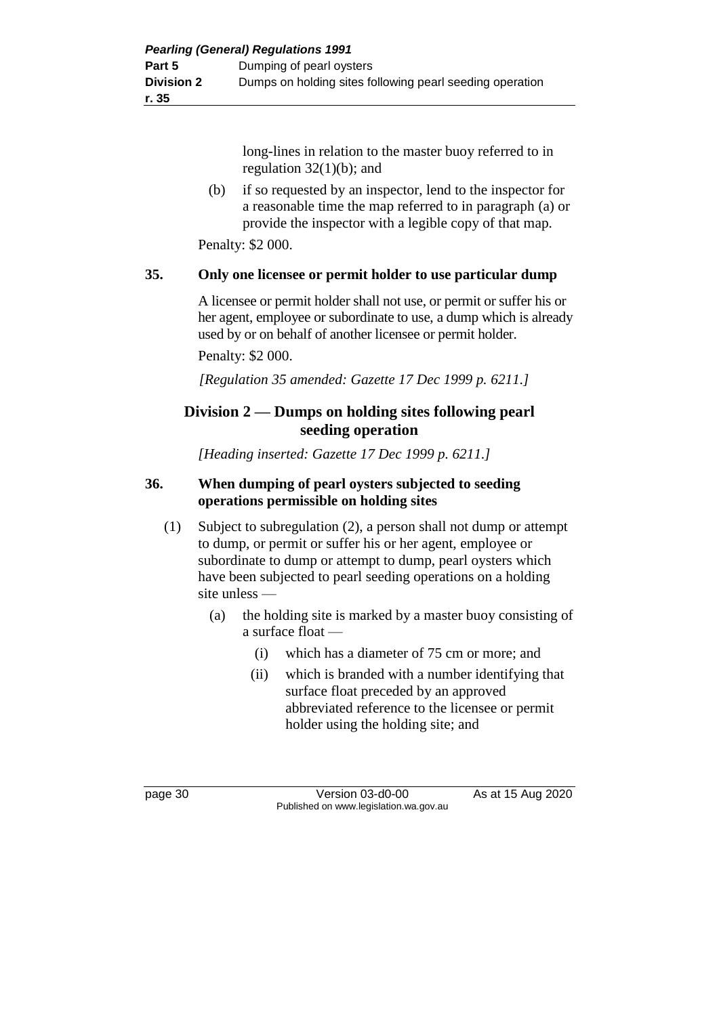long-lines in relation to the master buoy referred to in regulation  $32(1)(b)$ ; and

(b) if so requested by an inspector, lend to the inspector for a reasonable time the map referred to in paragraph (a) or provide the inspector with a legible copy of that map.

Penalty: \$2 000.

### **35. Only one licensee or permit holder to use particular dump**

A licensee or permit holder shall not use, or permit or suffer his or her agent, employee or subordinate to use, a dump which is already used by or on behalf of another licensee or permit holder. Penalty: \$2 000.

*[Regulation 35 amended: Gazette 17 Dec 1999 p. 6211.]*

### **Division 2 — Dumps on holding sites following pearl seeding operation**

*[Heading inserted: Gazette 17 Dec 1999 p. 6211.]*

### **36. When dumping of pearl oysters subjected to seeding operations permissible on holding sites**

- (1) Subject to subregulation (2), a person shall not dump or attempt to dump, or permit or suffer his or her agent, employee or subordinate to dump or attempt to dump, pearl oysters which have been subjected to pearl seeding operations on a holding site unless —
	- (a) the holding site is marked by a master buoy consisting of a surface float —
		- (i) which has a diameter of 75 cm or more; and
		- (ii) which is branded with a number identifying that surface float preceded by an approved abbreviated reference to the licensee or permit holder using the holding site; and

page 30 Version 03-d0-00 As at 15 Aug 2020 Published on www.legislation.wa.gov.au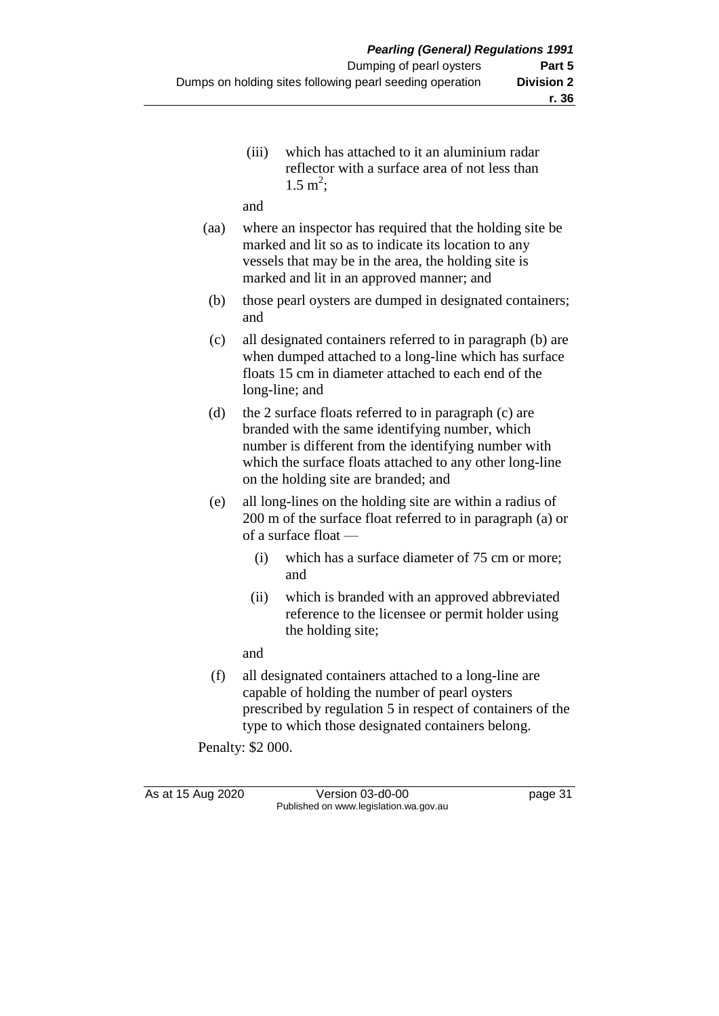(iii) which has attached to it an aluminium radar reflector with a surface area of not less than  $1.5 \text{ m}^2$ ;

and

- (aa) where an inspector has required that the holding site be marked and lit so as to indicate its location to any vessels that may be in the area, the holding site is marked and lit in an approved manner; and
- (b) those pearl oysters are dumped in designated containers; and
- (c) all designated containers referred to in paragraph (b) are when dumped attached to a long-line which has surface floats 15 cm in diameter attached to each end of the long-line; and
- (d) the 2 surface floats referred to in paragraph (c) are branded with the same identifying number, which number is different from the identifying number with which the surface floats attached to any other long-line on the holding site are branded; and
- (e) all long-lines on the holding site are within a radius of 200 m of the surface float referred to in paragraph (a) or of a surface float —
	- (i) which has a surface diameter of 75 cm or more; and
	- (ii) which is branded with an approved abbreviated reference to the licensee or permit holder using the holding site;

and

(f) all designated containers attached to a long-line are capable of holding the number of pearl oysters prescribed by regulation 5 in respect of containers of the type to which those designated containers belong.

Penalty: \$2 000.

As at 15 Aug 2020 Version 03-d0-00 page 31 Published on www.legislation.wa.gov.au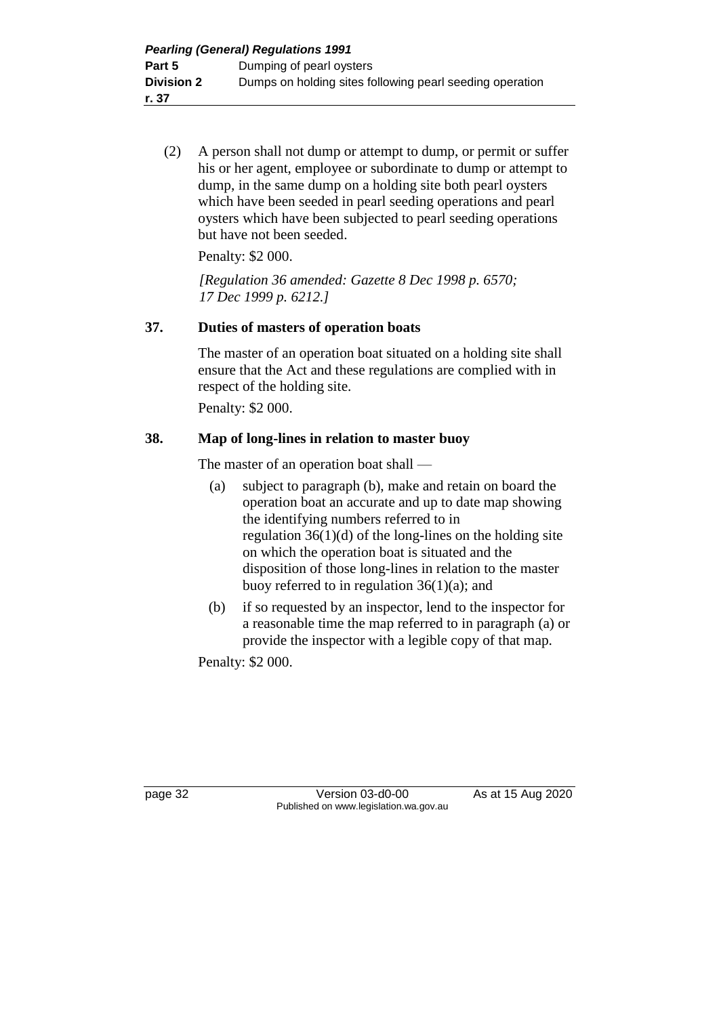(2) A person shall not dump or attempt to dump, or permit or suffer his or her agent, employee or subordinate to dump or attempt to dump, in the same dump on a holding site both pearl oysters which have been seeded in pearl seeding operations and pearl oysters which have been subjected to pearl seeding operations but have not been seeded.

Penalty: \$2 000.

*[Regulation 36 amended: Gazette 8 Dec 1998 p. 6570; 17 Dec 1999 p. 6212.]*

### **37. Duties of masters of operation boats**

The master of an operation boat situated on a holding site shall ensure that the Act and these regulations are complied with in respect of the holding site.

Penalty: \$2 000.

### **38. Map of long-lines in relation to master buoy**

The master of an operation boat shall —

- (a) subject to paragraph (b), make and retain on board the operation boat an accurate and up to date map showing the identifying numbers referred to in regulation  $36(1)(d)$  of the long-lines on the holding site on which the operation boat is situated and the disposition of those long-lines in relation to the master buoy referred to in regulation  $36(1)(a)$ ; and
- (b) if so requested by an inspector, lend to the inspector for a reasonable time the map referred to in paragraph (a) or provide the inspector with a legible copy of that map.

Penalty: \$2 000.

page 32 Version 03-d0-00 As at 15 Aug 2020 Published on www.legislation.wa.gov.au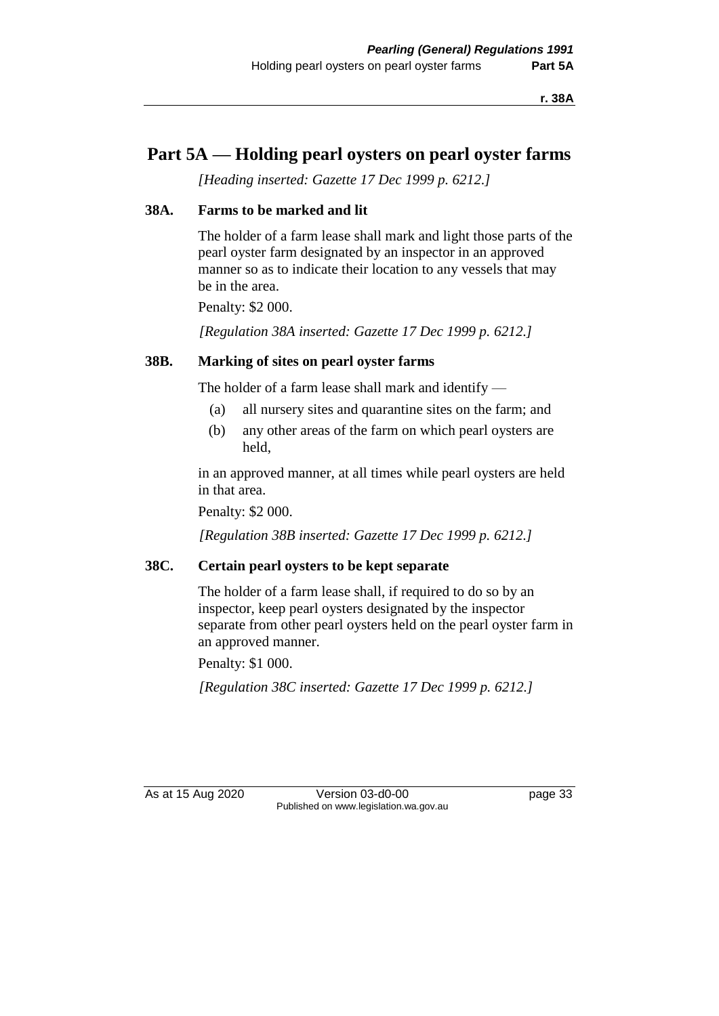**r. 38A**

### **Part 5A — Holding pearl oysters on pearl oyster farms**

*[Heading inserted: Gazette 17 Dec 1999 p. 6212.]*

### **38A. Farms to be marked and lit**

The holder of a farm lease shall mark and light those parts of the pearl oyster farm designated by an inspector in an approved manner so as to indicate their location to any vessels that may be in the area.

Penalty: \$2 000.

*[Regulation 38A inserted: Gazette 17 Dec 1999 p. 6212.]*

### **38B. Marking of sites on pearl oyster farms**

The holder of a farm lease shall mark and identify —

- (a) all nursery sites and quarantine sites on the farm; and
- (b) any other areas of the farm on which pearl oysters are held,

in an approved manner, at all times while pearl oysters are held in that area.

Penalty: \$2 000.

*[Regulation 38B inserted: Gazette 17 Dec 1999 p. 6212.]*

### **38C. Certain pearl oysters to be kept separate**

The holder of a farm lease shall, if required to do so by an inspector, keep pearl oysters designated by the inspector separate from other pearl oysters held on the pearl oyster farm in an approved manner.

Penalty: \$1 000.

*[Regulation 38C inserted: Gazette 17 Dec 1999 p. 6212.]*

As at 15 Aug 2020 Version 03-d0-00 page 33 Published on www.legislation.wa.gov.au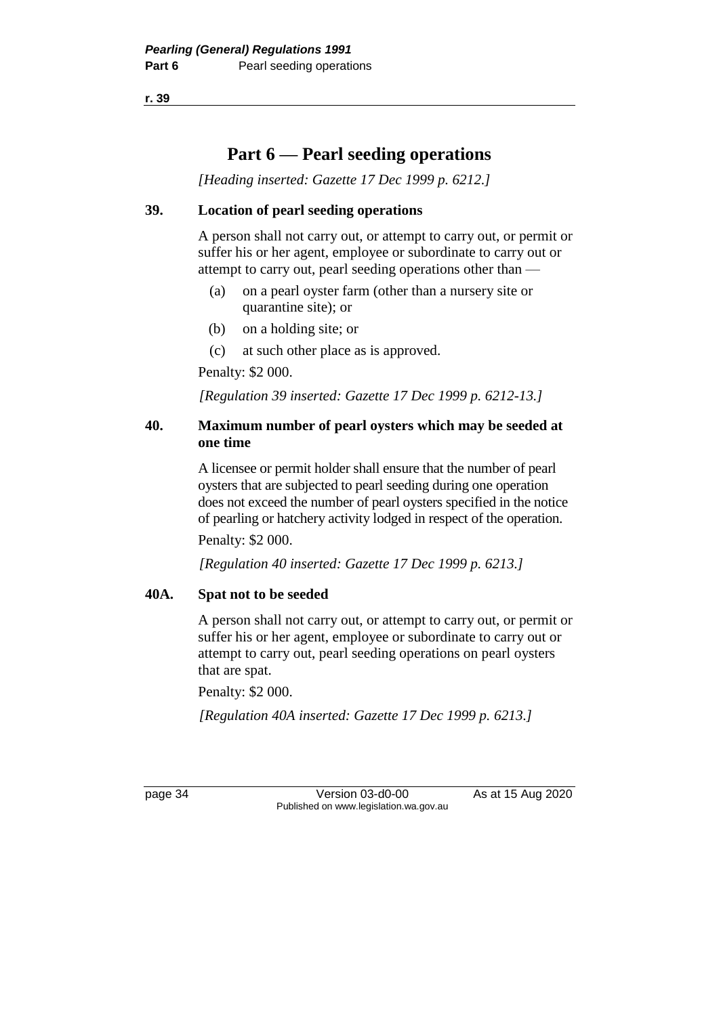**r. 39**

## **Part 6 — Pearl seeding operations**

*[Heading inserted: Gazette 17 Dec 1999 p. 6212.]*

### **39. Location of pearl seeding operations**

A person shall not carry out, or attempt to carry out, or permit or suffer his or her agent, employee or subordinate to carry out or attempt to carry out, pearl seeding operations other than —

- (a) on a pearl oyster farm (other than a nursery site or quarantine site); or
- (b) on a holding site; or
- (c) at such other place as is approved.

Penalty: \$2 000.

*[Regulation 39 inserted: Gazette 17 Dec 1999 p. 6212-13.]*

### **40. Maximum number of pearl oysters which may be seeded at one time**

A licensee or permit holder shall ensure that the number of pearl oysters that are subjected to pearl seeding during one operation does not exceed the number of pearl oysters specified in the notice of pearling or hatchery activity lodged in respect of the operation.

Penalty: \$2 000.

*[Regulation 40 inserted: Gazette 17 Dec 1999 p. 6213.]*

### **40A. Spat not to be seeded**

A person shall not carry out, or attempt to carry out, or permit or suffer his or her agent, employee or subordinate to carry out or attempt to carry out, pearl seeding operations on pearl oysters that are spat.

Penalty: \$2 000.

*[Regulation 40A inserted: Gazette 17 Dec 1999 p. 6213.]*

page 34 Version 03-d0-00 As at 15 Aug 2020 Published on www.legislation.wa.gov.au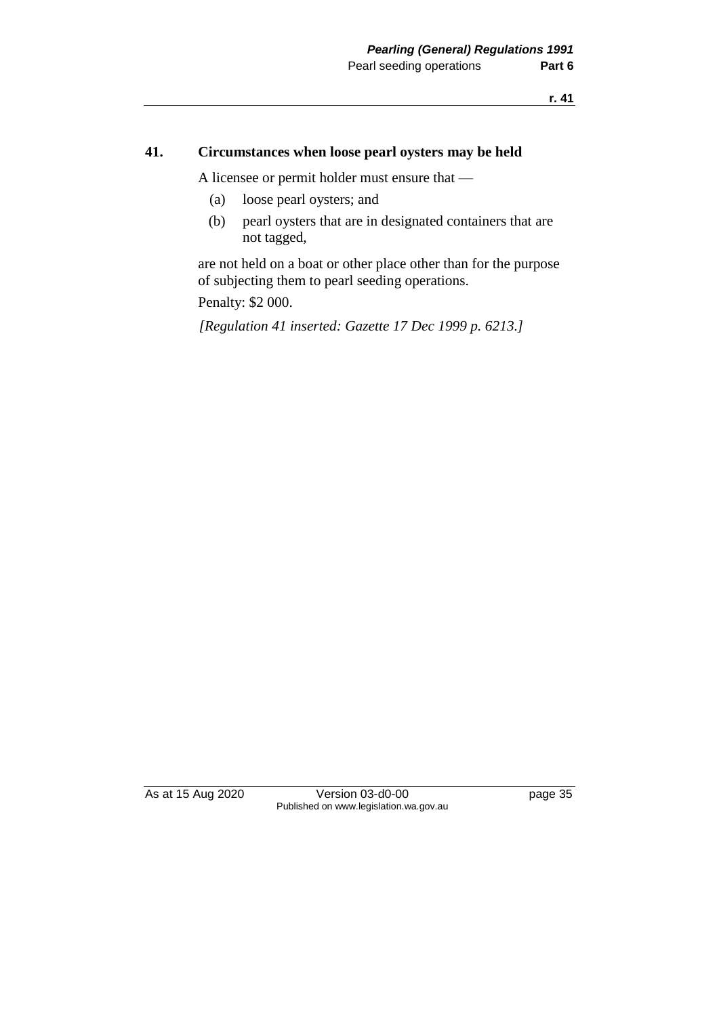#### **41. Circumstances when loose pearl oysters may be held**

A licensee or permit holder must ensure that —

- (a) loose pearl oysters; and
- (b) pearl oysters that are in designated containers that are not tagged,

are not held on a boat or other place other than for the purpose of subjecting them to pearl seeding operations.

Penalty: \$2 000.

*[Regulation 41 inserted: Gazette 17 Dec 1999 p. 6213.]*

As at 15 Aug 2020 Version 03-d0-00 page 35 Published on www.legislation.wa.gov.au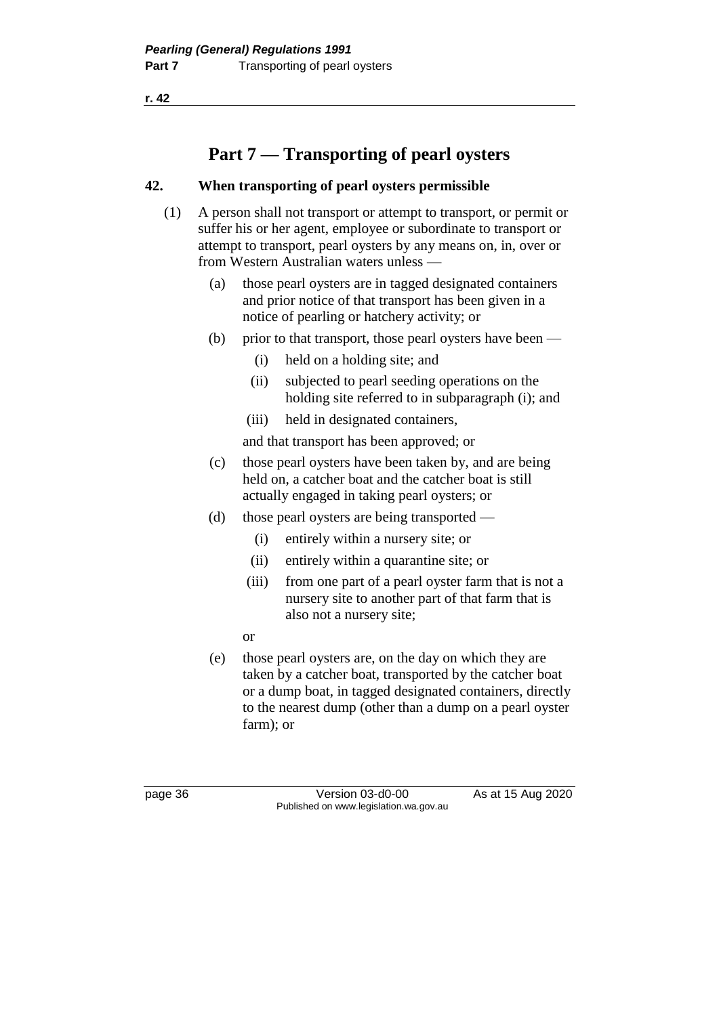**r. 42**

# **Part 7 — Transporting of pearl oysters**

### **42. When transporting of pearl oysters permissible**

- (1) A person shall not transport or attempt to transport, or permit or suffer his or her agent, employee or subordinate to transport or attempt to transport, pearl oysters by any means on, in, over or from Western Australian waters unless —
	- (a) those pearl oysters are in tagged designated containers and prior notice of that transport has been given in a notice of pearling or hatchery activity; or
	- (b) prior to that transport, those pearl oysters have been
		- (i) held on a holding site; and
		- (ii) subjected to pearl seeding operations on the holding site referred to in subparagraph (i); and
		- (iii) held in designated containers,
		- and that transport has been approved; or
	- (c) those pearl oysters have been taken by, and are being held on, a catcher boat and the catcher boat is still actually engaged in taking pearl oysters; or
	- (d) those pearl oysters are being transported
		- (i) entirely within a nursery site; or
		- (ii) entirely within a quarantine site; or
		- (iii) from one part of a pearl oyster farm that is not a nursery site to another part of that farm that is also not a nursery site;
		- or
	- (e) those pearl oysters are, on the day on which they are taken by a catcher boat, transported by the catcher boat or a dump boat, in tagged designated containers, directly to the nearest dump (other than a dump on a pearl oyster farm); or

page 36 Version 03-d0-00 As at 15 Aug 2020 Published on www.legislation.wa.gov.au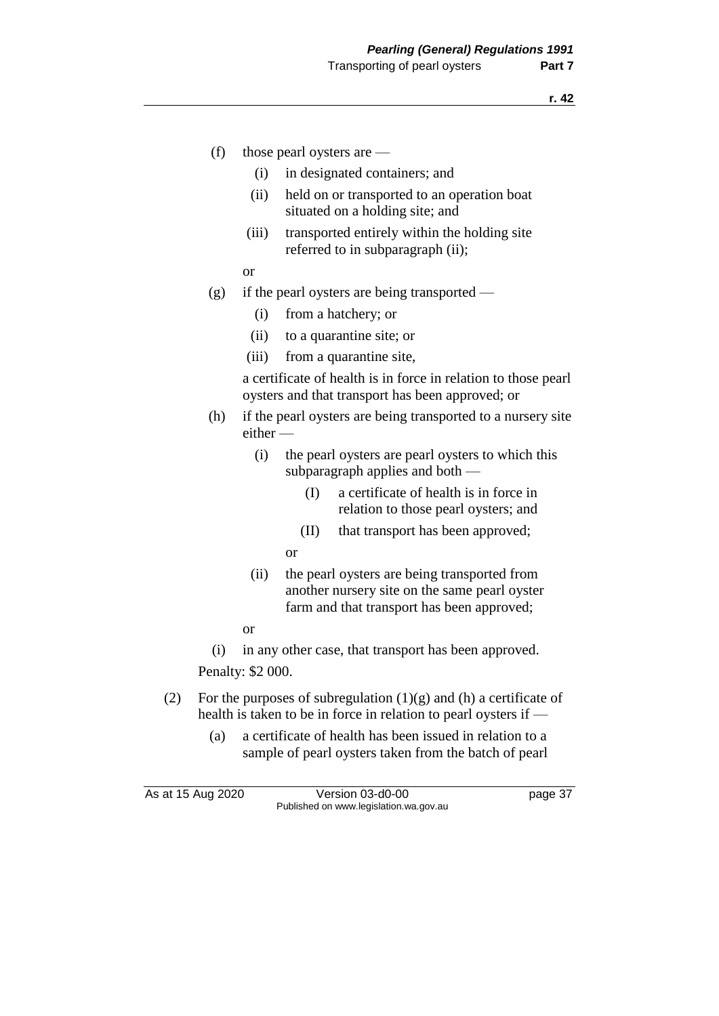- (f) those pearl oysters are
	- (i) in designated containers; and
	- (ii) held on or transported to an operation boat situated on a holding site; and
	- (iii) transported entirely within the holding site referred to in subparagraph (ii);
	- or
- (g) if the pearl oysters are being transported
	- (i) from a hatchery; or
	- (ii) to a quarantine site; or
	- (iii) from a quarantine site,

a certificate of health is in force in relation to those pearl oysters and that transport has been approved; or

- (h) if the pearl oysters are being transported to a nursery site either —
	- (i) the pearl oysters are pearl oysters to which this subparagraph applies and both -
		- (I) a certificate of health is in force in relation to those pearl oysters; and
		- (II) that transport has been approved;
		- or
	- (ii) the pearl oysters are being transported from another nursery site on the same pearl oyster farm and that transport has been approved;
	- or

(i) in any other case, that transport has been approved.

Penalty: \$2 000.

- (2) For the purposes of subregulation  $(1)(g)$  and  $(h)$  a certificate of health is taken to be in force in relation to pearl oysters if —
	- (a) a certificate of health has been issued in relation to a sample of pearl oysters taken from the batch of pearl

As at 15 Aug 2020 Version 03-d0-00 page 37 Published on www.legislation.wa.gov.au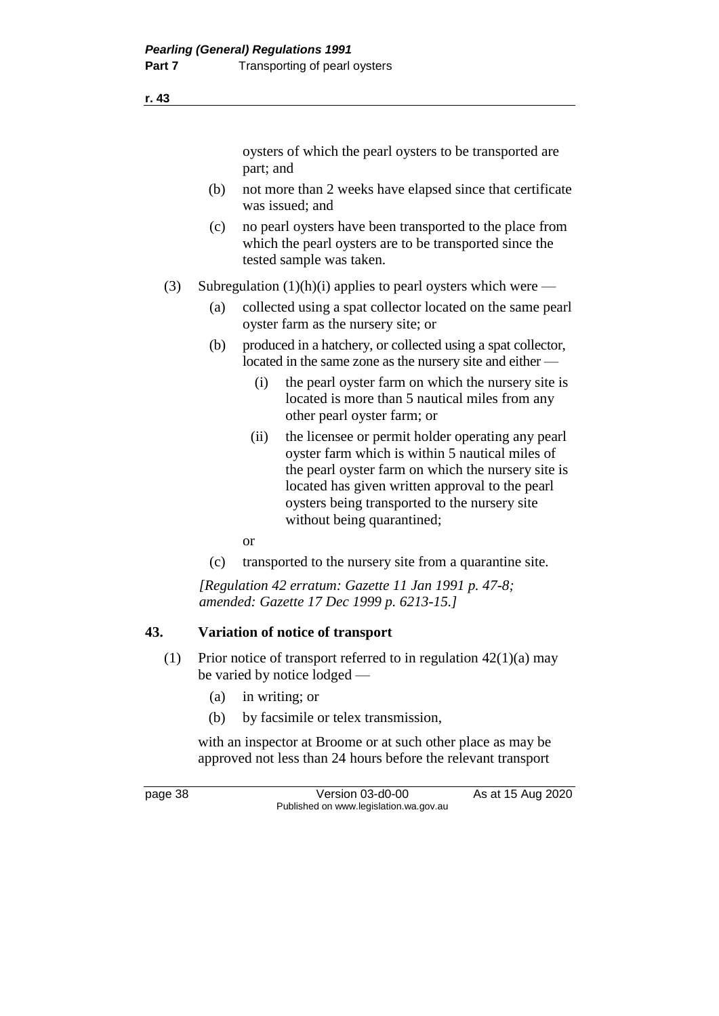oysters of which the pearl oysters to be transported are part; and

- (b) not more than 2 weeks have elapsed since that certificate was issued; and
- (c) no pearl oysters have been transported to the place from which the pearl oysters are to be transported since the tested sample was taken.
- (3) Subregulation  $(1)(h)(i)$  applies to pearl oysters which were
	- (a) collected using a spat collector located on the same pearl oyster farm as the nursery site; or
	- (b) produced in a hatchery, or collected using a spat collector, located in the same zone as the nursery site and either —
		- (i) the pearl oyster farm on which the nursery site is located is more than 5 nautical miles from any other pearl oyster farm; or
		- (ii) the licensee or permit holder operating any pearl oyster farm which is within 5 nautical miles of the pearl oyster farm on which the nursery site is located has given written approval to the pearl oysters being transported to the nursery site without being quarantined;
		- or
	- (c) transported to the nursery site from a quarantine site.

*[Regulation 42 erratum: Gazette 11 Jan 1991 p. 47-8; amended: Gazette 17 Dec 1999 p. 6213-15.]*

### **43. Variation of notice of transport**

- (1) Prior notice of transport referred to in regulation  $42(1)(a)$  may be varied by notice lodged —
	- (a) in writing; or
	- (b) by facsimile or telex transmission,

with an inspector at Broome or at such other place as may be approved not less than 24 hours before the relevant transport

page 38 Version 03-d0-00 As at 15 Aug 2020 Published on www.legislation.wa.gov.au

**r. 43**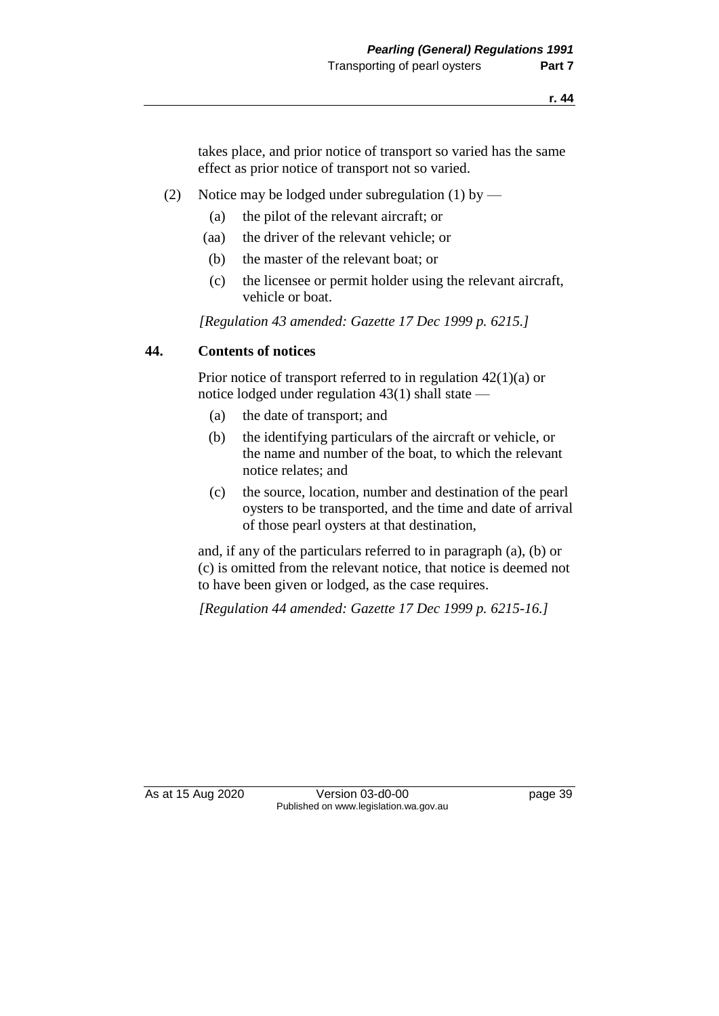takes place, and prior notice of transport so varied has the same effect as prior notice of transport not so varied.

- (2) Notice may be lodged under subregulation (1) by
	- (a) the pilot of the relevant aircraft; or
	- (aa) the driver of the relevant vehicle; or
	- (b) the master of the relevant boat; or
	- (c) the licensee or permit holder using the relevant aircraft, vehicle or boat.

*[Regulation 43 amended: Gazette 17 Dec 1999 p. 6215.]*

### **44. Contents of notices**

Prior notice of transport referred to in regulation 42(1)(a) or notice lodged under regulation 43(1) shall state —

- (a) the date of transport; and
- (b) the identifying particulars of the aircraft or vehicle, or the name and number of the boat, to which the relevant notice relates; and
- (c) the source, location, number and destination of the pearl oysters to be transported, and the time and date of arrival of those pearl oysters at that destination,

and, if any of the particulars referred to in paragraph (a), (b) or (c) is omitted from the relevant notice, that notice is deemed not to have been given or lodged, as the case requires.

*[Regulation 44 amended: Gazette 17 Dec 1999 p. 6215-16.]*

As at 15 Aug 2020 Version 03-d0-00 page 39 Published on www.legislation.wa.gov.au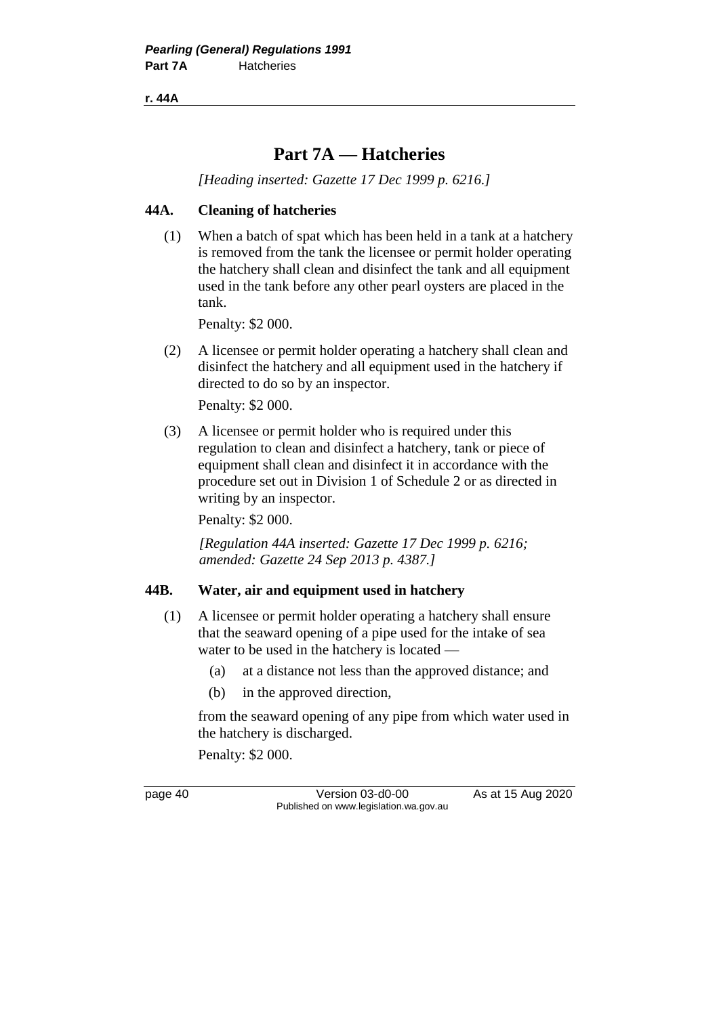**r. 44A**

## **Part 7A — Hatcheries**

*[Heading inserted: Gazette 17 Dec 1999 p. 6216.]*

### **44A. Cleaning of hatcheries**

(1) When a batch of spat which has been held in a tank at a hatchery is removed from the tank the licensee or permit holder operating the hatchery shall clean and disinfect the tank and all equipment used in the tank before any other pearl oysters are placed in the tank.

Penalty: \$2 000.

(2) A licensee or permit holder operating a hatchery shall clean and disinfect the hatchery and all equipment used in the hatchery if directed to do so by an inspector.

Penalty: \$2 000.

(3) A licensee or permit holder who is required under this regulation to clean and disinfect a hatchery, tank or piece of equipment shall clean and disinfect it in accordance with the procedure set out in Division 1 of Schedule 2 or as directed in writing by an inspector.

Penalty: \$2 000.

*[Regulation 44A inserted: Gazette 17 Dec 1999 p. 6216; amended: Gazette 24 Sep 2013 p. 4387.]*

### **44B. Water, air and equipment used in hatchery**

- (1) A licensee or permit holder operating a hatchery shall ensure that the seaward opening of a pipe used for the intake of sea water to be used in the hatchery is located —
	- (a) at a distance not less than the approved distance; and
	- (b) in the approved direction,

from the seaward opening of any pipe from which water used in the hatchery is discharged.

Penalty: \$2 000.

page 40 Version 03-d0-00 As at 15 Aug 2020 Published on www.legislation.wa.gov.au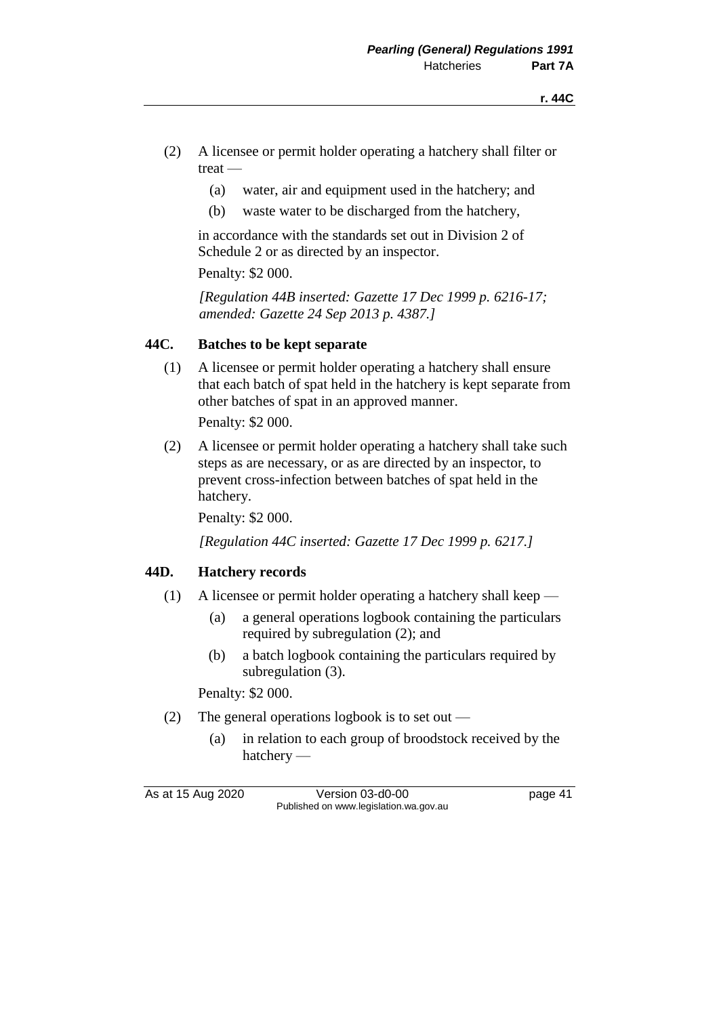- (2) A licensee or permit holder operating a hatchery shall filter or treat —
	- (a) water, air and equipment used in the hatchery; and
	- (b) waste water to be discharged from the hatchery,

in accordance with the standards set out in Division 2 of Schedule 2 or as directed by an inspector.

Penalty: \$2 000.

*[Regulation 44B inserted: Gazette 17 Dec 1999 p. 6216-17; amended: Gazette 24 Sep 2013 p. 4387.]*

### **44C. Batches to be kept separate**

(1) A licensee or permit holder operating a hatchery shall ensure that each batch of spat held in the hatchery is kept separate from other batches of spat in an approved manner.

Penalty: \$2 000.

(2) A licensee or permit holder operating a hatchery shall take such steps as are necessary, or as are directed by an inspector, to prevent cross-infection between batches of spat held in the hatchery.

Penalty: \$2 000.

*[Regulation 44C inserted: Gazette 17 Dec 1999 p. 6217.]*

### **44D. Hatchery records**

- (1) A licensee or permit holder operating a hatchery shall keep
	- (a) a general operations logbook containing the particulars required by subregulation (2); and
	- (b) a batch logbook containing the particulars required by subregulation (3).

Penalty: \$2 000.

- (2) The general operations logbook is to set out
	- (a) in relation to each group of broodstock received by the hatchery —

As at 15 Aug 2020 Version 03-d0-00 page 41 Published on www.legislation.wa.gov.au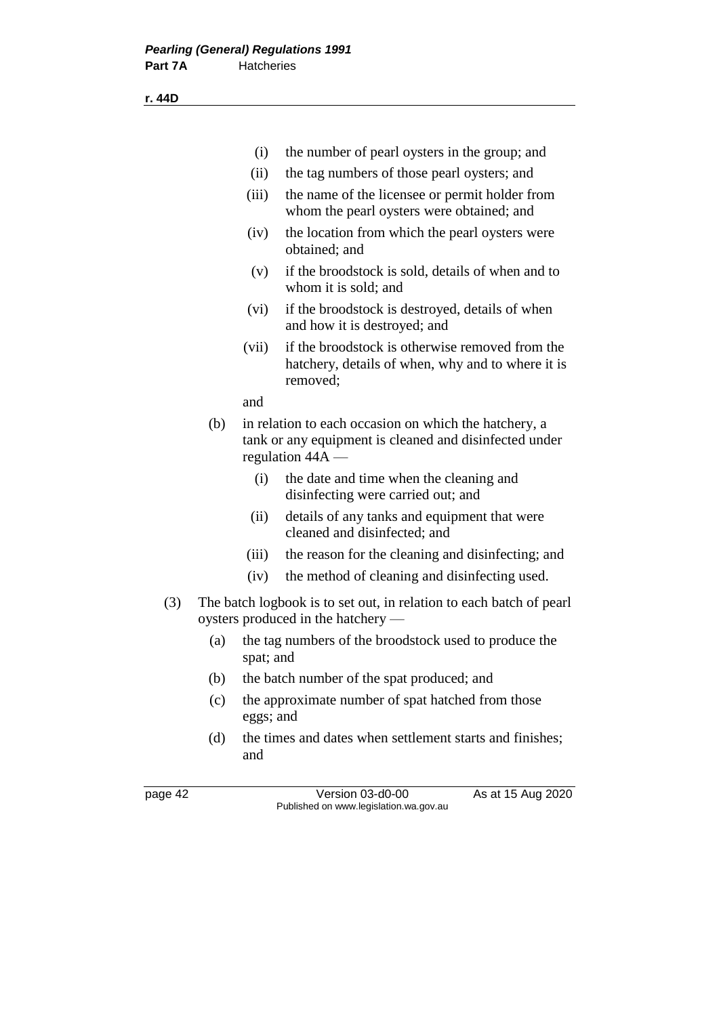|     |     | (i)       | the number of pearl oysters in the group; and                                                                                       |  |
|-----|-----|-----------|-------------------------------------------------------------------------------------------------------------------------------------|--|
|     |     | (ii)      | the tag numbers of those pearl oysters; and                                                                                         |  |
|     |     | (iii)     | the name of the licensee or permit holder from<br>whom the pearl oysters were obtained; and                                         |  |
|     |     | (iv)      | the location from which the pearl oysters were<br>obtained; and                                                                     |  |
|     |     | (v)       | if the broodstock is sold, details of when and to<br>whom it is sold; and                                                           |  |
|     |     | (vi)      | if the broodstock is destroyed, details of when<br>and how it is destroyed; and                                                     |  |
|     |     | (vii)     | if the broodstock is otherwise removed from the<br>hatchery, details of when, why and to where it is<br>removed;                    |  |
|     |     | and       |                                                                                                                                     |  |
|     | (b) |           | in relation to each occasion on which the hatchery, a<br>tank or any equipment is cleaned and disinfected under<br>regulation 44A - |  |
|     |     | (i)       | the date and time when the cleaning and<br>disinfecting were carried out; and                                                       |  |
|     |     | (ii)      | details of any tanks and equipment that were<br>cleaned and disinfected; and                                                        |  |
|     |     | (iii)     | the reason for the cleaning and disinfecting; and                                                                                   |  |
|     |     | (iv)      | the method of cleaning and disinfecting used.                                                                                       |  |
| (3) |     |           | The batch logbook is to set out, in relation to each batch of pearl<br>oysters produced in the hatchery —                           |  |
|     | (a) |           | the tag numbers of the broodstock used to produce the<br>spat; and                                                                  |  |
|     | (b) |           | the batch number of the spat produced; and                                                                                          |  |
|     | (c) | eggs; and | the approximate number of spat hatched from those                                                                                   |  |
|     | (d) | and       | the times and dates when settlement starts and finishes;                                                                            |  |

page 42 Version 03-d0-00 As at 15 Aug 2020 Published on www.legislation.wa.gov.au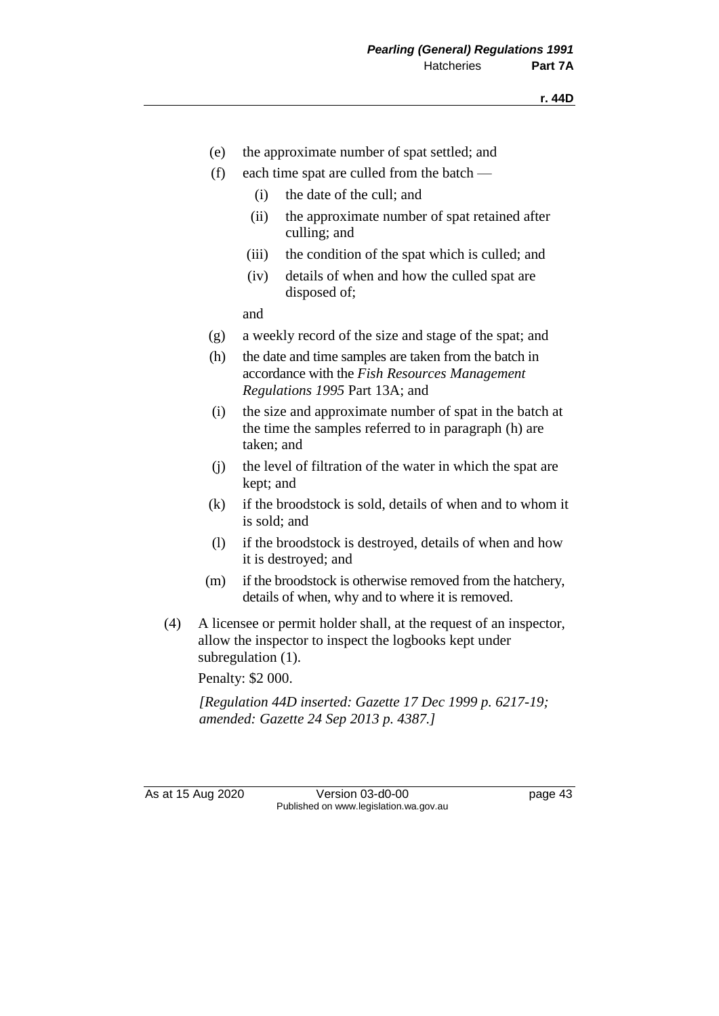- (e) the approximate number of spat settled; and
- (f) each time spat are culled from the batch
	- (i) the date of the cull; and
	- (ii) the approximate number of spat retained after culling; and
	- (iii) the condition of the spat which is culled; and
	- (iv) details of when and how the culled spat are disposed of;

and

- (g) a weekly record of the size and stage of the spat; and
- (h) the date and time samples are taken from the batch in accordance with the *Fish Resources Management Regulations 1995* Part 13A; and
- (i) the size and approximate number of spat in the batch at the time the samples referred to in paragraph (h) are taken; and
- (j) the level of filtration of the water in which the spat are kept; and
- (k) if the broodstock is sold, details of when and to whom it is sold; and
- (l) if the broodstock is destroyed, details of when and how it is destroyed; and
- (m) if the broodstock is otherwise removed from the hatchery, details of when, why and to where it is removed.
- (4) A licensee or permit holder shall, at the request of an inspector, allow the inspector to inspect the logbooks kept under subregulation  $(1)$ .

Penalty: \$2 000.

*[Regulation 44D inserted: Gazette 17 Dec 1999 p. 6217-19; amended: Gazette 24 Sep 2013 p. 4387.]*

As at 15 Aug 2020 Version 03-d0-00 page 43 Published on www.legislation.wa.gov.au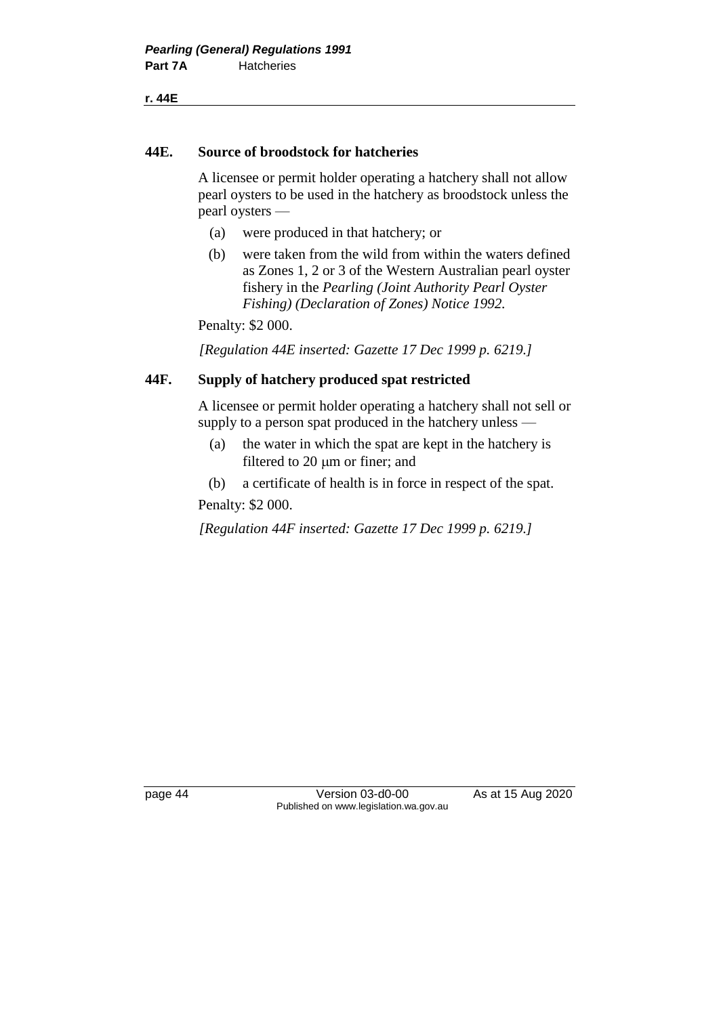**r. 44E**

### **44E. Source of broodstock for hatcheries**

A licensee or permit holder operating a hatchery shall not allow pearl oysters to be used in the hatchery as broodstock unless the pearl oysters —

- (a) were produced in that hatchery; or
- (b) were taken from the wild from within the waters defined as Zones 1, 2 or 3 of the Western Australian pearl oyster fishery in the *Pearling (Joint Authority Pearl Oyster Fishing) (Declaration of Zones) Notice 1992.*

Penalty: \$2 000.

*[Regulation 44E inserted: Gazette 17 Dec 1999 p. 6219.]*

### **44F. Supply of hatchery produced spat restricted**

A licensee or permit holder operating a hatchery shall not sell or supply to a person spat produced in the hatchery unless —

- (a) the water in which the spat are kept in the hatchery is filtered to  $20 \mu m$  or finer; and
- (b) a certificate of health is in force in respect of the spat.

Penalty: \$2 000.

*[Regulation 44F inserted: Gazette 17 Dec 1999 p. 6219.]*

page 44 Version 03-d0-00 As at 15 Aug 2020 Published on www.legislation.wa.gov.au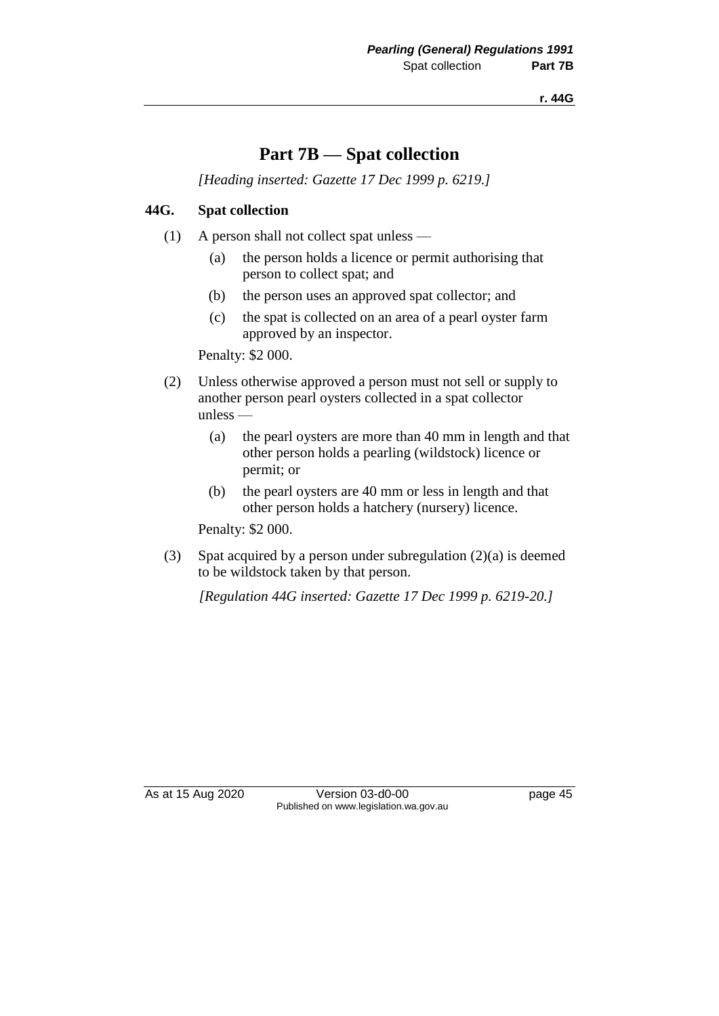**r. 44G**

### **Part 7B — Spat collection**

*[Heading inserted: Gazette 17 Dec 1999 p. 6219.]*

### **44G. Spat collection**

- (1) A person shall not collect spat unless
	- (a) the person holds a licence or permit authorising that person to collect spat; and
	- (b) the person uses an approved spat collector; and
	- (c) the spat is collected on an area of a pearl oyster farm approved by an inspector.

Penalty: \$2 000.

- (2) Unless otherwise approved a person must not sell or supply to another person pearl oysters collected in a spat collector unless —
	- (a) the pearl oysters are more than 40 mm in length and that other person holds a pearling (wildstock) licence or permit; or
	- (b) the pearl oysters are 40 mm or less in length and that other person holds a hatchery (nursery) licence.

Penalty: \$2 000.

(3) Spat acquired by a person under subregulation (2)(a) is deemed to be wildstock taken by that person.

*[Regulation 44G inserted: Gazette 17 Dec 1999 p. 6219-20.]*

As at 15 Aug 2020 Version 03-d0-00 page 45 Published on www.legislation.wa.gov.au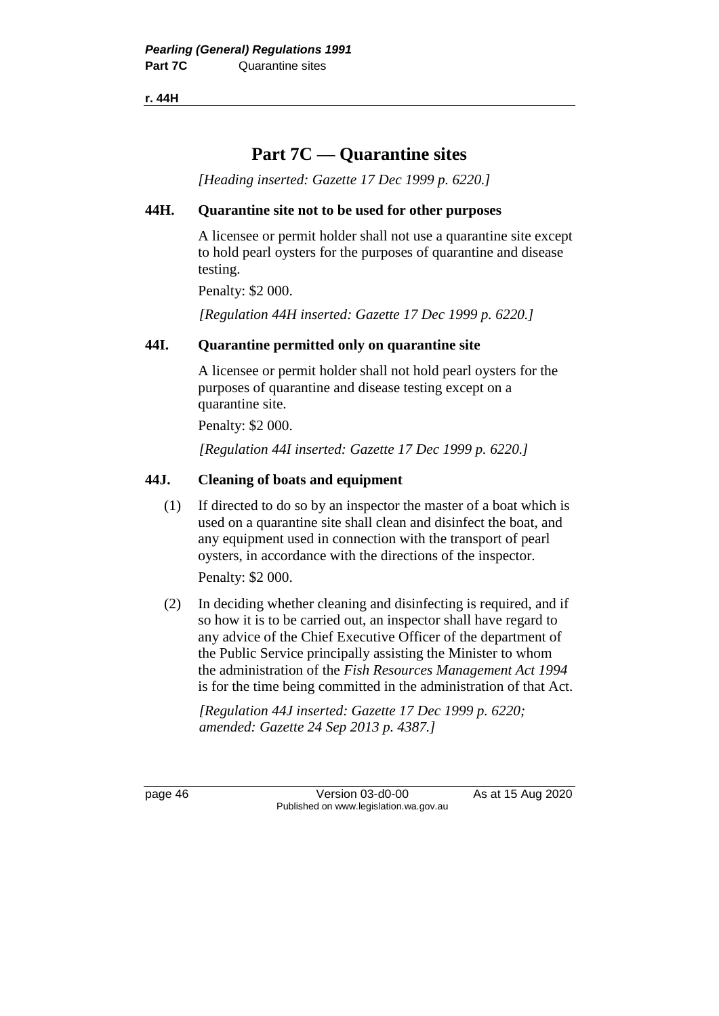**r. 44H**

## **Part 7C — Quarantine sites**

*[Heading inserted: Gazette 17 Dec 1999 p. 6220.]*

### **44H. Quarantine site not to be used for other purposes**

A licensee or permit holder shall not use a quarantine site except to hold pearl oysters for the purposes of quarantine and disease testing.

Penalty: \$2 000.

*[Regulation 44H inserted: Gazette 17 Dec 1999 p. 6220.]*

### **44I. Quarantine permitted only on quarantine site**

A licensee or permit holder shall not hold pearl oysters for the purposes of quarantine and disease testing except on a quarantine site.

Penalty: \$2 000.

*[Regulation 44I inserted: Gazette 17 Dec 1999 p. 6220.]*

### **44J. Cleaning of boats and equipment**

(1) If directed to do so by an inspector the master of a boat which is used on a quarantine site shall clean and disinfect the boat, and any equipment used in connection with the transport of pearl oysters, in accordance with the directions of the inspector.

Penalty: \$2 000.

(2) In deciding whether cleaning and disinfecting is required, and if so how it is to be carried out, an inspector shall have regard to any advice of the Chief Executive Officer of the department of the Public Service principally assisting the Minister to whom the administration of the *Fish Resources Management Act 1994* is for the time being committed in the administration of that Act.

*[Regulation 44J inserted: Gazette 17 Dec 1999 p. 6220; amended: Gazette 24 Sep 2013 p. 4387.]*

page 46 Version 03-d0-00 As at 15 Aug 2020 Published on www.legislation.wa.gov.au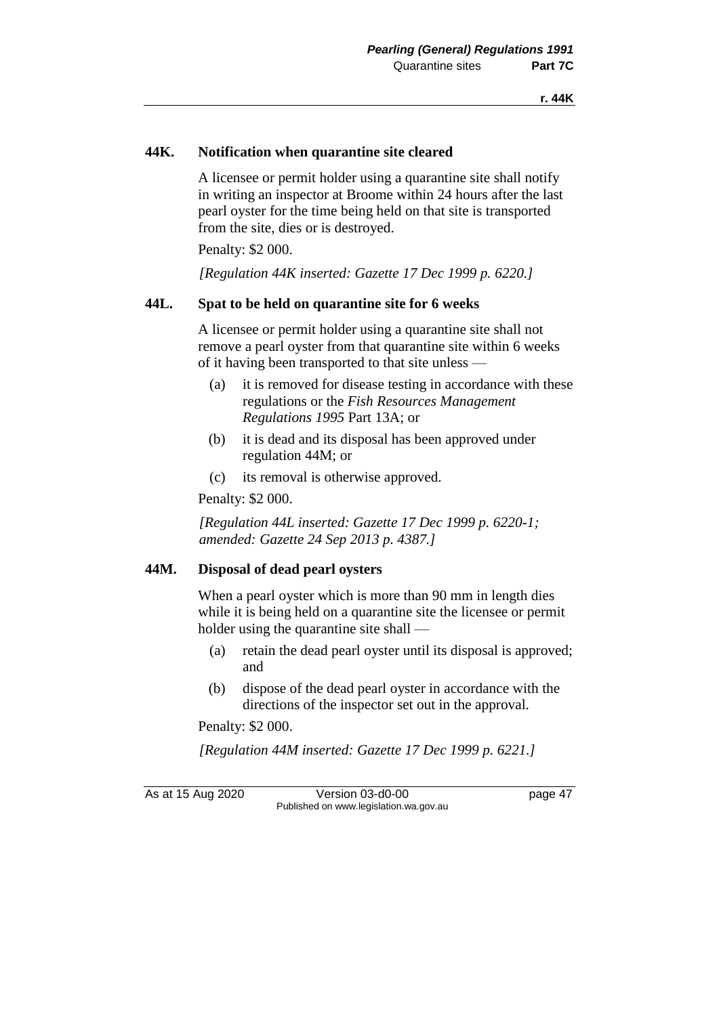### **44K. Notification when quarantine site cleared**

A licensee or permit holder using a quarantine site shall notify in writing an inspector at Broome within 24 hours after the last pearl oyster for the time being held on that site is transported from the site, dies or is destroyed.

Penalty: \$2 000.

*[Regulation 44K inserted: Gazette 17 Dec 1999 p. 6220.]*

#### **44L. Spat to be held on quarantine site for 6 weeks**

A licensee or permit holder using a quarantine site shall not remove a pearl oyster from that quarantine site within 6 weeks of it having been transported to that site unless —

- (a) it is removed for disease testing in accordance with these regulations or the *Fish Resources Management Regulations 1995* Part 13A; or
- (b) it is dead and its disposal has been approved under regulation 44M; or
- (c) its removal is otherwise approved.

Penalty: \$2 000.

*[Regulation 44L inserted: Gazette 17 Dec 1999 p. 6220-1; amended: Gazette 24 Sep 2013 p. 4387.]*

### **44M. Disposal of dead pearl oysters**

When a pearl oyster which is more than 90 mm in length dies while it is being held on a quarantine site the licensee or permit holder using the quarantine site shall —

- (a) retain the dead pearl oyster until its disposal is approved; and
- (b) dispose of the dead pearl oyster in accordance with the directions of the inspector set out in the approval.

Penalty: \$2 000.

*[Regulation 44M inserted: Gazette 17 Dec 1999 p. 6221.]*

As at 15 Aug 2020 Version 03-d0-00 page 47 Published on www.legislation.wa.gov.au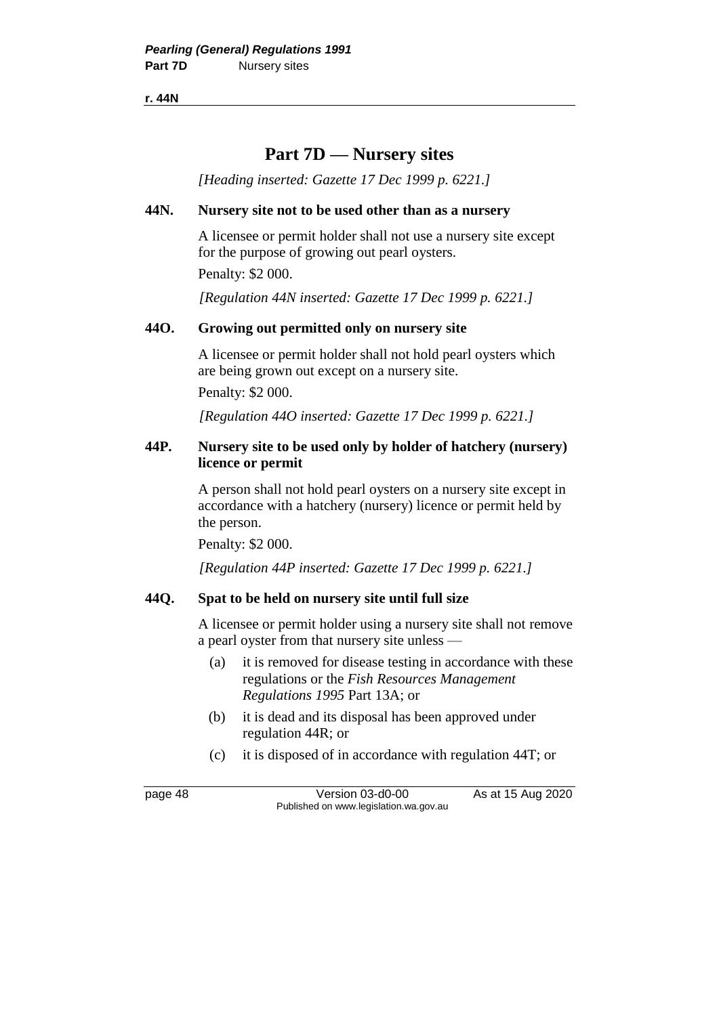**r. 44N**

### **Part 7D — Nursery sites**

*[Heading inserted: Gazette 17 Dec 1999 p. 6221.]*

### **44N. Nursery site not to be used other than as a nursery**

A licensee or permit holder shall not use a nursery site except for the purpose of growing out pearl oysters.

Penalty: \$2 000.

*[Regulation 44N inserted: Gazette 17 Dec 1999 p. 6221.]*

### **44O. Growing out permitted only on nursery site**

A licensee or permit holder shall not hold pearl oysters which are being grown out except on a nursery site.

Penalty: \$2 000.

*[Regulation 44O inserted: Gazette 17 Dec 1999 p. 6221.]*

### **44P. Nursery site to be used only by holder of hatchery (nursery) licence or permit**

A person shall not hold pearl oysters on a nursery site except in accordance with a hatchery (nursery) licence or permit held by the person.

Penalty: \$2 000.

*[Regulation 44P inserted: Gazette 17 Dec 1999 p. 6221.]*

### **44Q. Spat to be held on nursery site until full size**

A licensee or permit holder using a nursery site shall not remove a pearl oyster from that nursery site unless —

- (a) it is removed for disease testing in accordance with these regulations or the *Fish Resources Management Regulations 1995* Part 13A; or
- (b) it is dead and its disposal has been approved under regulation 44R; or
- (c) it is disposed of in accordance with regulation 44T; or

page 48 Version 03-d0-00 As at 15 Aug 2020 Published on www.legislation.wa.gov.au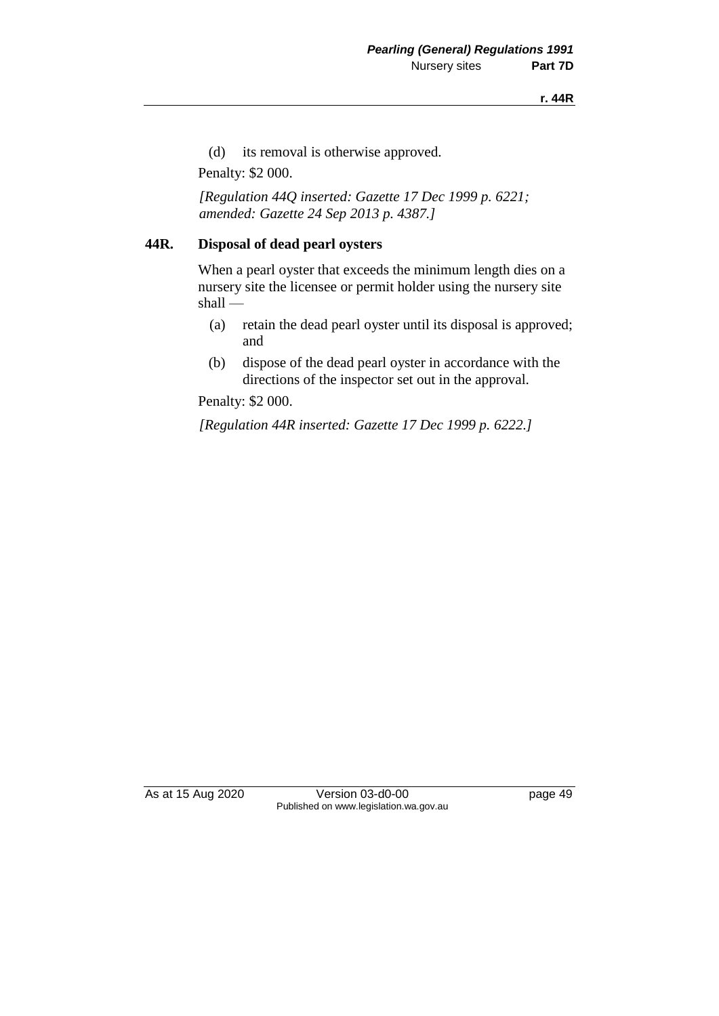#### **r. 44R**

(d) its removal is otherwise approved.

Penalty: \$2 000.

*[Regulation 44Q inserted: Gazette 17 Dec 1999 p. 6221; amended: Gazette 24 Sep 2013 p. 4387.]*

### **44R. Disposal of dead pearl oysters**

When a pearl oyster that exceeds the minimum length dies on a nursery site the licensee or permit holder using the nursery site shall —

- (a) retain the dead pearl oyster until its disposal is approved; and
- (b) dispose of the dead pearl oyster in accordance with the directions of the inspector set out in the approval.

Penalty: \$2 000.

*[Regulation 44R inserted: Gazette 17 Dec 1999 p. 6222.]*

As at 15 Aug 2020 Version 03-d0-00 page 49 Published on www.legislation.wa.gov.au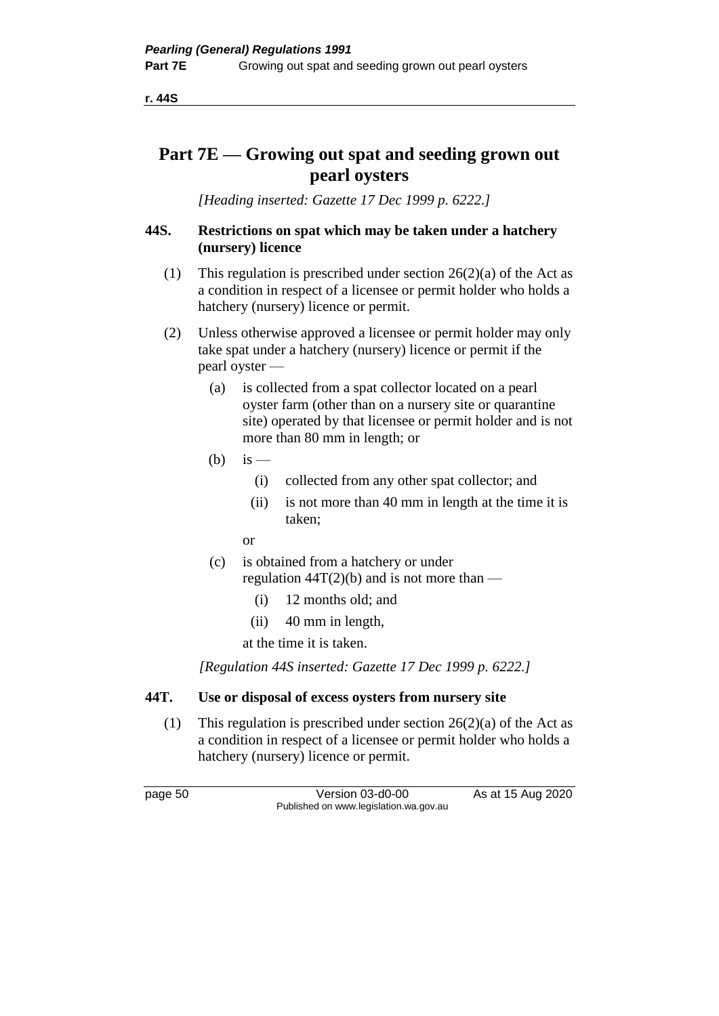**r. 44S**

## **Part 7E — Growing out spat and seeding grown out pearl oysters**

*[Heading inserted: Gazette 17 Dec 1999 p. 6222.]*

### **44S. Restrictions on spat which may be taken under a hatchery (nursery) licence**

- (1) This regulation is prescribed under section 26(2)(a) of the Act as a condition in respect of a licensee or permit holder who holds a hatchery (nursery) licence or permit.
- (2) Unless otherwise approved a licensee or permit holder may only take spat under a hatchery (nursery) licence or permit if the pearl oyster —
	- (a) is collected from a spat collector located on a pearl oyster farm (other than on a nursery site or quarantine site) operated by that licensee or permit holder and is not more than 80 mm in length; or
	- (b) is  $-$ 
		- (i) collected from any other spat collector; and
		- (ii) is not more than 40 mm in length at the time it is taken;
		- or
	- (c) is obtained from a hatchery or under regulation  $44T(2)(b)$  and is not more than —
		- (i) 12 months old; and
		- (ii) 40 mm in length,

at the time it is taken.

*[Regulation 44S inserted: Gazette 17 Dec 1999 p. 6222.]*

### **44T. Use or disposal of excess oysters from nursery site**

(1) This regulation is prescribed under section  $26(2)(a)$  of the Act as a condition in respect of a licensee or permit holder who holds a hatchery (nursery) licence or permit.

page 50 Version 03-d0-00 As at 15 Aug 2020 Published on www.legislation.wa.gov.au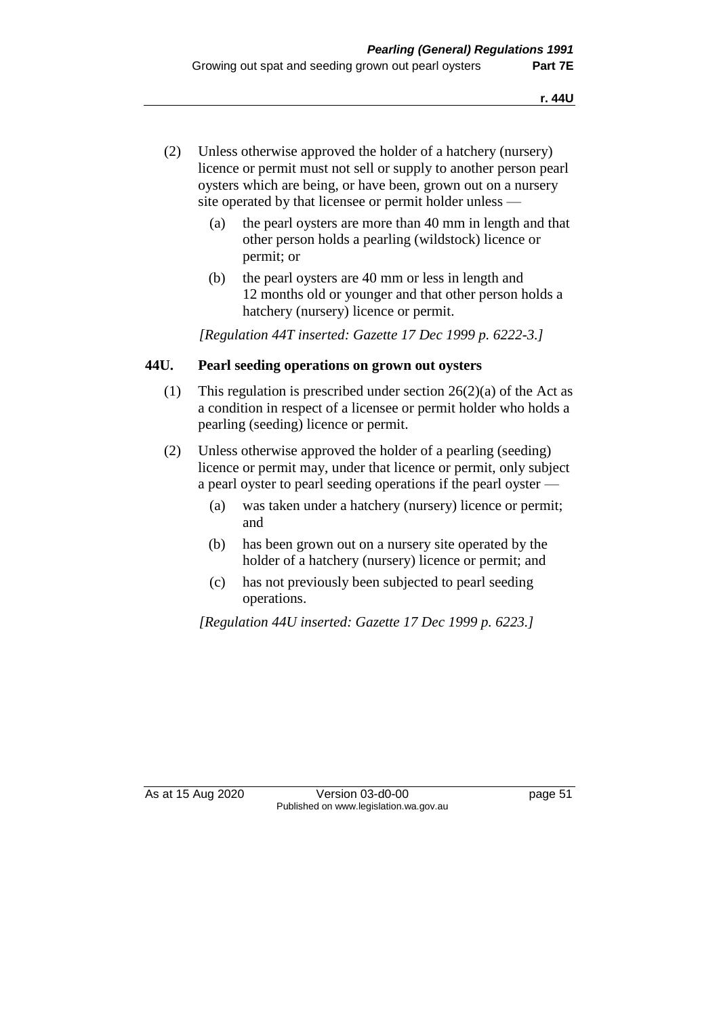- (2) Unless otherwise approved the holder of a hatchery (nursery) licence or permit must not sell or supply to another person pearl oysters which are being, or have been, grown out on a nursery site operated by that licensee or permit holder unless —
	- (a) the pearl oysters are more than 40 mm in length and that other person holds a pearling (wildstock) licence or permit; or
	- (b) the pearl oysters are 40 mm or less in length and 12 months old or younger and that other person holds a hatchery (nursery) licence or permit.

*[Regulation 44T inserted: Gazette 17 Dec 1999 p. 6222-3.]*

### **44U. Pearl seeding operations on grown out oysters**

- (1) This regulation is prescribed under section  $26(2)(a)$  of the Act as a condition in respect of a licensee or permit holder who holds a pearling (seeding) licence or permit.
- (2) Unless otherwise approved the holder of a pearling (seeding) licence or permit may, under that licence or permit, only subject a pearl oyster to pearl seeding operations if the pearl oyster —
	- (a) was taken under a hatchery (nursery) licence or permit; and
	- (b) has been grown out on a nursery site operated by the holder of a hatchery (nursery) licence or permit; and
	- (c) has not previously been subjected to pearl seeding operations.

*[Regulation 44U inserted: Gazette 17 Dec 1999 p. 6223.]*

As at 15 Aug 2020 Version 03-d0-00 page 51 Published on www.legislation.wa.gov.au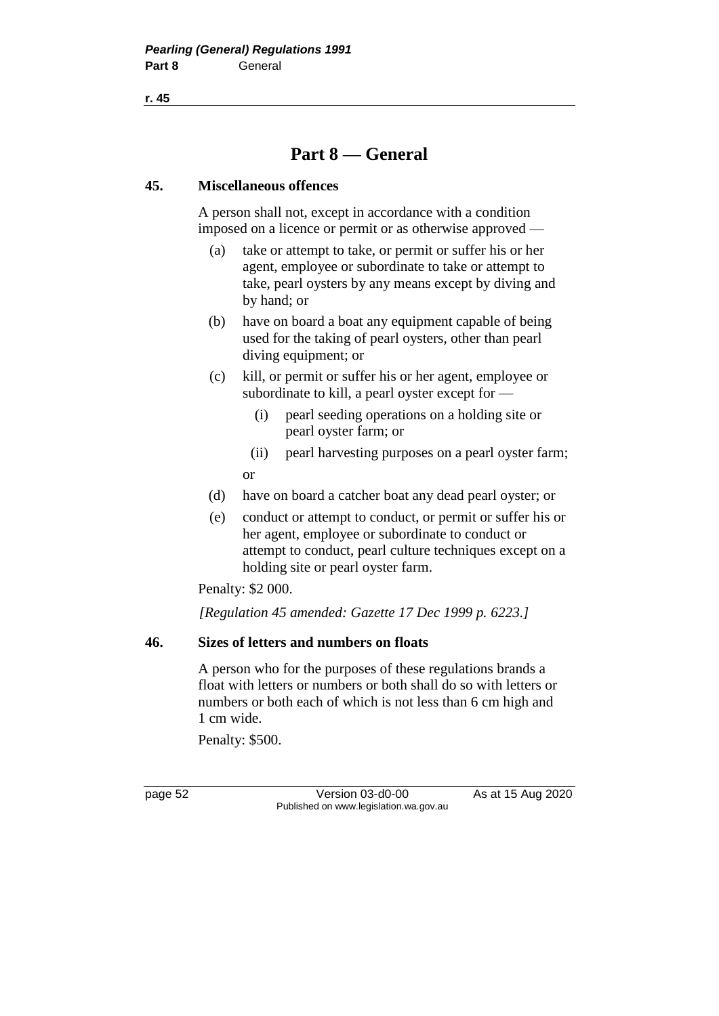**r. 45**

# **Part 8 — General**

### **45. Miscellaneous offences**

A person shall not, except in accordance with a condition imposed on a licence or permit or as otherwise approved —

- (a) take or attempt to take, or permit or suffer his or her agent, employee or subordinate to take or attempt to take, pearl oysters by any means except by diving and by hand; or
- (b) have on board a boat any equipment capable of being used for the taking of pearl oysters, other than pearl diving equipment; or
- (c) kill, or permit or suffer his or her agent, employee or subordinate to kill, a pearl oyster except for —
	- (i) pearl seeding operations on a holding site or pearl oyster farm; or
	- (ii) pearl harvesting purposes on a pearl oyster farm; or
- (d) have on board a catcher boat any dead pearl oyster; or
- (e) conduct or attempt to conduct, or permit or suffer his or her agent, employee or subordinate to conduct or attempt to conduct, pearl culture techniques except on a holding site or pearl oyster farm.

Penalty: \$2 000.

*[Regulation 45 amended: Gazette 17 Dec 1999 p. 6223.]*

### **46. Sizes of letters and numbers on floats**

A person who for the purposes of these regulations brands a float with letters or numbers or both shall do so with letters or numbers or both each of which is not less than 6 cm high and 1 cm wide.

Penalty: \$500.

page 52 Version 03-d0-00 As at 15 Aug 2020 Published on www.legislation.wa.gov.au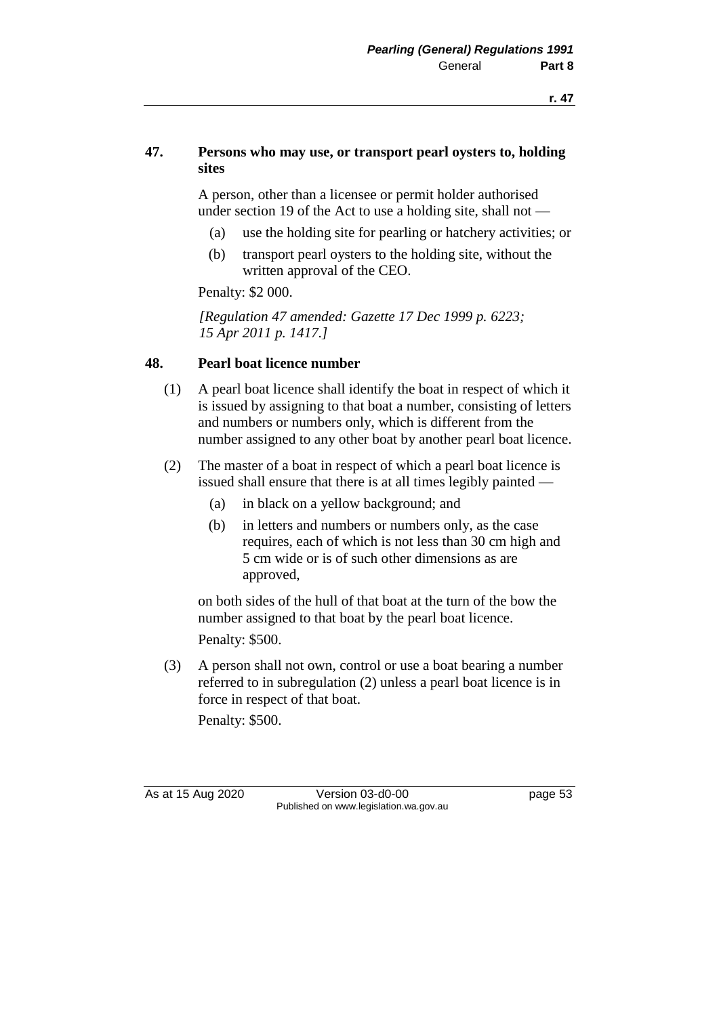### **47. Persons who may use, or transport pearl oysters to, holding sites**

A person, other than a licensee or permit holder authorised under section 19 of the Act to use a holding site, shall not —

- (a) use the holding site for pearling or hatchery activities; or
- (b) transport pearl oysters to the holding site, without the written approval of the CEO.

Penalty: \$2 000.

*[Regulation 47 amended: Gazette 17 Dec 1999 p. 6223; 15 Apr 2011 p. 1417.]*

### **48. Pearl boat licence number**

- (1) A pearl boat licence shall identify the boat in respect of which it is issued by assigning to that boat a number, consisting of letters and numbers or numbers only, which is different from the number assigned to any other boat by another pearl boat licence.
- (2) The master of a boat in respect of which a pearl boat licence is issued shall ensure that there is at all times legibly painted —
	- (a) in black on a yellow background; and
	- (b) in letters and numbers or numbers only, as the case requires, each of which is not less than 30 cm high and 5 cm wide or is of such other dimensions as are approved,

on both sides of the hull of that boat at the turn of the bow the number assigned to that boat by the pearl boat licence. Penalty: \$500.

(3) A person shall not own, control or use a boat bearing a number referred to in subregulation (2) unless a pearl boat licence is in force in respect of that boat.

Penalty: \$500.

As at 15 Aug 2020 Version 03-d0-00 page 53 Published on www.legislation.wa.gov.au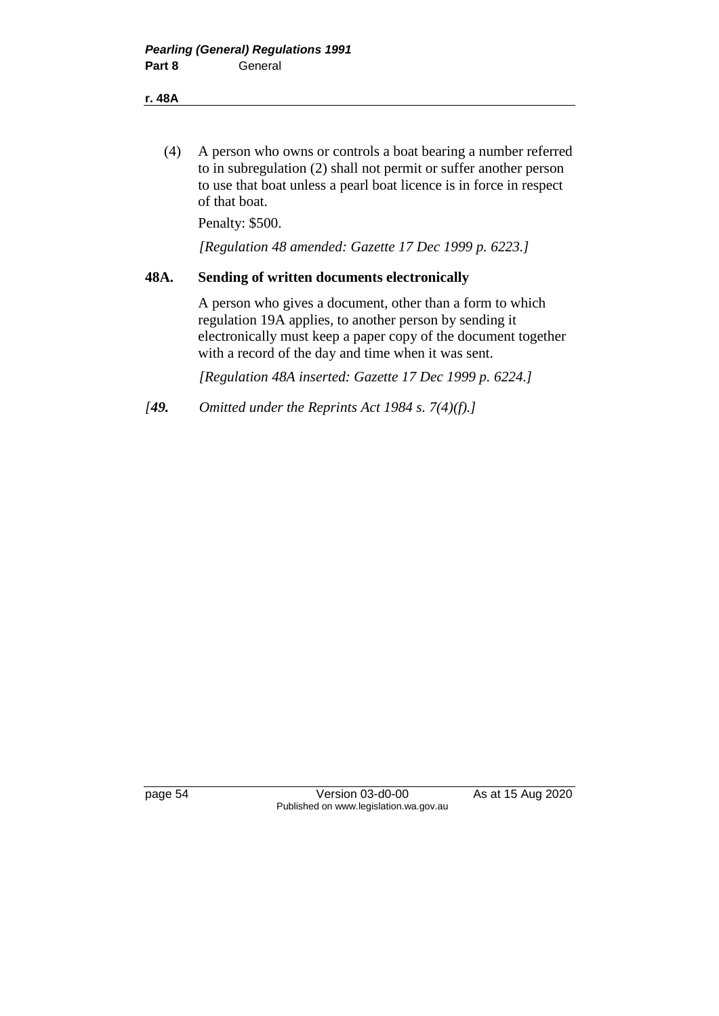(4) A person who owns or controls a boat bearing a number referred to in subregulation (2) shall not permit or suffer another person to use that boat unless a pearl boat licence is in force in respect of that boat.

Penalty: \$500.

*[Regulation 48 amended: Gazette 17 Dec 1999 p. 6223.]*

### **48A. Sending of written documents electronically**

A person who gives a document, other than a form to which regulation 19A applies, to another person by sending it electronically must keep a paper copy of the document together with a record of the day and time when it was sent.

*[Regulation 48A inserted: Gazette 17 Dec 1999 p. 6224.]*

*[49. Omitted under the Reprints Act 1984 s. 7(4)(f).]*

page 54 Version 03-d0-00 As at 15 Aug 2020 Published on www.legislation.wa.gov.au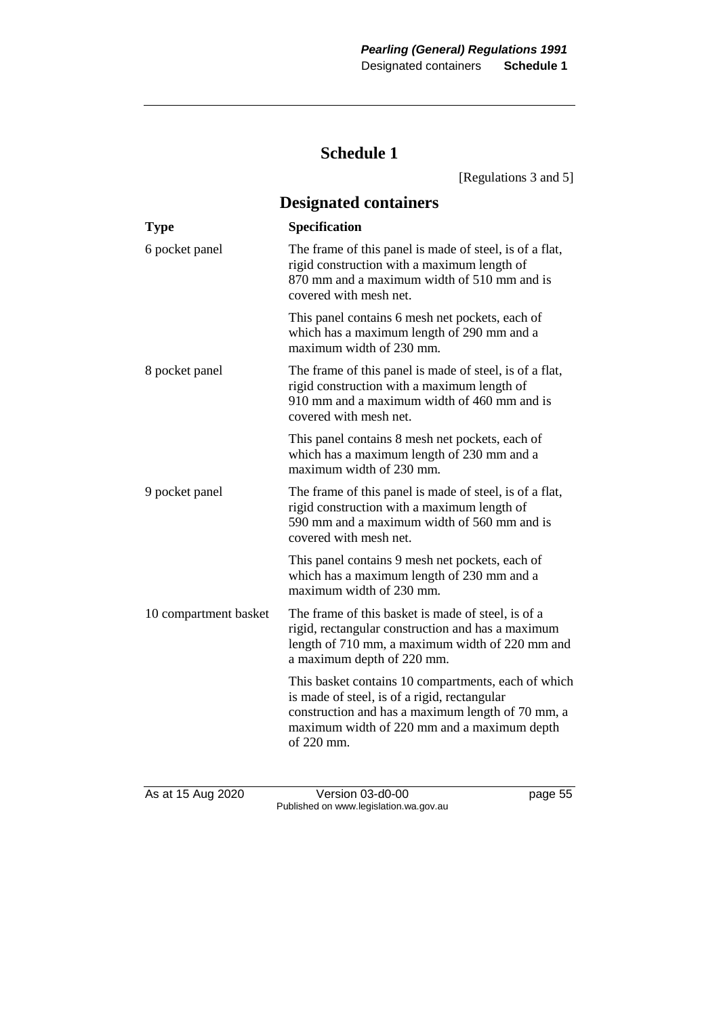### **Schedule 1**

[Regulations 3 and 5] **Designated containers Type Specification** 6 pocket panel The frame of this panel is made of steel, is of a flat, rigid construction with a maximum length of 870 mm and a maximum width of 510 mm and is covered with mesh net. This panel contains 6 mesh net pockets, each of which has a maximum length of 290 mm and a maximum width of 230 mm. 8 pocket panel The frame of this panel is made of steel, is of a flat, rigid construction with a maximum length of 910 mm and a maximum width of 460 mm and is covered with mesh net. This panel contains 8 mesh net pockets, each of which has a maximum length of 230 mm and a maximum width of 230 mm. 9 pocket panel The frame of this panel is made of steel, is of a flat, rigid construction with a maximum length of 590 mm and a maximum width of 560 mm and is covered with mesh net. This panel contains 9 mesh net pockets, each of which has a maximum length of 230 mm and a maximum width of 230 mm. 10 compartment basket The frame of this basket is made of steel, is of a rigid, rectangular construction and has a maximum length of 710 mm, a maximum width of 220 mm and a maximum depth of 220 mm. This basket contains 10 compartments, each of which is made of steel, is of a rigid, rectangular construction and has a maximum length of 70 mm, a maximum width of 220 mm and a maximum depth of 220 mm.

As at 15 Aug 2020 Version 03-d0-00 page 55 Published on www.legislation.wa.gov.au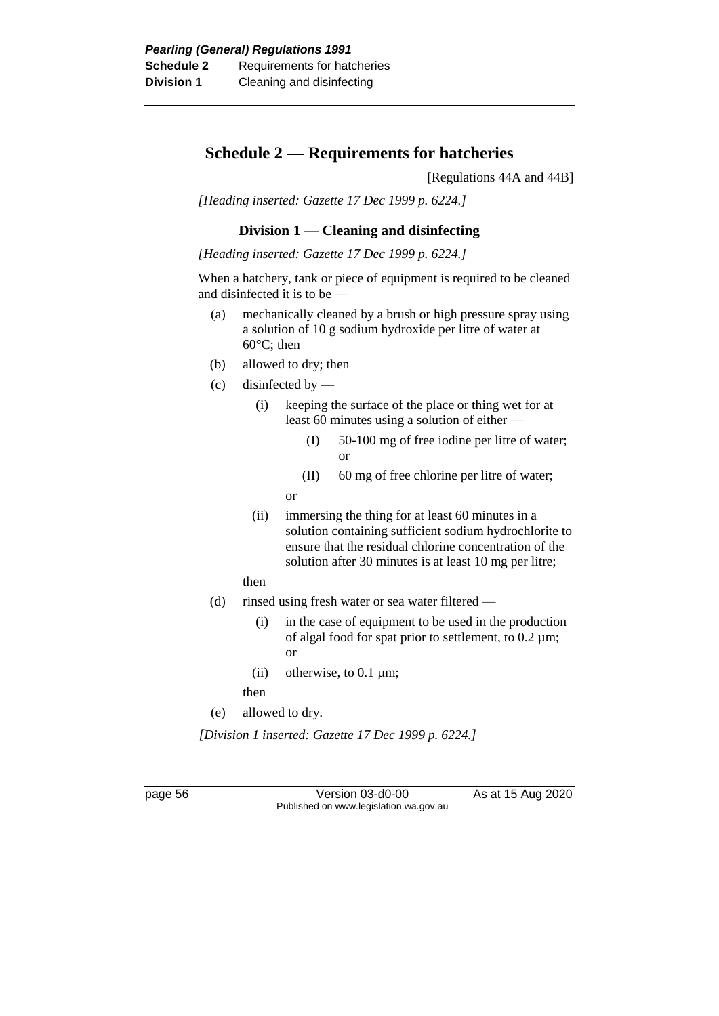### **Schedule 2 — Requirements for hatcheries**

[Regulations 44A and 44B]

*[Heading inserted: Gazette 17 Dec 1999 p. 6224.]*

### **Division 1 — Cleaning and disinfecting**

*[Heading inserted: Gazette 17 Dec 1999 p. 6224.]*

When a hatchery, tank or piece of equipment is required to be cleaned and disinfected it is to be —

- (a) mechanically cleaned by a brush or high pressure spray using a solution of 10 g sodium hydroxide per litre of water at 60°C; then
- (b) allowed to dry; then
- $(c)$  disinfected by
	- (i) keeping the surface of the place or thing wet for at least 60 minutes using a solution of either —
		- (I) 50-100 mg of free iodine per litre of water; or
		- (II) 60 mg of free chlorine per litre of water;

or

- (ii) immersing the thing for at least 60 minutes in a solution containing sufficient sodium hydrochlorite to ensure that the residual chlorine concentration of the solution after 30 minutes is at least 10 mg per litre;
- then
- (d) rinsed using fresh water or sea water filtered
	- (i) in the case of equipment to be used in the production of algal food for spat prior to settlement, to 0.2 µm; or
	- (ii) otherwise, to  $0.1 \mu m$ ;

then

(e) allowed to dry.

*[Division 1 inserted: Gazette 17 Dec 1999 p. 6224.]*

page 56 Version 03-d0-00 As at 15 Aug 2020 Published on www.legislation.wa.gov.au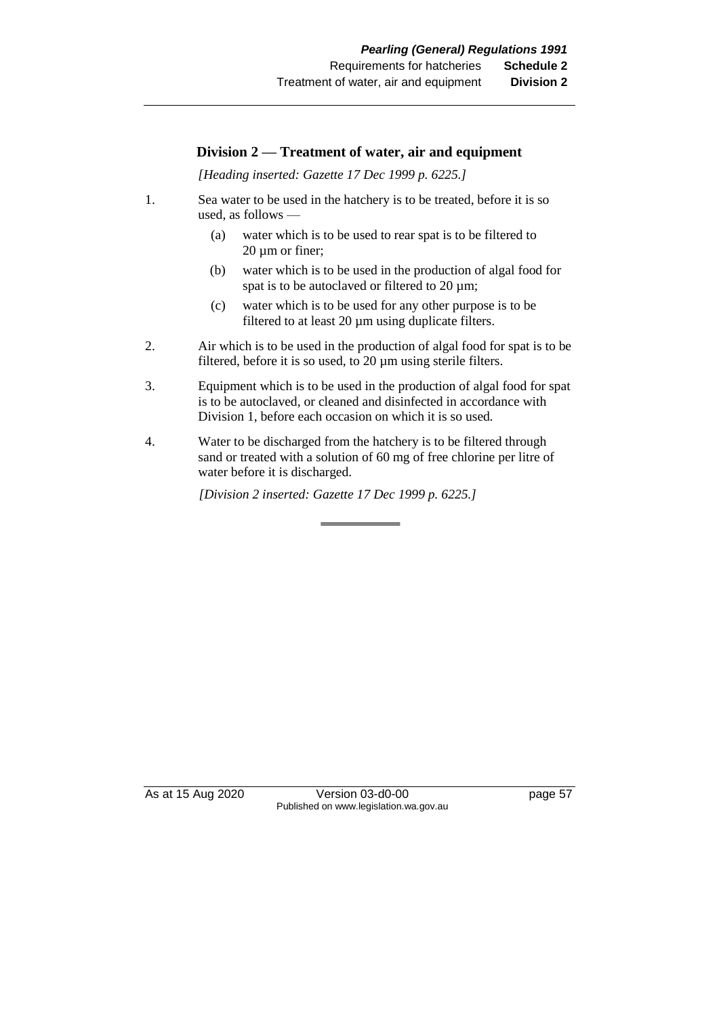### **Division 2 — Treatment of water, air and equipment**

*[Heading inserted: Gazette 17 Dec 1999 p. 6225.]*

- 1. Sea water to be used in the hatchery is to be treated, before it is so used, as follows —
	- (a) water which is to be used to rear spat is to be filtered to  $20 \mu m$  or finer;
	- (b) water which is to be used in the production of algal food for spat is to be autoclaved or filtered to 20  $\mu$ m;
	- (c) water which is to be used for any other purpose is to be filtered to at least 20 µm using duplicate filters.
- 2. Air which is to be used in the production of algal food for spat is to be filtered, before it is so used, to 20 µm using sterile filters.
- 3. Equipment which is to be used in the production of algal food for spat is to be autoclaved, or cleaned and disinfected in accordance with Division 1, before each occasion on which it is so used.
- 4. Water to be discharged from the hatchery is to be filtered through sand or treated with a solution of 60 mg of free chlorine per litre of water before it is discharged.

*[Division 2 inserted: Gazette 17 Dec 1999 p. 6225.]*

As at 15 Aug 2020 Version 03-d0-00 page 57 Published on www.legislation.wa.gov.au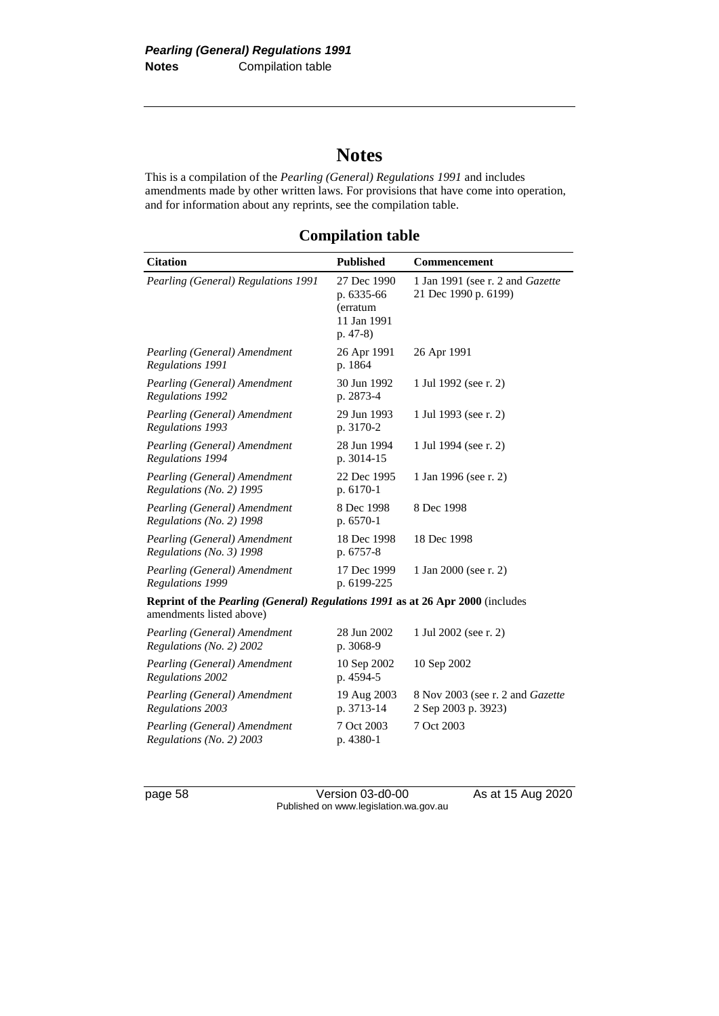# **Notes**

This is a compilation of the *Pearling (General) Regulations 1991* and includes amendments made by other written laws. For provisions that have come into operation, and for information about any reprints, see the compilation table.

**Compilation table**

| <b>Citation</b>                                                                                                   | <b>Published</b>                                                   | <b>Commencement</b>                                      |
|-------------------------------------------------------------------------------------------------------------------|--------------------------------------------------------------------|----------------------------------------------------------|
| Pearling (General) Regulations 1991                                                                               | 27 Dec 1990<br>p. 6335-66<br>(erratum<br>11 Jan 1991<br>$p. 47-8)$ | 1 Jan 1991 (see r. 2 and Gazette<br>21 Dec 1990 p. 6199) |
| Pearling (General) Amendment<br>Regulations 1991                                                                  | 26 Apr 1991<br>p. 1864                                             | 26 Apr 1991                                              |
| Pearling (General) Amendment<br>Regulations 1992                                                                  | 30 Jun 1992<br>p. 2873-4                                           | 1 Jul 1992 (see r. 2)                                    |
| Pearling (General) Amendment<br>Regulations 1993                                                                  | 29 Jun 1993<br>p. 3170-2                                           | 1 Jul 1993 (see r. 2)                                    |
| Pearling (General) Amendment<br>Regulations 1994                                                                  | 28 Jun 1994<br>p. 3014-15                                          | 1 Jul 1994 (see r. 2)                                    |
| Pearling (General) Amendment<br>Regulations (No. 2) 1995                                                          | 22 Dec 1995<br>p. 6170-1                                           | 1 Jan 1996 (see r. 2)                                    |
| Pearling (General) Amendment<br>Regulations (No. 2) 1998                                                          | 8 Dec 1998<br>p. 6570-1                                            | 8 Dec 1998                                               |
| Pearling (General) Amendment<br>Regulations (No. 3) 1998                                                          | 18 Dec 1998<br>p. 6757-8                                           | 18 Dec 1998                                              |
| Pearling (General) Amendment<br>Regulations 1999                                                                  | 17 Dec 1999<br>p. 6199-225                                         | 1 Jan 2000 (see r. 2)                                    |
| Reprint of the <i>Pearling (General) Regulations 1991</i> as at 26 Apr 2000 (includes<br>amendments listed above) |                                                                    |                                                          |
| Pearling (General) Amendment<br>Regulations (No. 2) 2002                                                          | 28 Jun 2002<br>p. 3068-9                                           | 1 Jul 2002 (see r. 2)                                    |
| Pearling (General) Amendment<br>Regulations 2002                                                                  | 10 Sep 2002<br>p. 4594-5                                           | 10 Sep 2002                                              |
| Pearling (General) Amendment<br><b>Regulations 2003</b>                                                           | 19 Aug 2003<br>p. 3713-14                                          | 8 Nov 2003 (see r. 2 and Gazette<br>2 Sep 2003 p. 3923)  |
| Pearling (General) Amendment<br>Regulations (No. 2) 2003                                                          | 7 Oct 2003<br>p. 4380-1                                            | 7 Oct 2003                                               |

page 58 Version 03-d0-00 As at 15 Aug 2020 Published on www.legislation.wa.gov.au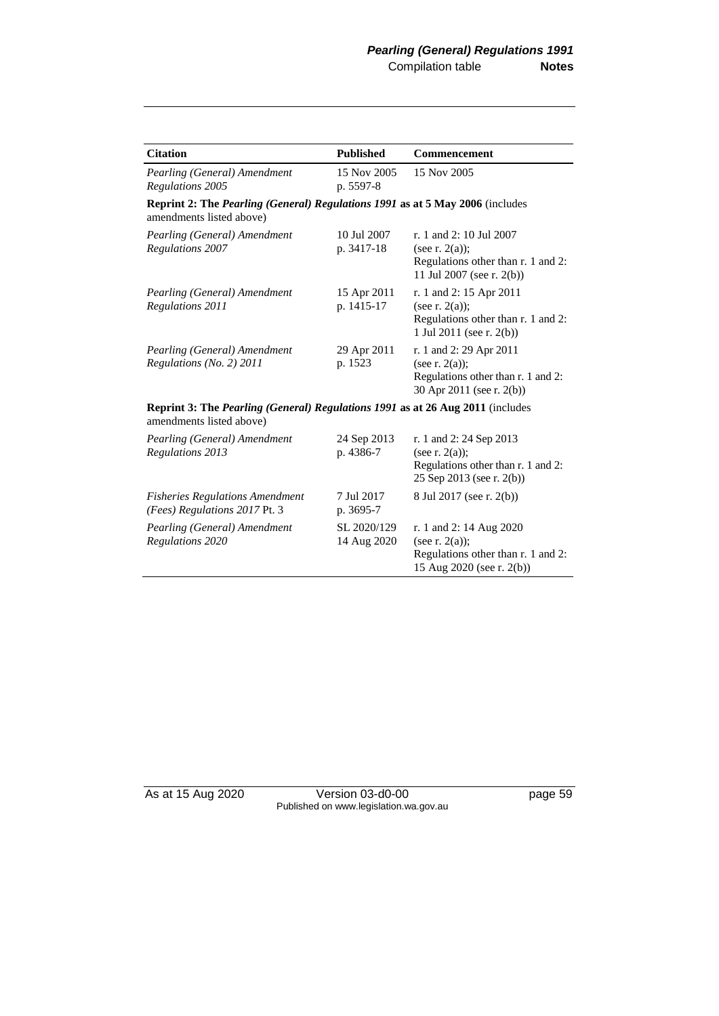| <b>Citation</b>                                                                                                   | <b>Published</b>           | Commencement                                                                                                      |  |
|-------------------------------------------------------------------------------------------------------------------|----------------------------|-------------------------------------------------------------------------------------------------------------------|--|
| Pearling (General) Amendment<br>Regulations 2005                                                                  | 15 Nov 2005<br>p. 5597-8   | 15 Nov 2005                                                                                                       |  |
| Reprint 2: The Pearling (General) Regulations 1991 as at 5 May 2006 (includes<br>amendments listed above)         |                            |                                                                                                                   |  |
| Pearling (General) Amendment<br>Regulations 2007                                                                  | 10 Jul 2007<br>p. 3417-18  | r. 1 and 2: 10 Jul 2007<br>(see r. $2(a)$ );<br>Regulations other than r. 1 and 2:<br>11 Jul 2007 (see r. 2(b))   |  |
| Pearling (General) Amendment<br>Regulations 2011                                                                  | 15 Apr 2011<br>p. 1415-17  | r. 1 and 2: 15 Apr 2011<br>(see r. $2(a)$ );<br>Regulations other than r. 1 and 2:<br>1 Jul 2011 (see r. $2(b)$ ) |  |
| Pearling (General) Amendment<br>Regulations (No. 2) 2011                                                          | 29 Apr 2011<br>p. 1523     | r. 1 and 2: 29 Apr 2011<br>(see r. $2(a)$ );<br>Regulations other than r. 1 and 2:<br>30 Apr 2011 (see r. 2(b))   |  |
| <b>Reprint 3: The Pearling (General) Regulations 1991 as at 26 Aug 2011 (includes</b><br>amendments listed above) |                            |                                                                                                                   |  |
| Pearling (General) Amendment<br><b>Regulations 2013</b>                                                           | 24 Sep 2013<br>p. 4386-7   | r. 1 and 2: 24 Sep 2013<br>(see r. $2(a)$ );<br>Regulations other than r. 1 and 2:<br>25 Sep 2013 (see r. 2(b))   |  |
| <b>Fisheries Regulations Amendment</b><br>(Fees) Regulations 2017 Pt. 3                                           | 7 Jul 2017<br>p. 3695-7    | 8 Jul 2017 (see r. 2(b))                                                                                          |  |
| Pearling (General) Amendment<br>Regulations 2020                                                                  | SL 2020/129<br>14 Aug 2020 | r. 1 and 2: 14 Aug 2020<br>(see r. $2(a)$ );<br>Regulations other than r. 1 and 2:<br>15 Aug 2020 (see r. 2(b))   |  |

As at 15 Aug 2020 Version 03-d0-00 page 59 Published on www.legislation.wa.gov.au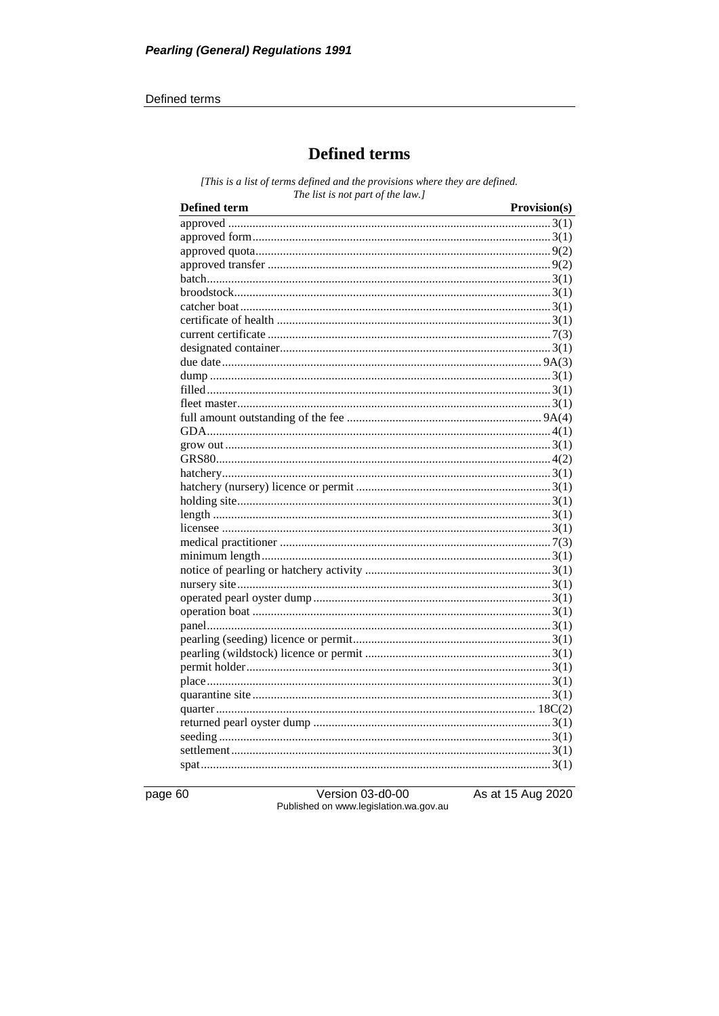#### Defined terms

### **Defined terms**

[This is a list of terms defined and the provisions where they are defined. The list is not part of the law.]

| <b>Defined term</b><br><u> 1989 - Johann Stoff, Amerikaansk politiker (d. 1989)</u> | Provision(s) |
|-------------------------------------------------------------------------------------|--------------|
|                                                                                     |              |
|                                                                                     |              |
|                                                                                     |              |
|                                                                                     |              |
|                                                                                     |              |
|                                                                                     |              |
|                                                                                     |              |
|                                                                                     |              |
|                                                                                     |              |
|                                                                                     |              |
|                                                                                     |              |
|                                                                                     |              |
|                                                                                     |              |
|                                                                                     |              |
|                                                                                     |              |
|                                                                                     |              |
|                                                                                     |              |
|                                                                                     |              |
|                                                                                     |              |
|                                                                                     |              |
|                                                                                     |              |
|                                                                                     |              |
|                                                                                     |              |
|                                                                                     |              |
|                                                                                     |              |
|                                                                                     |              |
|                                                                                     |              |
|                                                                                     |              |
|                                                                                     |              |
|                                                                                     |              |
|                                                                                     |              |
|                                                                                     |              |
|                                                                                     |              |
|                                                                                     |              |
|                                                                                     |              |
|                                                                                     |              |
|                                                                                     |              |
|                                                                                     |              |
|                                                                                     |              |
|                                                                                     |              |
|                                                                                     |              |

page 60

Version 03-d0-00 Published on www.legislation.wa.gov.au As at 15 Aug 2020